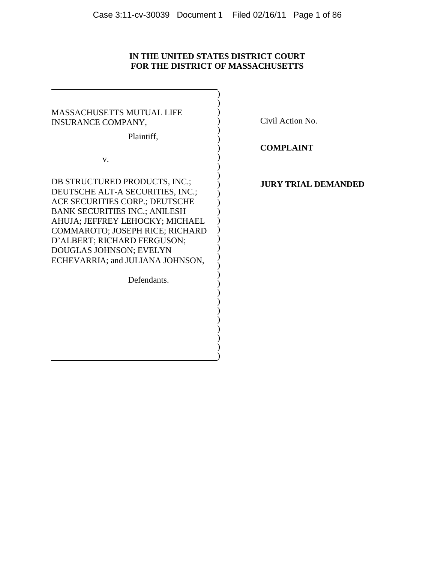# **IN THE UNITED STATES DISTRICT COURT FOR THE DISTRICT OF MASSACHUSETTS**

| <b>MASSACHUSETTS MUTUAL LIFE</b><br><b>INSURANCE COMPANY,</b><br>Plaintiff,                                                                                                                                                                                                                                     |  |
|-----------------------------------------------------------------------------------------------------------------------------------------------------------------------------------------------------------------------------------------------------------------------------------------------------------------|--|
| V.                                                                                                                                                                                                                                                                                                              |  |
|                                                                                                                                                                                                                                                                                                                 |  |
| DB STRUCTURED PRODUCTS, INC.;<br>DEUTSCHE ALT-A SECURITIES, INC.;<br>ACE SECURITIES CORP.; DEUTSCHE<br><b>BANK SECURITIES INC.; ANILESH</b><br>AHUJA; JEFFREY LEHOCKY; MICHAEL<br>COMMAROTO; JOSEPH RICE; RICHARD<br>D'ALBERT; RICHARD FERGUSON;<br>DOUGLAS JOHNSON; EVELYN<br>ECHEVARRIA; and JULIANA JOHNSON, |  |
| Defendants.                                                                                                                                                                                                                                                                                                     |  |
|                                                                                                                                                                                                                                                                                                                 |  |
|                                                                                                                                                                                                                                                                                                                 |  |
|                                                                                                                                                                                                                                                                                                                 |  |
|                                                                                                                                                                                                                                                                                                                 |  |
|                                                                                                                                                                                                                                                                                                                 |  |
|                                                                                                                                                                                                                                                                                                                 |  |
|                                                                                                                                                                                                                                                                                                                 |  |
|                                                                                                                                                                                                                                                                                                                 |  |

Civil Action No.

**COMPLAINT**

# **JURY TRIAL DEMANDED**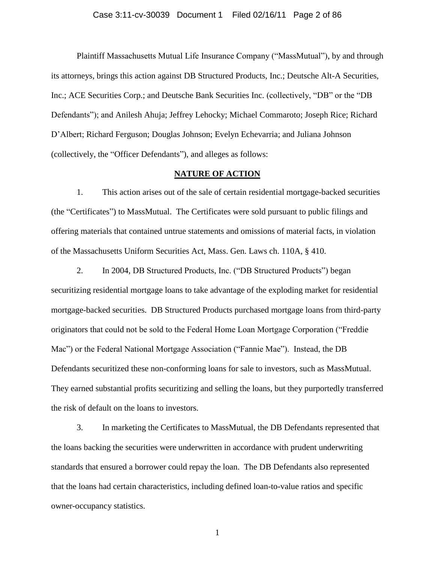## Case 3:11-cv-30039 Document 1 Filed 02/16/11 Page 2 of 86

Plaintiff Massachusetts Mutual Life Insurance Company ("MassMutual"), by and through its attorneys, brings this action against DB Structured Products, Inc.; Deutsche Alt-A Securities, Inc.; ACE Securities Corp.; and Deutsche Bank Securities Inc. (collectively, "DB" or the "DB" Defendants‖); and Anilesh Ahuja; Jeffrey Lehocky; Michael Commaroto; Joseph Rice; Richard D'Albert; Richard Ferguson; Douglas Johnson; Evelyn Echevarria; and Juliana Johnson (collectively, the "Officer Defendants"), and alleges as follows:

## **NATURE OF ACTION**

1. This action arises out of the sale of certain residential mortgage-backed securities (the "Certificates") to MassMutual. The Certificates were sold pursuant to public filings and offering materials that contained untrue statements and omissions of material facts, in violation of the Massachusetts Uniform Securities Act, Mass. Gen. Laws ch. 110A, § 410.

2. In 2004, DB Structured Products, Inc. ("DB Structured Products") began securitizing residential mortgage loans to take advantage of the exploding market for residential mortgage-backed securities. DB Structured Products purchased mortgage loans from third-party originators that could not be sold to the Federal Home Loan Mortgage Corporation ("Freddie" Mac") or the Federal National Mortgage Association ("Fannie Mae"). Instead, the DB Defendants securitized these non-conforming loans for sale to investors, such as MassMutual. They earned substantial profits securitizing and selling the loans, but they purportedly transferred the risk of default on the loans to investors.

3. In marketing the Certificates to MassMutual, the DB Defendants represented that the loans backing the securities were underwritten in accordance with prudent underwriting standards that ensured a borrower could repay the loan. The DB Defendants also represented that the loans had certain characteristics, including defined loan-to-value ratios and specific owner-occupancy statistics.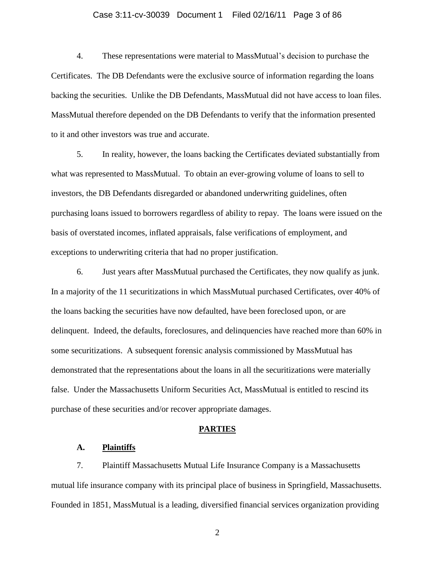### Case 3:11-cv-30039 Document 1 Filed 02/16/11 Page 3 of 86

4. These representations were material to MassMutual's decision to purchase the Certificates. The DB Defendants were the exclusive source of information regarding the loans backing the securities. Unlike the DB Defendants, MassMutual did not have access to loan files. MassMutual therefore depended on the DB Defendants to verify that the information presented to it and other investors was true and accurate.

5. In reality, however, the loans backing the Certificates deviated substantially from what was represented to MassMutual. To obtain an ever-growing volume of loans to sell to investors, the DB Defendants disregarded or abandoned underwriting guidelines, often purchasing loans issued to borrowers regardless of ability to repay. The loans were issued on the basis of overstated incomes, inflated appraisals, false verifications of employment, and exceptions to underwriting criteria that had no proper justification.

6. Just years after MassMutual purchased the Certificates, they now qualify as junk. In a majority of the 11 securitizations in which MassMutual purchased Certificates, over 40% of the loans backing the securities have now defaulted, have been foreclosed upon, or are delinquent. Indeed, the defaults, foreclosures, and delinquencies have reached more than 60% in some securitizations. A subsequent forensic analysis commissioned by MassMutual has demonstrated that the representations about the loans in all the securitizations were materially false. Under the Massachusetts Uniform Securities Act, MassMutual is entitled to rescind its purchase of these securities and/or recover appropriate damages.

#### **PARTIES**

### **A. Plaintiffs**

7. Plaintiff Massachusetts Mutual Life Insurance Company is a Massachusetts mutual life insurance company with its principal place of business in Springfield, Massachusetts. Founded in 1851, MassMutual is a leading, diversified financial services organization providing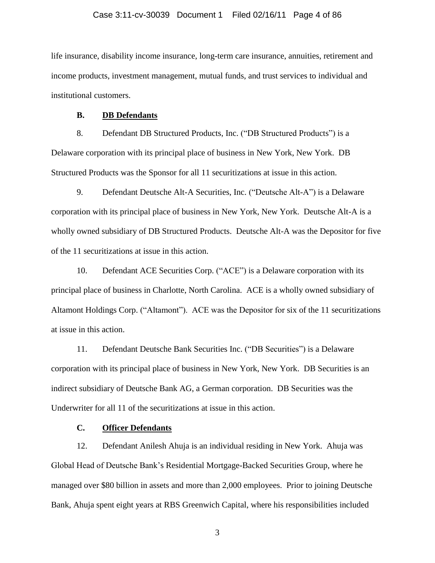life insurance, disability income insurance, long-term care insurance, annuities, retirement and income products, investment management, mutual funds, and trust services to individual and institutional customers.

### **B. DB Defendants**

8. Defendant DB Structured Products, Inc. ("DB Structured Products") is a Delaware corporation with its principal place of business in New York, New York. DB Structured Products was the Sponsor for all 11 securitizations at issue in this action.

9. Defendant Deutsche Alt-A Securities, Inc. ("Deutsche Alt-A") is a Delaware corporation with its principal place of business in New York, New York. Deutsche Alt-A is a wholly owned subsidiary of DB Structured Products. Deutsche Alt-A was the Depositor for five of the 11 securitizations at issue in this action.

10. Defendant ACE Securities Corp. ("ACE") is a Delaware corporation with its principal place of business in Charlotte, North Carolina. ACE is a wholly owned subsidiary of Altamont Holdings Corp. ("Altamont"). ACE was the Depositor for six of the 11 securitizations at issue in this action.

11. Defendant Deutsche Bank Securities Inc. ("DB Securities") is a Delaware corporation with its principal place of business in New York, New York. DB Securities is an indirect subsidiary of Deutsche Bank AG, a German corporation. DB Securities was the Underwriter for all 11 of the securitizations at issue in this action.

# **C. Officer Defendants**

12. Defendant Anilesh Ahuja is an individual residing in New York. Ahuja was Global Head of Deutsche Bank's Residential Mortgage-Backed Securities Group, where he managed over \$80 billion in assets and more than 2,000 employees. Prior to joining Deutsche Bank, Ahuja spent eight years at RBS Greenwich Capital, where his responsibilities included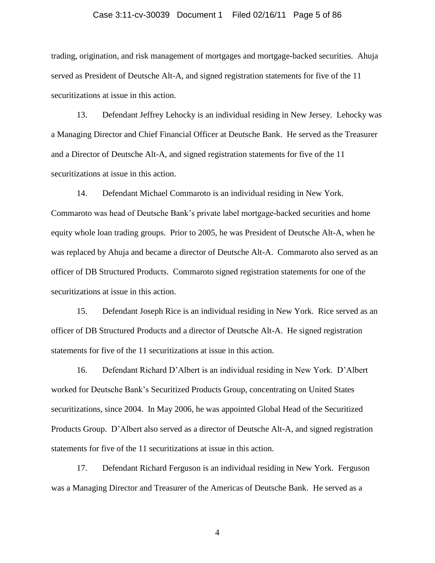### Case 3:11-cv-30039 Document 1 Filed 02/16/11 Page 5 of 86

trading, origination, and risk management of mortgages and mortgage-backed securities. Ahuja served as President of Deutsche Alt-A, and signed registration statements for five of the 11 securitizations at issue in this action.

13. Defendant Jeffrey Lehocky is an individual residing in New Jersey. Lehocky was a Managing Director and Chief Financial Officer at Deutsche Bank. He served as the Treasurer and a Director of Deutsche Alt-A, and signed registration statements for five of the 11 securitizations at issue in this action.

14. Defendant Michael Commaroto is an individual residing in New York. Commaroto was head of Deutsche Bank's private label mortgage-backed securities and home equity whole loan trading groups. Prior to 2005, he was President of Deutsche Alt-A, when he was replaced by Ahuja and became a director of Deutsche Alt-A. Commaroto also served as an officer of DB Structured Products. Commaroto signed registration statements for one of the securitizations at issue in this action.

15. Defendant Joseph Rice is an individual residing in New York. Rice served as an officer of DB Structured Products and a director of Deutsche Alt-A. He signed registration statements for five of the 11 securitizations at issue in this action.

16. Defendant Richard D'Albert is an individual residing in New York. D'Albert worked for Deutsche Bank's Securitized Products Group, concentrating on United States securitizations, since 2004. In May 2006, he was appointed Global Head of the Securitized Products Group. D'Albert also served as a director of Deutsche Alt-A, and signed registration statements for five of the 11 securitizations at issue in this action.

17. Defendant Richard Ferguson is an individual residing in New York. Ferguson was a Managing Director and Treasurer of the Americas of Deutsche Bank. He served as a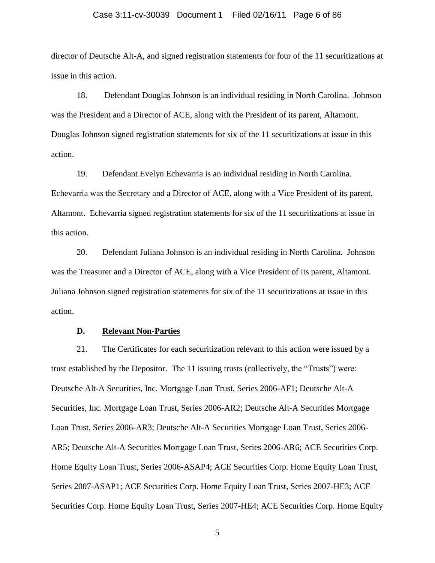#### Case 3:11-cv-30039 Document 1 Filed 02/16/11 Page 6 of 86

director of Deutsche Alt-A, and signed registration statements for four of the 11 securitizations at issue in this action.

18. Defendant Douglas Johnson is an individual residing in North Carolina. Johnson was the President and a Director of ACE, along with the President of its parent, Altamont. Douglas Johnson signed registration statements for six of the 11 securitizations at issue in this action.

19. Defendant Evelyn Echevarria is an individual residing in North Carolina. Echevarria was the Secretary and a Director of ACE, along with a Vice President of its parent, Altamont. Echevarria signed registration statements for six of the 11 securitizations at issue in this action.

20. Defendant Juliana Johnson is an individual residing in North Carolina. Johnson was the Treasurer and a Director of ACE, along with a Vice President of its parent, Altamont. Juliana Johnson signed registration statements for six of the 11 securitizations at issue in this action.

### **D. Relevant Non-Parties**

21. The Certificates for each securitization relevant to this action were issued by a trust established by the Depositor. The 11 issuing trusts (collectively, the "Trusts") were: Deutsche Alt-A Securities, Inc. Mortgage Loan Trust, Series 2006-AF1; Deutsche Alt-A Securities, Inc. Mortgage Loan Trust, Series 2006-AR2; Deutsche Alt-A Securities Mortgage Loan Trust, Series 2006-AR3; Deutsche Alt-A Securities Mortgage Loan Trust, Series 2006- AR5; Deutsche Alt-A Securities Mortgage Loan Trust, Series 2006-AR6; ACE Securities Corp. Home Equity Loan Trust, Series 2006-ASAP4; ACE Securities Corp. Home Equity Loan Trust, Series 2007-ASAP1; ACE Securities Corp. Home Equity Loan Trust, Series 2007-HE3; ACE Securities Corp. Home Equity Loan Trust, Series 2007-HE4; ACE Securities Corp. Home Equity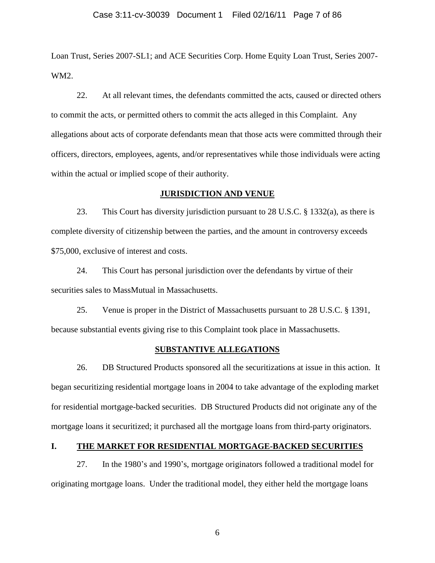Loan Trust, Series 2007-SL1; and ACE Securities Corp. Home Equity Loan Trust, Series 2007- WM2.

22. At all relevant times, the defendants committed the acts, caused or directed others to commit the acts, or permitted others to commit the acts alleged in this Complaint. Any allegations about acts of corporate defendants mean that those acts were committed through their officers, directors, employees, agents, and/or representatives while those individuals were acting within the actual or implied scope of their authority.

### **JURISDICTION AND VENUE**

23. This Court has diversity jurisdiction pursuant to 28 U.S.C. § 1332(a), as there is complete diversity of citizenship between the parties, and the amount in controversy exceeds \$75,000, exclusive of interest and costs.

24. This Court has personal jurisdiction over the defendants by virtue of their securities sales to MassMutual in Massachusetts.

25. Venue is proper in the District of Massachusetts pursuant to 28 U.S.C. § 1391, because substantial events giving rise to this Complaint took place in Massachusetts.

#### **SUBSTANTIVE ALLEGATIONS**

26. DB Structured Products sponsored all the securitizations at issue in this action. It began securitizing residential mortgage loans in 2004 to take advantage of the exploding market for residential mortgage-backed securities. DB Structured Products did not originate any of the mortgage loans it securitized; it purchased all the mortgage loans from third-party originators.

## **I. THE MARKET FOR RESIDENTIAL MORTGAGE-BACKED SECURITIES**

27. In the 1980's and 1990's, mortgage originators followed a traditional model for originating mortgage loans. Under the traditional model, they either held the mortgage loans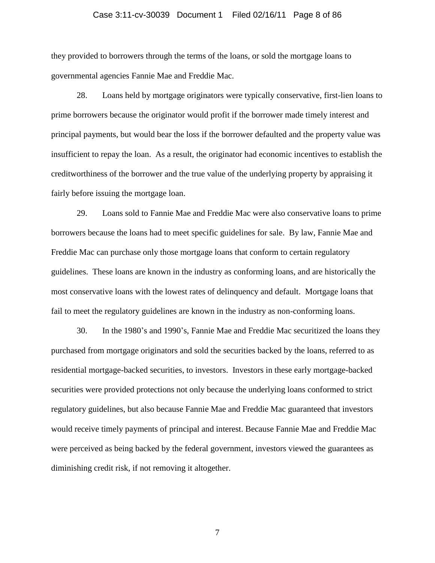## Case 3:11-cv-30039 Document 1 Filed 02/16/11 Page 8 of 86

they provided to borrowers through the terms of the loans, or sold the mortgage loans to governmental agencies Fannie Mae and Freddie Mac.

28. Loans held by mortgage originators were typically conservative, first-lien loans to prime borrowers because the originator would profit if the borrower made timely interest and principal payments, but would bear the loss if the borrower defaulted and the property value was insufficient to repay the loan. As a result, the originator had economic incentives to establish the creditworthiness of the borrower and the true value of the underlying property by appraising it fairly before issuing the mortgage loan.

29. Loans sold to Fannie Mae and Freddie Mac were also conservative loans to prime borrowers because the loans had to meet specific guidelines for sale. By law, Fannie Mae and Freddie Mac can purchase only those mortgage loans that conform to certain regulatory guidelines. These loans are known in the industry as conforming loans, and are historically the most conservative loans with the lowest rates of delinquency and default. Mortgage loans that fail to meet the regulatory guidelines are known in the industry as non-conforming loans.

30. In the 1980's and 1990's, Fannie Mae and Freddie Mac securitized the loans they purchased from mortgage originators and sold the securities backed by the loans, referred to as residential mortgage-backed securities, to investors. Investors in these early mortgage-backed securities were provided protections not only because the underlying loans conformed to strict regulatory guidelines, but also because Fannie Mae and Freddie Mac guaranteed that investors would receive timely payments of principal and interest. Because Fannie Mae and Freddie Mac were perceived as being backed by the federal government, investors viewed the guarantees as diminishing credit risk, if not removing it altogether.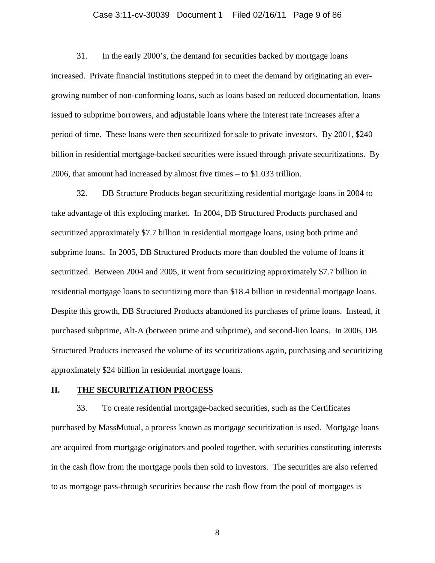### Case 3:11-cv-30039 Document 1 Filed 02/16/11 Page 9 of 86

31. In the early 2000's, the demand for securities backed by mortgage loans increased. Private financial institutions stepped in to meet the demand by originating an evergrowing number of non-conforming loans, such as loans based on reduced documentation, loans issued to subprime borrowers, and adjustable loans where the interest rate increases after a period of time. These loans were then securitized for sale to private investors. By 2001, \$240 billion in residential mortgage-backed securities were issued through private securitizations. By 2006, that amount had increased by almost five times – to \$1.033 trillion.

32. DB Structure Products began securitizing residential mortgage loans in 2004 to take advantage of this exploding market. In 2004, DB Structured Products purchased and securitized approximately \$7.7 billion in residential mortgage loans, using both prime and subprime loans. In 2005, DB Structured Products more than doubled the volume of loans it securitized. Between 2004 and 2005, it went from securitizing approximately \$7.7 billion in residential mortgage loans to securitizing more than \$18.4 billion in residential mortgage loans. Despite this growth, DB Structured Products abandoned its purchases of prime loans. Instead, it purchased subprime, Alt-A (between prime and subprime), and second-lien loans. In 2006, DB Structured Products increased the volume of its securitizations again, purchasing and securitizing approximately \$24 billion in residential mortgage loans.

### **II. THE SECURITIZATION PROCESS**

33. To create residential mortgage-backed securities, such as the Certificates purchased by MassMutual, a process known as mortgage securitization is used. Mortgage loans are acquired from mortgage originators and pooled together, with securities constituting interests in the cash flow from the mortgage pools then sold to investors. The securities are also referred to as mortgage pass-through securities because the cash flow from the pool of mortgages is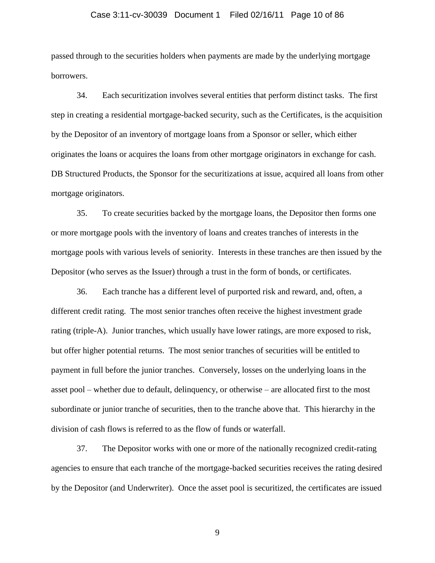### Case 3:11-cv-30039 Document 1 Filed 02/16/11 Page 10 of 86

passed through to the securities holders when payments are made by the underlying mortgage borrowers.

34. Each securitization involves several entities that perform distinct tasks. The first step in creating a residential mortgage-backed security, such as the Certificates, is the acquisition by the Depositor of an inventory of mortgage loans from a Sponsor or seller, which either originates the loans or acquires the loans from other mortgage originators in exchange for cash. DB Structured Products, the Sponsor for the securitizations at issue, acquired all loans from other mortgage originators.

35. To create securities backed by the mortgage loans, the Depositor then forms one or more mortgage pools with the inventory of loans and creates tranches of interests in the mortgage pools with various levels of seniority. Interests in these tranches are then issued by the Depositor (who serves as the Issuer) through a trust in the form of bonds, or certificates.

36. Each tranche has a different level of purported risk and reward, and, often, a different credit rating. The most senior tranches often receive the highest investment grade rating (triple-A). Junior tranches, which usually have lower ratings, are more exposed to risk, but offer higher potential returns. The most senior tranches of securities will be entitled to payment in full before the junior tranches. Conversely, losses on the underlying loans in the asset pool – whether due to default, delinquency, or otherwise – are allocated first to the most subordinate or junior tranche of securities, then to the tranche above that. This hierarchy in the division of cash flows is referred to as the flow of funds or waterfall.

37. The Depositor works with one or more of the nationally recognized credit-rating agencies to ensure that each tranche of the mortgage-backed securities receives the rating desired by the Depositor (and Underwriter). Once the asset pool is securitized, the certificates are issued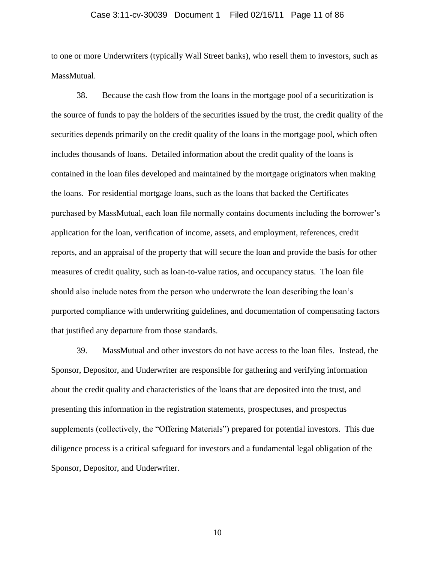### Case 3:11-cv-30039 Document 1 Filed 02/16/11 Page 11 of 86

to one or more Underwriters (typically Wall Street banks), who resell them to investors, such as MassMutual.

38. Because the cash flow from the loans in the mortgage pool of a securitization is the source of funds to pay the holders of the securities issued by the trust, the credit quality of the securities depends primarily on the credit quality of the loans in the mortgage pool, which often includes thousands of loans. Detailed information about the credit quality of the loans is contained in the loan files developed and maintained by the mortgage originators when making the loans. For residential mortgage loans, such as the loans that backed the Certificates purchased by MassMutual, each loan file normally contains documents including the borrower's application for the loan, verification of income, assets, and employment, references, credit reports, and an appraisal of the property that will secure the loan and provide the basis for other measures of credit quality, such as loan-to-value ratios, and occupancy status. The loan file should also include notes from the person who underwrote the loan describing the loan's purported compliance with underwriting guidelines, and documentation of compensating factors that justified any departure from those standards.

39. MassMutual and other investors do not have access to the loan files. Instead, the Sponsor, Depositor, and Underwriter are responsible for gathering and verifying information about the credit quality and characteristics of the loans that are deposited into the trust, and presenting this information in the registration statements, prospectuses, and prospectus supplements (collectively, the "Offering Materials") prepared for potential investors. This due diligence process is a critical safeguard for investors and a fundamental legal obligation of the Sponsor, Depositor, and Underwriter.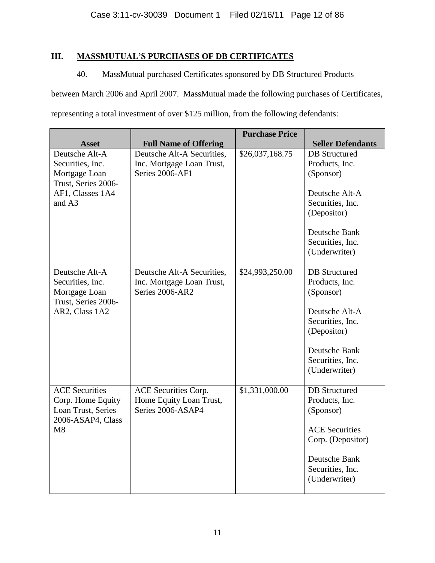# **III. MASSMUTUAL'S PURCHASES OF DB CERTIFICATES**

# 40. MassMutual purchased Certificates sponsored by DB Structured Products

between March 2006 and April 2007. MassMutual made the following purchases of Certificates, representing a total investment of over \$125 million, from the following defendants:

|                                                                                                          |                                                                             | <b>Purchase Price</b> |                                                                                                                                                                |
|----------------------------------------------------------------------------------------------------------|-----------------------------------------------------------------------------|-----------------------|----------------------------------------------------------------------------------------------------------------------------------------------------------------|
| <b>Asset</b>                                                                                             | <b>Full Name of Offering</b>                                                |                       | <b>Seller Defendants</b>                                                                                                                                       |
| Deutsche Alt-A<br>Securities, Inc.<br>Mortgage Loan<br>Trust, Series 2006-<br>AF1, Classes 1A4<br>and A3 | Deutsche Alt-A Securities,<br>Inc. Mortgage Loan Trust,<br>Series 2006-AF1  | \$26,037,168.75       | <b>DB</b> Structured<br>Products, Inc.<br>(Sponsor)<br>Deutsche Alt-A<br>Securities, Inc.<br>(Depositor)<br>Deutsche Bank<br>Securities, Inc.<br>(Underwriter) |
| Deutsche Alt-A<br>Securities, Inc.<br>Mortgage Loan<br>Trust, Series 2006-<br>AR2, Class 1A2             | Deutsche Alt-A Securities,<br>Inc. Mortgage Loan Trust,<br>Series 2006-AR2  | \$24,993,250.00       | <b>DB</b> Structured<br>Products, Inc.<br>(Sponsor)<br>Deutsche Alt-A<br>Securities, Inc.<br>(Depositor)<br>Deutsche Bank<br>Securities, Inc.<br>(Underwriter) |
| <b>ACE</b> Securities<br>Corp. Home Equity<br>Loan Trust, Series<br>2006-ASAP4, Class<br>M8              | <b>ACE Securities Corp.</b><br>Home Equity Loan Trust,<br>Series 2006-ASAP4 | \$1,331,000.00        | <b>DB</b> Structured<br>Products, Inc.<br>(Sponsor)<br><b>ACE Securities</b><br>Corp. (Depositor)<br>Deutsche Bank<br>Securities, Inc.<br>(Underwriter)        |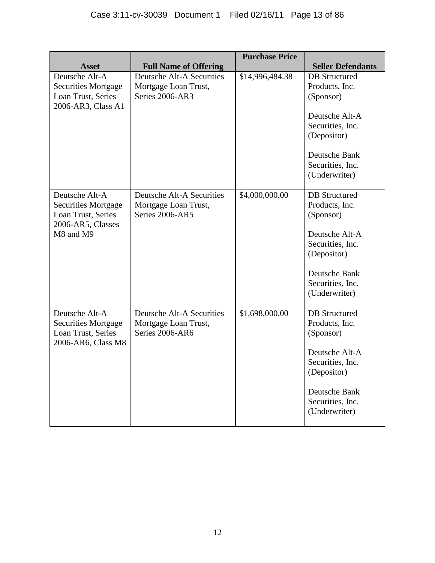|                                                                                                      |                                                                             | <b>Purchase Price</b> |                                                                                                                                                                |
|------------------------------------------------------------------------------------------------------|-----------------------------------------------------------------------------|-----------------------|----------------------------------------------------------------------------------------------------------------------------------------------------------------|
| <b>Asset</b>                                                                                         | <b>Full Name of Offering</b>                                                |                       | <b>Seller Defendants</b>                                                                                                                                       |
| Deutsche Alt-A<br><b>Securities Mortgage</b><br>Loan Trust, Series<br>2006-AR3, Class A1             | Deutsche Alt-A Securities<br>Mortgage Loan Trust,<br>Series 2006-AR3        | \$14,996,484.38       | <b>DB</b> Structured<br>Products, Inc.<br>(Sponsor)<br>Deutsche Alt-A<br>Securities, Inc.<br>(Depositor)<br>Deutsche Bank<br>Securities, Inc.<br>(Underwriter) |
| Deutsche Alt-A<br><b>Securities Mortgage</b><br>Loan Trust, Series<br>2006-AR5, Classes<br>M8 and M9 | <b>Deutsche Alt-A Securities</b><br>Mortgage Loan Trust,<br>Series 2006-AR5 | \$4,000,000.00        | <b>DB</b> Structured<br>Products, Inc.<br>(Sponsor)<br>Deutsche Alt-A<br>Securities, Inc.<br>(Depositor)<br>Deutsche Bank<br>Securities, Inc.<br>(Underwriter) |
| Deutsche Alt-A<br><b>Securities Mortgage</b><br>Loan Trust, Series<br>2006-AR6, Class M8             | <b>Deutsche Alt-A Securities</b><br>Mortgage Loan Trust,<br>Series 2006-AR6 | \$1,698,000.00        | <b>DB</b> Structured<br>Products, Inc.<br>(Sponsor)<br>Deutsche Alt-A<br>Securities, Inc.<br>(Depositor)<br>Deutsche Bank<br>Securities, Inc.<br>(Underwriter) |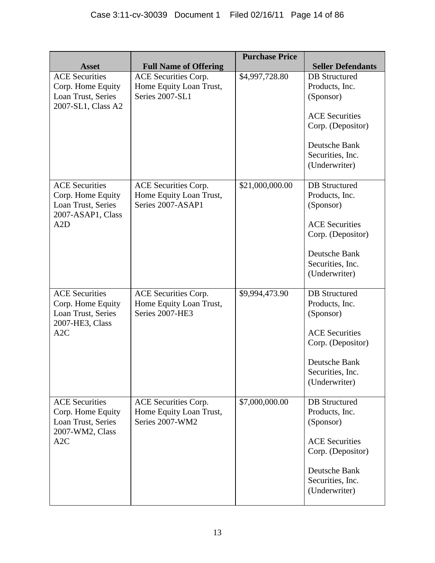|                                                                                              |                                                                           | <b>Purchase Price</b> |                                                                                                                                                         |
|----------------------------------------------------------------------------------------------|---------------------------------------------------------------------------|-----------------------|---------------------------------------------------------------------------------------------------------------------------------------------------------|
| <b>Asset</b>                                                                                 | <b>Full Name of Offering</b>                                              |                       | <b>Seller Defendants</b>                                                                                                                                |
| <b>ACE Securities</b><br>Corp. Home Equity<br>Loan Trust, Series<br>2007-SL1, Class A2       | ACE Securities Corp.<br>Home Equity Loan Trust,<br>Series 2007-SL1        | \$4,997,728.80        | <b>DB</b> Structured<br>Products, Inc.<br>(Sponsor)<br><b>ACE Securities</b><br>Corp. (Depositor)<br>Deutsche Bank<br>Securities, Inc.<br>(Underwriter) |
| <b>ACE Securities</b><br>Corp. Home Equity<br>Loan Trust, Series<br>2007-ASAP1, Class<br>A2D | ACE Securities Corp.<br>Home Equity Loan Trust,<br>Series 2007-ASAP1      | \$21,000,000.00       | <b>DB</b> Structured<br>Products, Inc.<br>(Sponsor)<br><b>ACE Securities</b><br>Corp. (Depositor)<br>Deutsche Bank<br>Securities, Inc.<br>(Underwriter) |
| <b>ACE Securities</b><br>Corp. Home Equity<br>Loan Trust, Series<br>2007-HE3, Class<br>A2C   | <b>ACE Securities Corp.</b><br>Home Equity Loan Trust,<br>Series 2007-HE3 | \$9,994,473.90        | <b>DB</b> Structured<br>Products, Inc.<br>(Sponsor)<br><b>ACE Securities</b><br>Corp. (Depositor)<br>Deutsche Bank<br>Securities, Inc.<br>(Underwriter) |
| <b>ACE</b> Securities<br>Corp. Home Equity<br>Loan Trust, Series<br>2007-WM2, Class<br>A2C   | ACE Securities Corp.<br>Home Equity Loan Trust,<br>Series 2007-WM2        | \$7,000,000.00        | <b>DB</b> Structured<br>Products, Inc.<br>(Sponsor)<br><b>ACE</b> Securities<br>Corp. (Depositor)<br>Deutsche Bank<br>Securities, Inc.<br>(Underwriter) |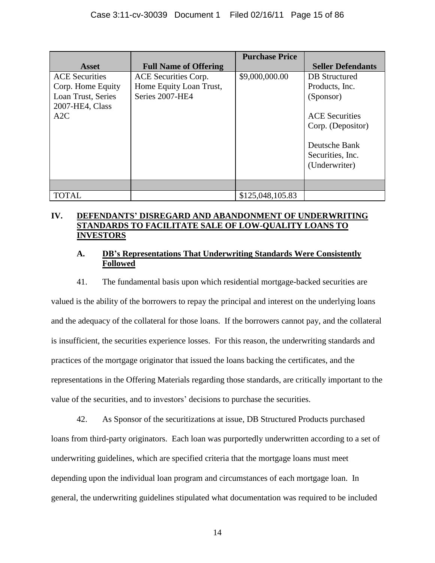|                                                                                            |                                                                    | <b>Purchase Price</b> |                                                                                                   |
|--------------------------------------------------------------------------------------------|--------------------------------------------------------------------|-----------------------|---------------------------------------------------------------------------------------------------|
| <b>Asset</b>                                                                               | <b>Full Name of Offering</b>                                       |                       | <b>Seller Defendants</b>                                                                          |
| <b>ACE</b> Securities<br>Corp. Home Equity<br>Loan Trust, Series<br>2007-HE4, Class<br>A2C | ACE Securities Corp.<br>Home Equity Loan Trust,<br>Series 2007-HE4 | \$9,000,000.00        | <b>DB</b> Structured<br>Products, Inc.<br>(Sponsor)<br><b>ACE</b> Securities<br>Corp. (Depositor) |
|                                                                                            |                                                                    |                       | Deutsche Bank<br>Securities, Inc.<br>(Underwriter)                                                |
|                                                                                            |                                                                    |                       |                                                                                                   |
| <b>TOTAL</b>                                                                               |                                                                    | \$125,048,105.83      |                                                                                                   |

# **IV. DEFENDANTS' DISREGARD AND ABANDONMENT OF UNDERWRITING STANDARDS TO FACILITATE SALE OF LOW-QUALITY LOANS TO INVESTORS**

# **A. DB's Representations That Underwriting Standards Were Consistently Followed**

41. The fundamental basis upon which residential mortgage-backed securities are valued is the ability of the borrowers to repay the principal and interest on the underlying loans and the adequacy of the collateral for those loans. If the borrowers cannot pay, and the collateral is insufficient, the securities experience losses. For this reason, the underwriting standards and practices of the mortgage originator that issued the loans backing the certificates, and the representations in the Offering Materials regarding those standards, are critically important to the value of the securities, and to investors' decisions to purchase the securities.

42. As Sponsor of the securitizations at issue, DB Structured Products purchased loans from third-party originators. Each loan was purportedly underwritten according to a set of underwriting guidelines, which are specified criteria that the mortgage loans must meet depending upon the individual loan program and circumstances of each mortgage loan. In general, the underwriting guidelines stipulated what documentation was required to be included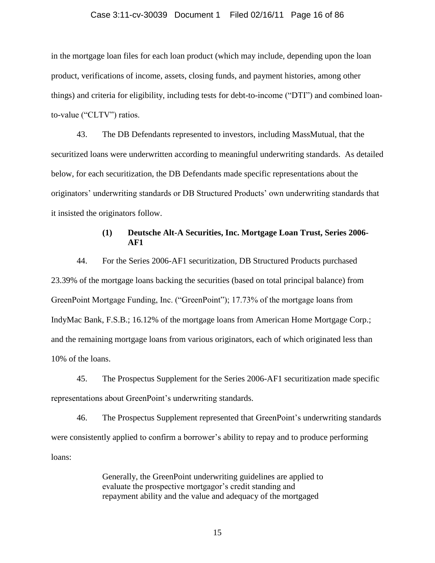#### Case 3:11-cv-30039 Document 1 Filed 02/16/11 Page 16 of 86

in the mortgage loan files for each loan product (which may include, depending upon the loan product, verifications of income, assets, closing funds, and payment histories, among other things) and criteria for eligibility, including tests for debt-to-income ("DTI") and combined loanto-value ("CLTV") ratios.

43. The DB Defendants represented to investors, including MassMutual, that the securitized loans were underwritten according to meaningful underwriting standards. As detailed below, for each securitization, the DB Defendants made specific representations about the originators' underwriting standards or DB Structured Products' own underwriting standards that it insisted the originators follow.

## **(1) Deutsche Alt-A Securities, Inc. Mortgage Loan Trust, Series 2006- AF1**

44. For the Series 2006-AF1 securitization, DB Structured Products purchased 23.39% of the mortgage loans backing the securities (based on total principal balance) from GreenPoint Mortgage Funding, Inc. ("GreenPoint"); 17.73% of the mortgage loans from IndyMac Bank, F.S.B.; 16.12% of the mortgage loans from American Home Mortgage Corp.; and the remaining mortgage loans from various originators, each of which originated less than 10% of the loans.

45. The Prospectus Supplement for the Series 2006-AF1 securitization made specific representations about GreenPoint's underwriting standards.

46. The Prospectus Supplement represented that GreenPoint's underwriting standards were consistently applied to confirm a borrower's ability to repay and to produce performing loans:

> Generally, the GreenPoint underwriting guidelines are applied to evaluate the prospective mortgagor's credit standing and repayment ability and the value and adequacy of the mortgaged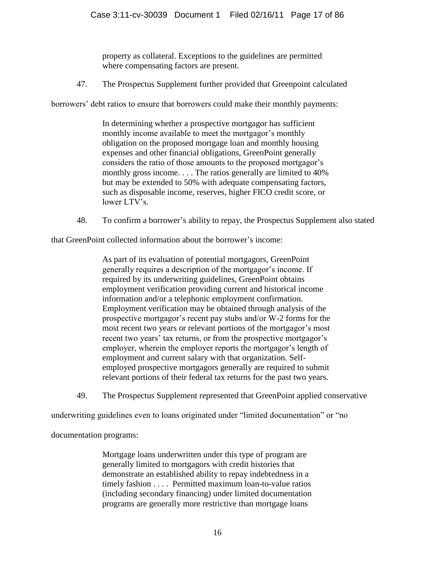property as collateral. Exceptions to the guidelines are permitted where compensating factors are present.

47. The Prospectus Supplement further provided that Greenpoint calculated

borrowers' debt ratios to ensure that borrowers could make their monthly payments:

In determining whether a prospective mortgagor has sufficient monthly income available to meet the mortgagor's monthly obligation on the proposed mortgage loan and monthly housing expenses and other financial obligations, GreenPoint generally considers the ratio of those amounts to the proposed mortgagor's monthly gross income. . . . The ratios generally are limited to 40% but may be extended to 50% with adequate compensating factors, such as disposable income, reserves, higher FICO credit score, or lower LTV's.

48. To confirm a borrower's ability to repay, the Prospectus Supplement also stated

that GreenPoint collected information about the borrower's income:

As part of its evaluation of potential mortgagors, GreenPoint generally requires a description of the mortgagor's income. If required by its underwriting guidelines, GreenPoint obtains employment verification providing current and historical income information and/or a telephonic employment confirmation. Employment verification may be obtained through analysis of the prospective mortgagor's recent pay stubs and/or W-2 forms for the most recent two years or relevant portions of the mortgagor's most recent two years' tax returns, or from the prospective mortgagor's employer, wherein the employer reports the mortgagor's length of employment and current salary with that organization. Selfemployed prospective mortgagors generally are required to submit relevant portions of their federal tax returns for the past two years.

49. The Prospectus Supplement represented that GreenPoint applied conservative

underwriting guidelines even to loans originated under "limited documentation" or "no

documentation programs:

Mortgage loans underwritten under this type of program are generally limited to mortgagors with credit histories that demonstrate an established ability to repay indebtedness in a timely fashion . . . . Permitted maximum loan-to-value ratios (including secondary financing) under limited documentation programs are generally more restrictive than mortgage loans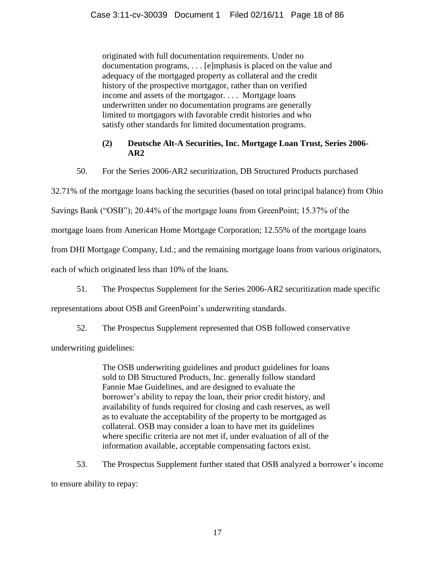originated with full documentation requirements. Under no documentation programs, . . . [e]mphasis is placed on the value and adequacy of the mortgaged property as collateral and the credit history of the prospective mortgagor, rather than on verified income and assets of the mortgagor. . . . Mortgage loans underwritten under no documentation programs are generally limited to mortgagors with favorable credit histories and who satisfy other standards for limited documentation programs.

# **(2) Deutsche Alt-A Securities, Inc. Mortgage Loan Trust, Series 2006- AR2**

50. For the Series 2006-AR2 securitization, DB Structured Products purchased

32.71% of the mortgage loans backing the securities (based on total principal balance) from Ohio

Savings Bank ("OSB"); 20.44% of the mortgage loans from GreenPoint; 15.37% of the

mortgage loans from American Home Mortgage Corporation; 12.55% of the mortgage loans

from DHI Mortgage Company, Ltd.; and the remaining mortgage loans from various originators,

each of which originated less than 10% of the loans.

51. The Prospectus Supplement for the Series 2006-AR2 securitization made specific

representations about OSB and GreenPoint's underwriting standards.

52. The Prospectus Supplement represented that OSB followed conservative

underwriting guidelines:

The OSB underwriting guidelines and product guidelines for loans sold to DB Structured Products, Inc. generally follow standard Fannie Mae Guidelines, and are designed to evaluate the borrower's ability to repay the loan, their prior credit history, and availability of funds required for closing and cash reserves, as well as to evaluate the acceptability of the property to be mortgaged as collateral. OSB may consider a loan to have met its guidelines where specific criteria are not met if, under evaluation of all of the information available, acceptable compensating factors exist.

53. The Prospectus Supplement further stated that OSB analyzed a borrower's income

to ensure ability to repay: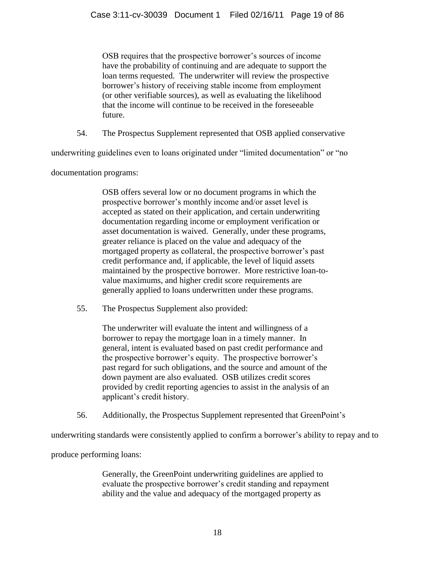OSB requires that the prospective borrower's sources of income have the probability of continuing and are adequate to support the loan terms requested. The underwriter will review the prospective borrower's history of receiving stable income from employment (or other verifiable sources), as well as evaluating the likelihood that the income will continue to be received in the foreseeable future.

54. The Prospectus Supplement represented that OSB applied conservative

underwriting guidelines even to loans originated under "limited documentation" or "no

documentation programs:

OSB offers several low or no document programs in which the prospective borrower's monthly income and/or asset level is accepted as stated on their application, and certain underwriting documentation regarding income or employment verification or asset documentation is waived. Generally, under these programs, greater reliance is placed on the value and adequacy of the mortgaged property as collateral, the prospective borrower's past credit performance and, if applicable, the level of liquid assets maintained by the prospective borrower. More restrictive loan-tovalue maximums, and higher credit score requirements are generally applied to loans underwritten under these programs.

55. The Prospectus Supplement also provided:

The underwriter will evaluate the intent and willingness of a borrower to repay the mortgage loan in a timely manner. In general, intent is evaluated based on past credit performance and the prospective borrower's equity. The prospective borrower's past regard for such obligations, and the source and amount of the down payment are also evaluated. OSB utilizes credit scores provided by credit reporting agencies to assist in the analysis of an applicant's credit history.

56. Additionally, the Prospectus Supplement represented that GreenPoint's

underwriting standards were consistently applied to confirm a borrower's ability to repay and to

produce performing loans:

Generally, the GreenPoint underwriting guidelines are applied to evaluate the prospective borrower's credit standing and repayment ability and the value and adequacy of the mortgaged property as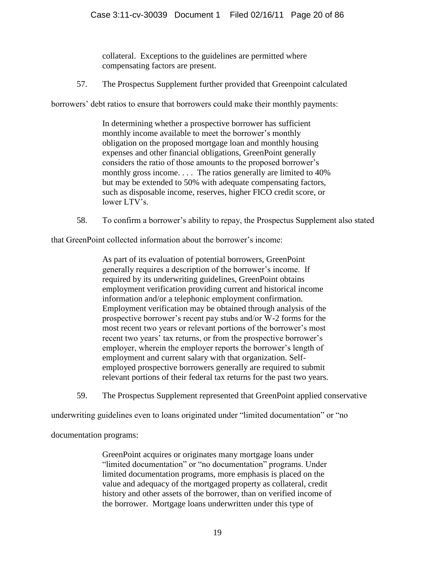collateral. Exceptions to the guidelines are permitted where compensating factors are present.

57. The Prospectus Supplement further provided that Greenpoint calculated

borrowers' debt ratios to ensure that borrowers could make their monthly payments:

In determining whether a prospective borrower has sufficient monthly income available to meet the borrower's monthly obligation on the proposed mortgage loan and monthly housing expenses and other financial obligations, GreenPoint generally considers the ratio of those amounts to the proposed borrower's monthly gross income. . . . The ratios generally are limited to 40% but may be extended to 50% with adequate compensating factors, such as disposable income, reserves, higher FICO credit score, or lower LTV's.

58. To confirm a borrower's ability to repay, the Prospectus Supplement also stated

that GreenPoint collected information about the borrower's income:

As part of its evaluation of potential borrowers, GreenPoint generally requires a description of the borrower's income. If required by its underwriting guidelines, GreenPoint obtains employment verification providing current and historical income information and/or a telephonic employment confirmation. Employment verification may be obtained through analysis of the prospective borrower's recent pay stubs and/or W-2 forms for the most recent two years or relevant portions of the borrower's most recent two years' tax returns, or from the prospective borrower's employer, wherein the employer reports the borrower's length of employment and current salary with that organization. Selfemployed prospective borrowers generally are required to submit relevant portions of their federal tax returns for the past two years.

59. The Prospectus Supplement represented that GreenPoint applied conservative

underwriting guidelines even to loans originated under "limited documentation" or "no

documentation programs:

GreenPoint acquires or originates many mortgage loans under "limited documentation" or "no documentation" programs. Under limited documentation programs, more emphasis is placed on the value and adequacy of the mortgaged property as collateral, credit history and other assets of the borrower, than on verified income of the borrower. Mortgage loans underwritten under this type of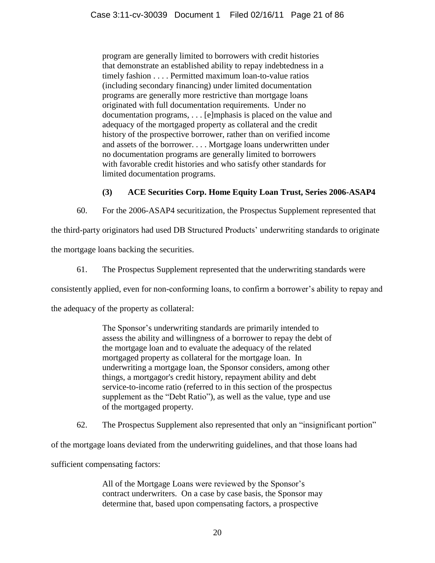program are generally limited to borrowers with credit histories that demonstrate an established ability to repay indebtedness in a timely fashion . . . . Permitted maximum loan-to-value ratios (including secondary financing) under limited documentation programs are generally more restrictive than mortgage loans originated with full documentation requirements. Under no documentation programs, . . . [e]mphasis is placed on the value and adequacy of the mortgaged property as collateral and the credit history of the prospective borrower, rather than on verified income and assets of the borrower. . . . Mortgage loans underwritten under no documentation programs are generally limited to borrowers with favorable credit histories and who satisfy other standards for limited documentation programs.

# **(3) ACE Securities Corp. Home Equity Loan Trust, Series 2006-ASAP4**

60. For the 2006-ASAP4 securitization, the Prospectus Supplement represented that

the third-party originators had used DB Structured Products' underwriting standards to originate

the mortgage loans backing the securities.

61. The Prospectus Supplement represented that the underwriting standards were

consistently applied, even for non-conforming loans, to confirm a borrower's ability to repay and

the adequacy of the property as collateral:

The Sponsor's underwriting standards are primarily intended to assess the ability and willingness of a borrower to repay the debt of the mortgage loan and to evaluate the adequacy of the related mortgaged property as collateral for the mortgage loan. In underwriting a mortgage loan, the Sponsor considers, among other things, a mortgagor's credit history, repayment ability and debt service-to-income ratio (referred to in this section of the prospectus supplement as the "Debt Ratio"), as well as the value, type and use of the mortgaged property.

62. The Prospectus Supplement also represented that only an "insignificant portion"

of the mortgage loans deviated from the underwriting guidelines, and that those loans had

sufficient compensating factors:

All of the Mortgage Loans were reviewed by the Sponsor's contract underwriters. On a case by case basis, the Sponsor may determine that, based upon compensating factors, a prospective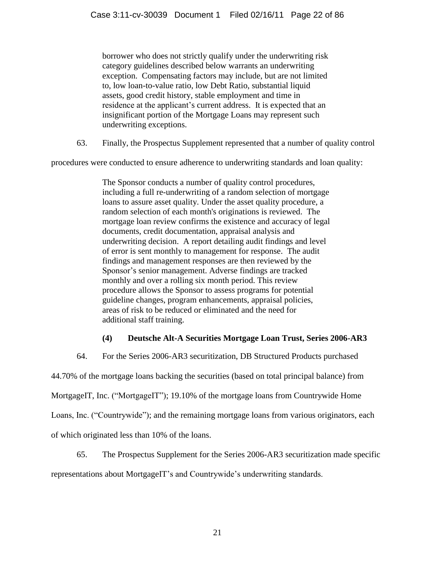borrower who does not strictly qualify under the underwriting risk category guidelines described below warrants an underwriting exception. Compensating factors may include, but are not limited to, low loan-to-value ratio, low Debt Ratio, substantial liquid assets, good credit history, stable employment and time in residence at the applicant's current address. It is expected that an insignificant portion of the Mortgage Loans may represent such underwriting exceptions.

63. Finally, the Prospectus Supplement represented that a number of quality control

procedures were conducted to ensure adherence to underwriting standards and loan quality:

The Sponsor conducts a number of quality control procedures, including a full re-underwriting of a random selection of mortgage loans to assure asset quality. Under the asset quality procedure, a random selection of each month's originations is reviewed. The mortgage loan review confirms the existence and accuracy of legal documents, credit documentation, appraisal analysis and underwriting decision. A report detailing audit findings and level of error is sent monthly to management for response. The audit findings and management responses are then reviewed by the Sponsor's senior management. Adverse findings are tracked monthly and over a rolling six month period. This review procedure allows the Sponsor to assess programs for potential guideline changes, program enhancements, appraisal policies, areas of risk to be reduced or eliminated and the need for additional staff training.

# **(4) Deutsche Alt-A Securities Mortgage Loan Trust, Series 2006-AR3**

64. For the Series 2006-AR3 securitization, DB Structured Products purchased

44.70% of the mortgage loans backing the securities (based on total principal balance) from

MortgageIT, Inc. ("MortgageIT"); 19.10% of the mortgage loans from Countrywide Home

Loans, Inc. ("Countrywide"); and the remaining mortgage loans from various originators, each

of which originated less than 10% of the loans.

65. The Prospectus Supplement for the Series 2006-AR3 securitization made specific representations about MortgageIT's and Countrywide's underwriting standards.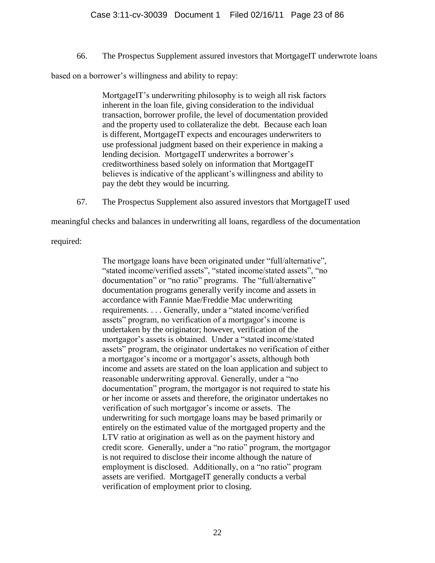66. The Prospectus Supplement assured investors that MortgageIT underwrote loans

based on a borrower's willingness and ability to repay:

MortgageIT's underwriting philosophy is to weigh all risk factors inherent in the loan file, giving consideration to the individual transaction, borrower profile, the level of documentation provided and the property used to collateralize the debt. Because each loan is different, MortgageIT expects and encourages underwriters to use professional judgment based on their experience in making a lending decision. MortgageIT underwrites a borrower's creditworthiness based solely on information that MortgageIT believes is indicative of the applicant's willingness and ability to pay the debt they would be incurring.

67. The Prospectus Supplement also assured investors that MortgageIT used

meaningful checks and balances in underwriting all loans, regardless of the documentation

required:

The mortgage loans have been originated under "full/alternative", "stated income/verified assets", "stated income/stated assets", "no documentation" or "no ratio" programs. The "full/alternative" documentation programs generally verify income and assets in accordance with Fannie Mae/Freddie Mac underwriting requirements. . . . Generally, under a "stated income/verified assets" program, no verification of a mortgagor's income is undertaken by the originator; however, verification of the mortgagor's assets is obtained. Under a "stated income/stated assets" program, the originator undertakes no verification of either a mortgagor's income or a mortgagor's assets, although both income and assets are stated on the loan application and subject to reasonable underwriting approval. Generally, under a "no documentation" program, the mortgagor is not required to state his or her income or assets and therefore, the originator undertakes no verification of such mortgagor's income or assets. The underwriting for such mortgage loans may be based primarily or entirely on the estimated value of the mortgaged property and the LTV ratio at origination as well as on the payment history and credit score. Generally, under a "no ratio" program, the mortgagor is not required to disclose their income although the nature of employment is disclosed. Additionally, on a "no ratio" program assets are verified. MortgageIT generally conducts a verbal verification of employment prior to closing.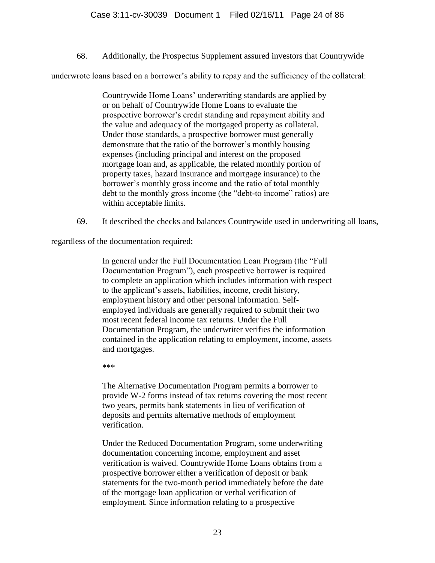68. Additionally, the Prospectus Supplement assured investors that Countrywide

underwrote loans based on a borrower's ability to repay and the sufficiency of the collateral:

Countrywide Home Loans' underwriting standards are applied by or on behalf of Countrywide Home Loans to evaluate the prospective borrower's credit standing and repayment ability and the value and adequacy of the mortgaged property as collateral. Under those standards, a prospective borrower must generally demonstrate that the ratio of the borrower's monthly housing expenses (including principal and interest on the proposed mortgage loan and, as applicable, the related monthly portion of property taxes, hazard insurance and mortgage insurance) to the borrower's monthly gross income and the ratio of total monthly debt to the monthly gross income (the "debt-to income" ratios) are within acceptable limits.

69. It described the checks and balances Countrywide used in underwriting all loans,

regardless of the documentation required:

In general under the Full Documentation Loan Program (the "Full" Documentation Program"), each prospective borrower is required to complete an application which includes information with respect to the applicant's assets, liabilities, income, credit history, employment history and other personal information. Selfemployed individuals are generally required to submit their two most recent federal income tax returns. Under the Full Documentation Program, the underwriter verifies the information contained in the application relating to employment, income, assets and mortgages.

\*\*\*

The Alternative Documentation Program permits a borrower to provide W-2 forms instead of tax returns covering the most recent two years, permits bank statements in lieu of verification of deposits and permits alternative methods of employment verification.

Under the Reduced Documentation Program, some underwriting documentation concerning income, employment and asset verification is waived. Countrywide Home Loans obtains from a prospective borrower either a verification of deposit or bank statements for the two-month period immediately before the date of the mortgage loan application or verbal verification of employment. Since information relating to a prospective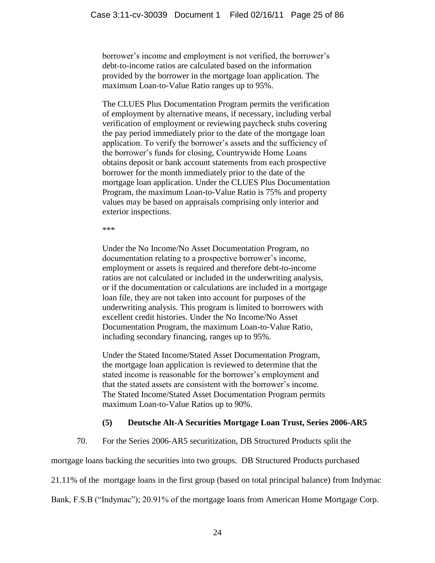borrower's income and employment is not verified, the borrower's debt-to-income ratios are calculated based on the information provided by the borrower in the mortgage loan application. The maximum Loan-to-Value Ratio ranges up to 95%.

The CLUES Plus Documentation Program permits the verification of employment by alternative means, if necessary, including verbal verification of employment or reviewing paycheck stubs covering the pay period immediately prior to the date of the mortgage loan application. To verify the borrower's assets and the sufficiency of the borrower's funds for closing, Countrywide Home Loans obtains deposit or bank account statements from each prospective borrower for the month immediately prior to the date of the mortgage loan application. Under the CLUES Plus Documentation Program, the maximum Loan-to-Value Ratio is 75% and property values may be based on appraisals comprising only interior and exterior inspections.

\*\*\*

Under the No Income/No Asset Documentation Program, no documentation relating to a prospective borrower's income, employment or assets is required and therefore debt-to-income ratios are not calculated or included in the underwriting analysis, or if the documentation or calculations are included in a mortgage loan file, they are not taken into account for purposes of the underwriting analysis. This program is limited to borrowers with excellent credit histories. Under the No Income/No Asset Documentation Program, the maximum Loan-to-Value Ratio, including secondary financing, ranges up to 95%.

Under the Stated Income/Stated Asset Documentation Program, the mortgage loan application is reviewed to determine that the stated income is reasonable for the borrower's employment and that the stated assets are consistent with the borrower's income. The Stated Income/Stated Asset Documentation Program permits maximum Loan-to-Value Ratios up to 90%.

# **(5) Deutsche Alt-A Securities Mortgage Loan Trust, Series 2006-AR5**

70. For the Series 2006-AR5 securitization, DB Structured Products split the

mortgage loans backing the securities into two groups. DB Structured Products purchased

21.11% of the mortgage loans in the first group (based on total principal balance) from Indymac

Bank, F.S.B ("Indymac"); 20.91% of the mortgage loans from American Home Mortgage Corp.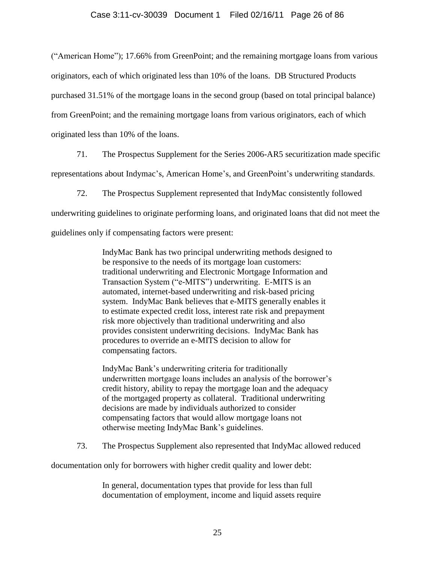## Case 3:11-cv-30039 Document 1 Filed 02/16/11 Page 26 of 86

("American Home"); 17.66% from GreenPoint; and the remaining mortgage loans from various originators, each of which originated less than 10% of the loans. DB Structured Products purchased 31.51% of the mortgage loans in the second group (based on total principal balance) from GreenPoint; and the remaining mortgage loans from various originators, each of which originated less than 10% of the loans.

71. The Prospectus Supplement for the Series 2006-AR5 securitization made specific representations about Indymac's, American Home's, and GreenPoint's underwriting standards.

72. The Prospectus Supplement represented that IndyMac consistently followed underwriting guidelines to originate performing loans, and originated loans that did not meet the guidelines only if compensating factors were present:

> IndyMac Bank has two principal underwriting methods designed to be responsive to the needs of its mortgage loan customers: traditional underwriting and Electronic Mortgage Information and Transaction System ("e-MITS") underwriting. E-MITS is an automated, internet-based underwriting and risk-based pricing system. IndyMac Bank believes that e-MITS generally enables it to estimate expected credit loss, interest rate risk and prepayment risk more objectively than traditional underwriting and also provides consistent underwriting decisions. IndyMac Bank has procedures to override an e-MITS decision to allow for compensating factors.

> IndyMac Bank's underwriting criteria for traditionally underwritten mortgage loans includes an analysis of the borrower's credit history, ability to repay the mortgage loan and the adequacy of the mortgaged property as collateral. Traditional underwriting decisions are made by individuals authorized to consider compensating factors that would allow mortgage loans not otherwise meeting IndyMac Bank's guidelines.

73. The Prospectus Supplement also represented that IndyMac allowed reduced

documentation only for borrowers with higher credit quality and lower debt:

In general, documentation types that provide for less than full documentation of employment, income and liquid assets require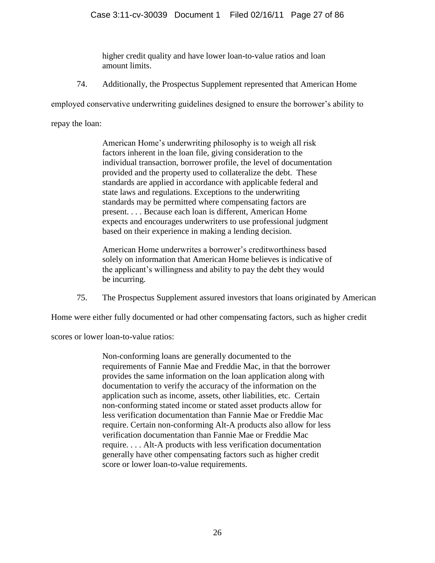higher credit quality and have lower loan-to-value ratios and loan amount limits.

74. Additionally, the Prospectus Supplement represented that American Home

employed conservative underwriting guidelines designed to ensure the borrower's ability to

repay the loan:

American Home's underwriting philosophy is to weigh all risk factors inherent in the loan file, giving consideration to the individual transaction, borrower profile, the level of documentation provided and the property used to collateralize the debt. These standards are applied in accordance with applicable federal and state laws and regulations. Exceptions to the underwriting standards may be permitted where compensating factors are present. . . . Because each loan is different, American Home expects and encourages underwriters to use professional judgment based on their experience in making a lending decision.

American Home underwrites a borrower's creditworthiness based solely on information that American Home believes is indicative of the applicant's willingness and ability to pay the debt they would be incurring.

75. The Prospectus Supplement assured investors that loans originated by American

Home were either fully documented or had other compensating factors, such as higher credit

scores or lower loan-to-value ratios:

Non-conforming loans are generally documented to the requirements of Fannie Mae and Freddie Mac, in that the borrower provides the same information on the loan application along with documentation to verify the accuracy of the information on the application such as income, assets, other liabilities, etc. Certain non-conforming stated income or stated asset products allow for less verification documentation than Fannie Mae or Freddie Mac require. Certain non-conforming Alt-A products also allow for less verification documentation than Fannie Mae or Freddie Mac require. . . . Alt-A products with less verification documentation generally have other compensating factors such as higher credit score or lower loan-to-value requirements.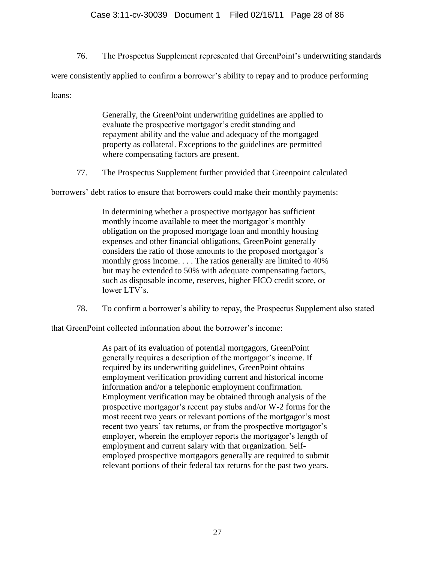76. The Prospectus Supplement represented that GreenPoint's underwriting standards were consistently applied to confirm a borrower's ability to repay and to produce performing loans:

> Generally, the GreenPoint underwriting guidelines are applied to evaluate the prospective mortgagor's credit standing and repayment ability and the value and adequacy of the mortgaged property as collateral. Exceptions to the guidelines are permitted where compensating factors are present.

77. The Prospectus Supplement further provided that Greenpoint calculated

borrowers' debt ratios to ensure that borrowers could make their monthly payments:

In determining whether a prospective mortgagor has sufficient monthly income available to meet the mortgagor's monthly obligation on the proposed mortgage loan and monthly housing expenses and other financial obligations, GreenPoint generally considers the ratio of those amounts to the proposed mortgagor's monthly gross income. . . . The ratios generally are limited to 40% but may be extended to 50% with adequate compensating factors, such as disposable income, reserves, higher FICO credit score, or lower LTV's.

78. To confirm a borrower's ability to repay, the Prospectus Supplement also stated

that GreenPoint collected information about the borrower's income:

As part of its evaluation of potential mortgagors, GreenPoint generally requires a description of the mortgagor's income. If required by its underwriting guidelines, GreenPoint obtains employment verification providing current and historical income information and/or a telephonic employment confirmation. Employment verification may be obtained through analysis of the prospective mortgagor's recent pay stubs and/or W-2 forms for the most recent two years or relevant portions of the mortgagor's most recent two years' tax returns, or from the prospective mortgagor's employer, wherein the employer reports the mortgagor's length of employment and current salary with that organization. Selfemployed prospective mortgagors generally are required to submit relevant portions of their federal tax returns for the past two years.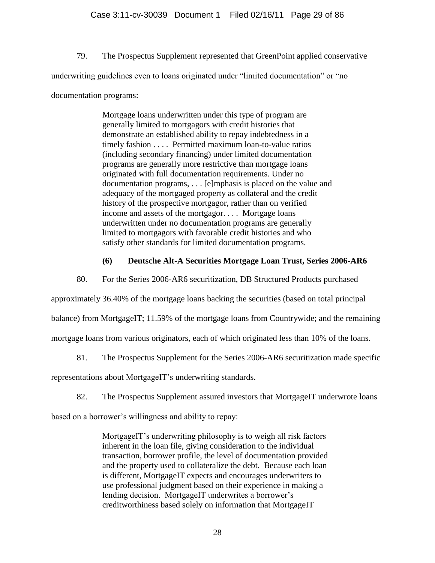79. The Prospectus Supplement represented that GreenPoint applied conservative

underwriting guidelines even to loans originated under "limited documentation" or "no

documentation programs:

Mortgage loans underwritten under this type of program are generally limited to mortgagors with credit histories that demonstrate an established ability to repay indebtedness in a timely fashion . . . . Permitted maximum loan-to-value ratios (including secondary financing) under limited documentation programs are generally more restrictive than mortgage loans originated with full documentation requirements. Under no documentation programs, . . . [e]mphasis is placed on the value and adequacy of the mortgaged property as collateral and the credit history of the prospective mortgagor, rather than on verified income and assets of the mortgagor. . . . Mortgage loans underwritten under no documentation programs are generally limited to mortgagors with favorable credit histories and who satisfy other standards for limited documentation programs.

# **(6) Deutsche Alt-A Securities Mortgage Loan Trust, Series 2006-AR6**

80. For the Series 2006-AR6 securitization, DB Structured Products purchased

approximately 36.40% of the mortgage loans backing the securities (based on total principal

balance) from MortgageIT; 11.59% of the mortgage loans from Countrywide; and the remaining

mortgage loans from various originators, each of which originated less than 10% of the loans.

81. The Prospectus Supplement for the Series 2006-AR6 securitization made specific

representations about MortgageIT's underwriting standards.

82. The Prospectus Supplement assured investors that MortgageIT underwrote loans

based on a borrower's willingness and ability to repay:

MortgageIT's underwriting philosophy is to weigh all risk factors inherent in the loan file, giving consideration to the individual transaction, borrower profile, the level of documentation provided and the property used to collateralize the debt. Because each loan is different, MortgageIT expects and encourages underwriters to use professional judgment based on their experience in making a lending decision. MortgageIT underwrites a borrower's creditworthiness based solely on information that MortgageIT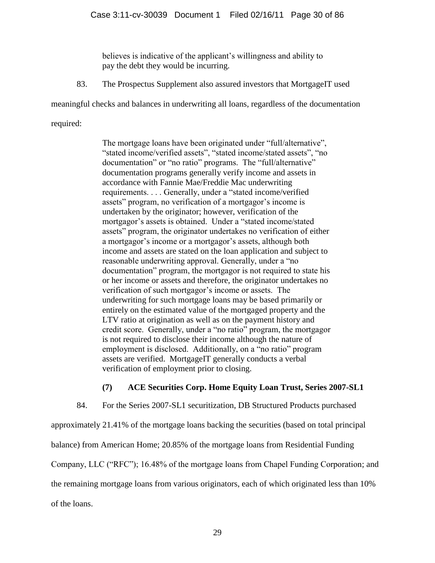believes is indicative of the applicant's willingness and ability to pay the debt they would be incurring.

83. The Prospectus Supplement also assured investors that MortgageIT used

meaningful checks and balances in underwriting all loans, regardless of the documentation

required:

The mortgage loans have been originated under "full/alternative", "stated income/verified assets", "stated income/stated assets", "no documentation" or "no ratio" programs. The "full/alternative" documentation programs generally verify income and assets in accordance with Fannie Mae/Freddie Mac underwriting requirements. . . . Generally, under a "stated income/verified assets" program, no verification of a mortgagor's income is undertaken by the originator; however, verification of the mortgagor's assets is obtained. Under a "stated income/stated assets" program, the originator undertakes no verification of either a mortgagor's income or a mortgagor's assets, although both income and assets are stated on the loan application and subject to reasonable underwriting approval. Generally, under a "no documentation" program, the mortgagor is not required to state his or her income or assets and therefore, the originator undertakes no verification of such mortgagor's income or assets. The underwriting for such mortgage loans may be based primarily or entirely on the estimated value of the mortgaged property and the LTV ratio at origination as well as on the payment history and credit score. Generally, under a "no ratio" program, the mortgagor is not required to disclose their income although the nature of employment is disclosed. Additionally, on a "no ratio" program assets are verified. MortgageIT generally conducts a verbal verification of employment prior to closing.

# **(7) ACE Securities Corp. Home Equity Loan Trust, Series 2007-SL1**

84. For the Series 2007-SL1 securitization, DB Structured Products purchased approximately 21.41% of the mortgage loans backing the securities (based on total principal balance) from American Home; 20.85% of the mortgage loans from Residential Funding Company, LLC ("RFC"); 16.48% of the mortgage loans from Chapel Funding Corporation; and the remaining mortgage loans from various originators, each of which originated less than 10% of the loans.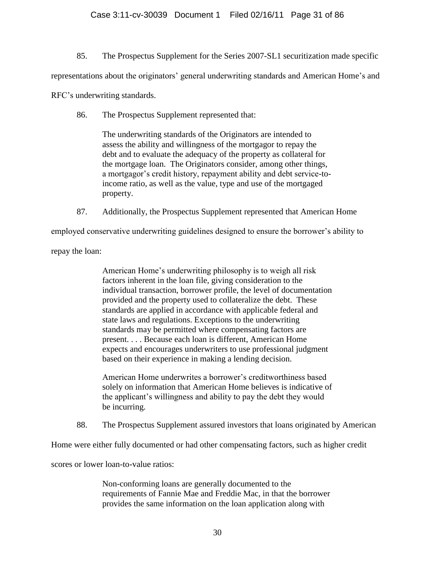85. The Prospectus Supplement for the Series 2007-SL1 securitization made specific

representations about the originators' general underwriting standards and American Home's and

RFC's underwriting standards.

86. The Prospectus Supplement represented that:

The underwriting standards of the Originators are intended to assess the ability and willingness of the mortgagor to repay the debt and to evaluate the adequacy of the property as collateral for the mortgage loan. The Originators consider, among other things, a mortgagor's credit history, repayment ability and debt service-toincome ratio, as well as the value, type and use of the mortgaged property.

87. Additionally, the Prospectus Supplement represented that American Home

employed conservative underwriting guidelines designed to ensure the borrower's ability to

repay the loan:

American Home's underwriting philosophy is to weigh all risk factors inherent in the loan file, giving consideration to the individual transaction, borrower profile, the level of documentation provided and the property used to collateralize the debt. These standards are applied in accordance with applicable federal and state laws and regulations. Exceptions to the underwriting standards may be permitted where compensating factors are present. . . . Because each loan is different, American Home expects and encourages underwriters to use professional judgment based on their experience in making a lending decision.

American Home underwrites a borrower's creditworthiness based solely on information that American Home believes is indicative of the applicant's willingness and ability to pay the debt they would be incurring.

88. The Prospectus Supplement assured investors that loans originated by American

Home were either fully documented or had other compensating factors, such as higher credit

scores or lower loan-to-value ratios:

Non-conforming loans are generally documented to the requirements of Fannie Mae and Freddie Mac, in that the borrower provides the same information on the loan application along with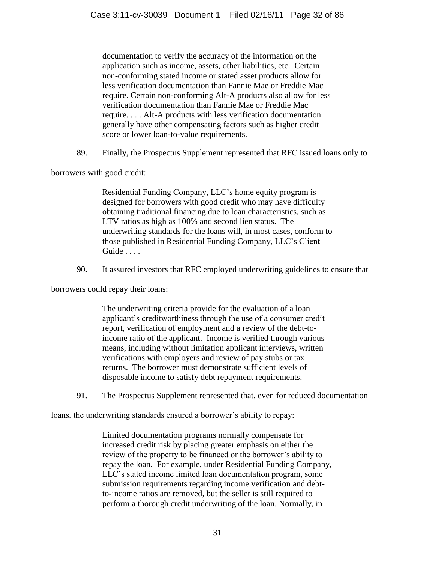documentation to verify the accuracy of the information on the application such as income, assets, other liabilities, etc. Certain non-conforming stated income or stated asset products allow for less verification documentation than Fannie Mae or Freddie Mac require. Certain non-conforming Alt-A products also allow for less verification documentation than Fannie Mae or Freddie Mac require. . . . Alt-A products with less verification documentation generally have other compensating factors such as higher credit score or lower loan-to-value requirements.

89. Finally, the Prospectus Supplement represented that RFC issued loans only to

borrowers with good credit:

Residential Funding Company, LLC's home equity program is designed for borrowers with good credit who may have difficulty obtaining traditional financing due to loan characteristics, such as LTV ratios as high as 100% and second lien status. The underwriting standards for the loans will, in most cases, conform to those published in Residential Funding Company, LLC's Client Guide . . . .

90. It assured investors that RFC employed underwriting guidelines to ensure that

borrowers could repay their loans:

The underwriting criteria provide for the evaluation of a loan applicant's creditworthiness through the use of a consumer credit report, verification of employment and a review of the debt-toincome ratio of the applicant. Income is verified through various means, including without limitation applicant interviews, written verifications with employers and review of pay stubs or tax returns. The borrower must demonstrate sufficient levels of disposable income to satisfy debt repayment requirements.

91. The Prospectus Supplement represented that, even for reduced documentation

loans, the underwriting standards ensured a borrower's ability to repay:

Limited documentation programs normally compensate for increased credit risk by placing greater emphasis on either the review of the property to be financed or the borrower's ability to repay the loan. For example, under Residential Funding Company, LLC's stated income limited loan documentation program, some submission requirements regarding income verification and debtto-income ratios are removed, but the seller is still required to perform a thorough credit underwriting of the loan. Normally, in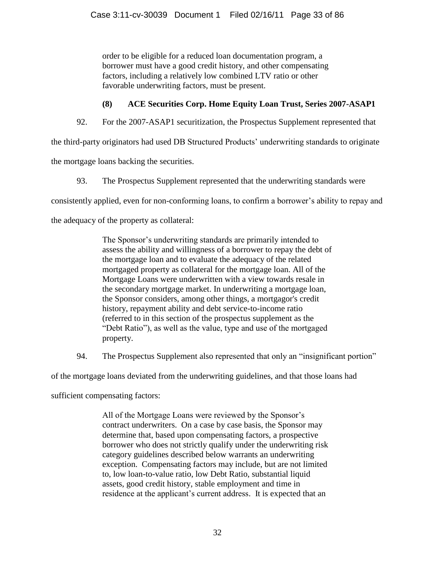order to be eligible for a reduced loan documentation program, a borrower must have a good credit history, and other compensating factors, including a relatively low combined LTV ratio or other favorable underwriting factors, must be present.

# **(8) ACE Securities Corp. Home Equity Loan Trust, Series 2007-ASAP1**

92. For the 2007-ASAP1 securitization, the Prospectus Supplement represented that

the third-party originators had used DB Structured Products' underwriting standards to originate

the mortgage loans backing the securities.

93. The Prospectus Supplement represented that the underwriting standards were

consistently applied, even for non-conforming loans, to confirm a borrower's ability to repay and

the adequacy of the property as collateral:

The Sponsor's underwriting standards are primarily intended to assess the ability and willingness of a borrower to repay the debt of the mortgage loan and to evaluate the adequacy of the related mortgaged property as collateral for the mortgage loan. All of the Mortgage Loans were underwritten with a view towards resale in the secondary mortgage market. In underwriting a mortgage loan, the Sponsor considers, among other things, a mortgagor's credit history, repayment ability and debt service-to-income ratio (referred to in this section of the prospectus supplement as the "Debt Ratio"), as well as the value, type and use of the mortgaged property.

94. The Prospectus Supplement also represented that only an "insignificant portion"

of the mortgage loans deviated from the underwriting guidelines, and that those loans had

sufficient compensating factors:

All of the Mortgage Loans were reviewed by the Sponsor's contract underwriters. On a case by case basis, the Sponsor may determine that, based upon compensating factors, a prospective borrower who does not strictly qualify under the underwriting risk category guidelines described below warrants an underwriting exception. Compensating factors may include, but are not limited to, low loan-to-value ratio, low Debt Ratio, substantial liquid assets, good credit history, stable employment and time in residence at the applicant's current address. It is expected that an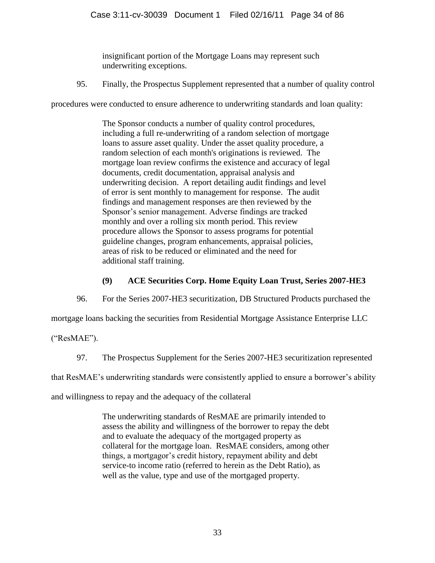insignificant portion of the Mortgage Loans may represent such underwriting exceptions.

95. Finally, the Prospectus Supplement represented that a number of quality control

procedures were conducted to ensure adherence to underwriting standards and loan quality:

The Sponsor conducts a number of quality control procedures, including a full re-underwriting of a random selection of mortgage loans to assure asset quality. Under the asset quality procedure, a random selection of each month's originations is reviewed. The mortgage loan review confirms the existence and accuracy of legal documents, credit documentation, appraisal analysis and underwriting decision. A report detailing audit findings and level of error is sent monthly to management for response. The audit findings and management responses are then reviewed by the Sponsor's senior management. Adverse findings are tracked monthly and over a rolling six month period. This review procedure allows the Sponsor to assess programs for potential guideline changes, program enhancements, appraisal policies, areas of risk to be reduced or eliminated and the need for additional staff training.

# **(9) ACE Securities Corp. Home Equity Loan Trust, Series 2007-HE3**

96. For the Series 2007-HE3 securitization, DB Structured Products purchased the

mortgage loans backing the securities from Residential Mortgage Assistance Enterprise LLC

("ResMAE").

97. The Prospectus Supplement for the Series 2007-HE3 securitization represented

that ResMAE's underwriting standards were consistently applied to ensure a borrower's ability

and willingness to repay and the adequacy of the collateral

The underwriting standards of ResMAE are primarily intended to assess the ability and willingness of the borrower to repay the debt and to evaluate the adequacy of the mortgaged property as collateral for the mortgage loan. ResMAE considers, among other things, a mortgagor's credit history, repayment ability and debt service-to income ratio (referred to herein as the Debt Ratio), as well as the value, type and use of the mortgaged property.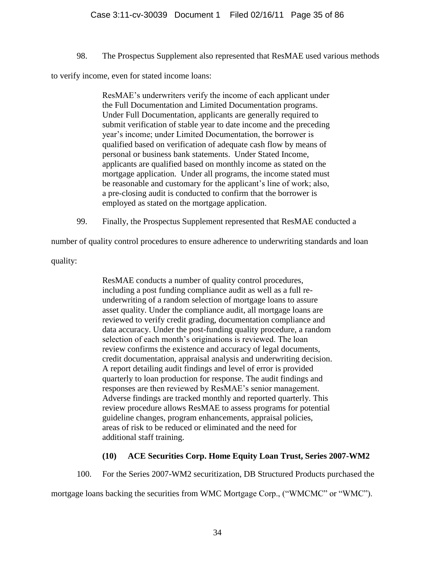98. The Prospectus Supplement also represented that ResMAE used various methods

to verify income, even for stated income loans:

ResMAE's underwriters verify the income of each applicant under the Full Documentation and Limited Documentation programs. Under Full Documentation, applicants are generally required to submit verification of stable year to date income and the preceding year's income; under Limited Documentation, the borrower is qualified based on verification of adequate cash flow by means of personal or business bank statements. Under Stated Income, applicants are qualified based on monthly income as stated on the mortgage application. Under all programs, the income stated must be reasonable and customary for the applicant's line of work; also, a pre-closing audit is conducted to confirm that the borrower is employed as stated on the mortgage application.

99. Finally, the Prospectus Supplement represented that ResMAE conducted a

number of quality control procedures to ensure adherence to underwriting standards and loan

quality:

ResMAE conducts a number of quality control procedures, including a post funding compliance audit as well as a full reunderwriting of a random selection of mortgage loans to assure asset quality. Under the compliance audit, all mortgage loans are reviewed to verify credit grading, documentation compliance and data accuracy. Under the post-funding quality procedure, a random selection of each month's originations is reviewed. The loan review confirms the existence and accuracy of legal documents, credit documentation, appraisal analysis and underwriting decision. A report detailing audit findings and level of error is provided quarterly to loan production for response. The audit findings and responses are then reviewed by ResMAE's senior management. Adverse findings are tracked monthly and reported quarterly. This review procedure allows ResMAE to assess programs for potential guideline changes, program enhancements, appraisal policies, areas of risk to be reduced or eliminated and the need for additional staff training.

# **(10) ACE Securities Corp. Home Equity Loan Trust, Series 2007-WM2**

100. For the Series 2007-WM2 securitization, DB Structured Products purchased the mortgage loans backing the securities from WMC Mortgage Corp., ("WMCMC" or "WMC").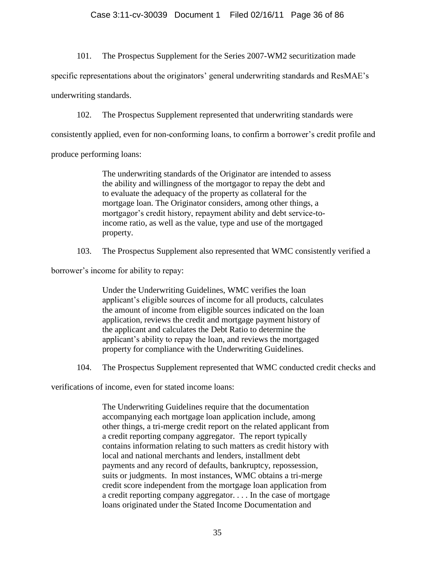## Case 3:11-cv-30039 Document 1 Filed 02/16/11 Page 36 of 86

101. The Prospectus Supplement for the Series 2007-WM2 securitization made

specific representations about the originators' general underwriting standards and ResMAE's

underwriting standards.

102. The Prospectus Supplement represented that underwriting standards were

consistently applied, even for non-conforming loans, to confirm a borrower's credit profile and

produce performing loans:

The underwriting standards of the Originator are intended to assess the ability and willingness of the mortgagor to repay the debt and to evaluate the adequacy of the property as collateral for the mortgage loan. The Originator considers, among other things, a mortgagor's credit history, repayment ability and debt service-toincome ratio, as well as the value, type and use of the mortgaged property.

103. The Prospectus Supplement also represented that WMC consistently verified a

borrower's income for ability to repay:

Under the Underwriting Guidelines, WMC verifies the loan applicant's eligible sources of income for all products, calculates the amount of income from eligible sources indicated on the loan application, reviews the credit and mortgage payment history of the applicant and calculates the Debt Ratio to determine the applicant's ability to repay the loan, and reviews the mortgaged property for compliance with the Underwriting Guidelines.

104. The Prospectus Supplement represented that WMC conducted credit checks and

verifications of income, even for stated income loans:

The Underwriting Guidelines require that the documentation accompanying each mortgage loan application include, among other things, a tri-merge credit report on the related applicant from a credit reporting company aggregator. The report typically contains information relating to such matters as credit history with local and national merchants and lenders, installment debt payments and any record of defaults, bankruptcy, repossession, suits or judgments. In most instances, WMC obtains a tri-merge credit score independent from the mortgage loan application from a credit reporting company aggregator. . . . In the case of mortgage loans originated under the Stated Income Documentation and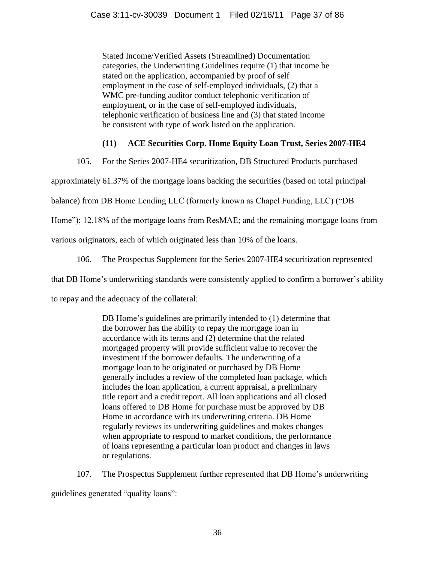Stated Income/Verified Assets (Streamlined) Documentation categories, the Underwriting Guidelines require (1) that income be stated on the application, accompanied by proof of self employment in the case of self-employed individuals, (2) that a WMC pre-funding auditor conduct telephonic verification of employment, or in the case of self-employed individuals, telephonic verification of business line and (3) that stated income be consistent with type of work listed on the application.

# **(11) ACE Securities Corp. Home Equity Loan Trust, Series 2007-HE4**

105. For the Series 2007-HE4 securitization, DB Structured Products purchased

approximately 61.37% of the mortgage loans backing the securities (based on total principal

balance) from DB Home Lending LLC (formerly known as Chapel Funding, LLC) ("DB

Home"); 12.18% of the mortgage loans from ResMAE; and the remaining mortgage loans from

various originators, each of which originated less than 10% of the loans.

106. The Prospectus Supplement for the Series 2007-HE4 securitization represented

that DB Home's underwriting standards were consistently applied to confirm a borrower's ability

to repay and the adequacy of the collateral:

DB Home's guidelines are primarily intended to (1) determine that the borrower has the ability to repay the mortgage loan in accordance with its terms and (2) determine that the related mortgaged property will provide sufficient value to recover the investment if the borrower defaults. The underwriting of a mortgage loan to be originated or purchased by DB Home generally includes a review of the completed loan package, which includes the loan application, a current appraisal, a preliminary title report and a credit report. All loan applications and all closed loans offered to DB Home for purchase must be approved by DB Home in accordance with its underwriting criteria. DB Home regularly reviews its underwriting guidelines and makes changes when appropriate to respond to market conditions, the performance of loans representing a particular loan product and changes in laws or regulations.

107. The Prospectus Supplement further represented that DB Home's underwriting guidelines generated "quality loans":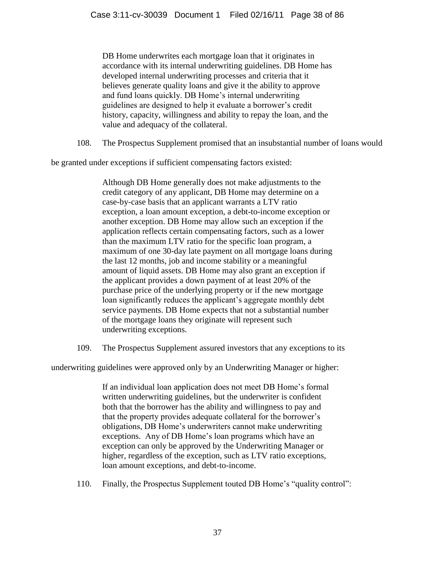DB Home underwrites each mortgage loan that it originates in accordance with its internal underwriting guidelines. DB Home has developed internal underwriting processes and criteria that it believes generate quality loans and give it the ability to approve and fund loans quickly. DB Home's internal underwriting guidelines are designed to help it evaluate a borrower's credit history, capacity, willingness and ability to repay the loan, and the value and adequacy of the collateral.

108. The Prospectus Supplement promised that an insubstantial number of loans would

be granted under exceptions if sufficient compensating factors existed:

Although DB Home generally does not make adjustments to the credit category of any applicant, DB Home may determine on a case-by-case basis that an applicant warrants a LTV ratio exception, a loan amount exception, a debt-to-income exception or another exception. DB Home may allow such an exception if the application reflects certain compensating factors, such as a lower than the maximum LTV ratio for the specific loan program, a maximum of one 30-day late payment on all mortgage loans during the last 12 months, job and income stability or a meaningful amount of liquid assets. DB Home may also grant an exception if the applicant provides a down payment of at least 20% of the purchase price of the underlying property or if the new mortgage loan significantly reduces the applicant's aggregate monthly debt service payments. DB Home expects that not a substantial number of the mortgage loans they originate will represent such underwriting exceptions.

109. The Prospectus Supplement assured investors that any exceptions to its

underwriting guidelines were approved only by an Underwriting Manager or higher:

If an individual loan application does not meet DB Home's formal written underwriting guidelines, but the underwriter is confident both that the borrower has the ability and willingness to pay and that the property provides adequate collateral for the borrower's obligations, DB Home's underwriters cannot make underwriting exceptions. Any of DB Home's loan programs which have an exception can only be approved by the Underwriting Manager or higher, regardless of the exception, such as LTV ratio exceptions, loan amount exceptions, and debt-to-income.

110. Finally, the Prospectus Supplement touted DB Home's "quality control":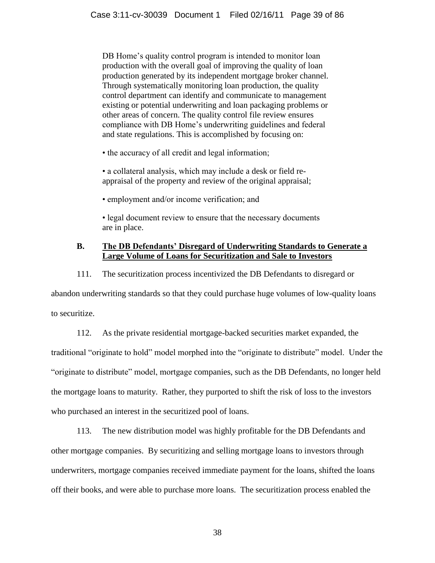DB Home's quality control program is intended to monitor loan production with the overall goal of improving the quality of loan production generated by its independent mortgage broker channel. Through systematically monitoring loan production, the quality control department can identify and communicate to management existing or potential underwriting and loan packaging problems or other areas of concern. The quality control file review ensures compliance with DB Home's underwriting guidelines and federal and state regulations. This is accomplished by focusing on:

• the accuracy of all credit and legal information;

• a collateral analysis, which may include a desk or field reappraisal of the property and review of the original appraisal;

• employment and/or income verification; and

• legal document review to ensure that the necessary documents are in place.

## **B. The DB Defendants' Disregard of Underwriting Standards to Generate a Large Volume of Loans for Securitization and Sale to Investors**

111. The securitization process incentivized the DB Defendants to disregard or

abandon underwriting standards so that they could purchase huge volumes of low-quality loans to securitize.

112. As the private residential mortgage-backed securities market expanded, the traditional "originate to hold" model morphed into the "originate to distribute" model. Under the "originate to distribute" model, mortgage companies, such as the DB Defendants, no longer held the mortgage loans to maturity. Rather, they purported to shift the risk of loss to the investors who purchased an interest in the securitized pool of loans.

113. The new distribution model was highly profitable for the DB Defendants and other mortgage companies. By securitizing and selling mortgage loans to investors through underwriters, mortgage companies received immediate payment for the loans, shifted the loans off their books, and were able to purchase more loans. The securitization process enabled the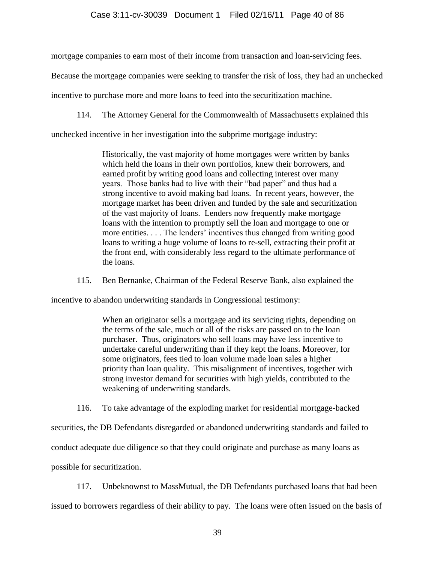mortgage companies to earn most of their income from transaction and loan-servicing fees.

Because the mortgage companies were seeking to transfer the risk of loss, they had an unchecked

incentive to purchase more and more loans to feed into the securitization machine.

114. The Attorney General for the Commonwealth of Massachusetts explained this

unchecked incentive in her investigation into the subprime mortgage industry:

Historically, the vast majority of home mortgages were written by banks which held the loans in their own portfolios, knew their borrowers, and earned profit by writing good loans and collecting interest over many years. Those banks had to live with their "bad paper" and thus had a strong incentive to avoid making bad loans. In recent years, however, the mortgage market has been driven and funded by the sale and securitization of the vast majority of loans. Lenders now frequently make mortgage loans with the intention to promptly sell the loan and mortgage to one or more entities. . . . The lenders' incentives thus changed from writing good loans to writing a huge volume of loans to re-sell, extracting their profit at the front end, with considerably less regard to the ultimate performance of the loans.

115. Ben Bernanke, Chairman of the Federal Reserve Bank, also explained the

incentive to abandon underwriting standards in Congressional testimony:

When an originator sells a mortgage and its servicing rights, depending on the terms of the sale, much or all of the risks are passed on to the loan purchaser. Thus, originators who sell loans may have less incentive to undertake careful underwriting than if they kept the loans. Moreover, for some originators, fees tied to loan volume made loan sales a higher priority than loan quality. This misalignment of incentives, together with strong investor demand for securities with high yields, contributed to the weakening of underwriting standards.

116. To take advantage of the exploding market for residential mortgage-backed

securities, the DB Defendants disregarded or abandoned underwriting standards and failed to conduct adequate due diligence so that they could originate and purchase as many loans as

possible for securitization.

117. Unbeknownst to MassMutual, the DB Defendants purchased loans that had been

issued to borrowers regardless of their ability to pay. The loans were often issued on the basis of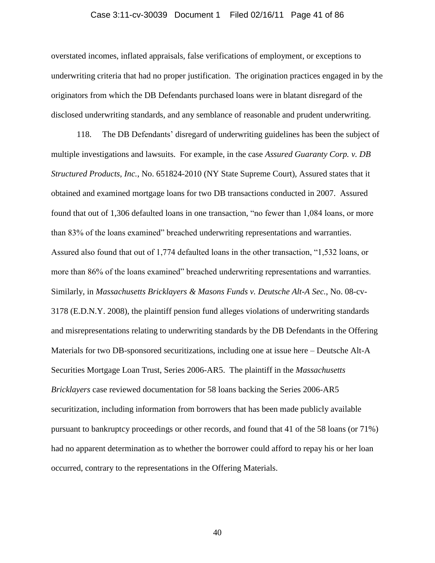#### Case 3:11-cv-30039 Document 1 Filed 02/16/11 Page 41 of 86

overstated incomes, inflated appraisals, false verifications of employment, or exceptions to underwriting criteria that had no proper justification. The origination practices engaged in by the originators from which the DB Defendants purchased loans were in blatant disregard of the disclosed underwriting standards, and any semblance of reasonable and prudent underwriting.

118. The DB Defendants' disregard of underwriting guidelines has been the subject of multiple investigations and lawsuits. For example, in the case *Assured Guaranty Corp. v. DB Structured Products, Inc.*, No. 651824-2010 (NY State Supreme Court), Assured states that it obtained and examined mortgage loans for two DB transactions conducted in 2007. Assured found that out of 1,306 defaulted loans in one transaction, "no fewer than 1,084 loans, or more than 83% of the loans examined" breached underwriting representations and warranties. Assured also found that out of 1,774 defaulted loans in the other transaction, "1,532 loans, or more than 86% of the loans examined" breached underwriting representations and warranties. Similarly, in *Massachusetts Bricklayers & Masons Funds v. Deutsche Alt-A Sec.*, No. 08-cv-3178 (E.D.N.Y. 2008), the plaintiff pension fund alleges violations of underwriting standards and misrepresentations relating to underwriting standards by the DB Defendants in the Offering Materials for two DB-sponsored securitizations, including one at issue here – Deutsche Alt-A Securities Mortgage Loan Trust, Series 2006-AR5. The plaintiff in the *Massachusetts Bricklayers* case reviewed documentation for 58 loans backing the Series 2006-AR5 securitization, including information from borrowers that has been made publicly available pursuant to bankruptcy proceedings or other records, and found that 41 of the 58 loans (or 71%) had no apparent determination as to whether the borrower could afford to repay his or her loan occurred, contrary to the representations in the Offering Materials.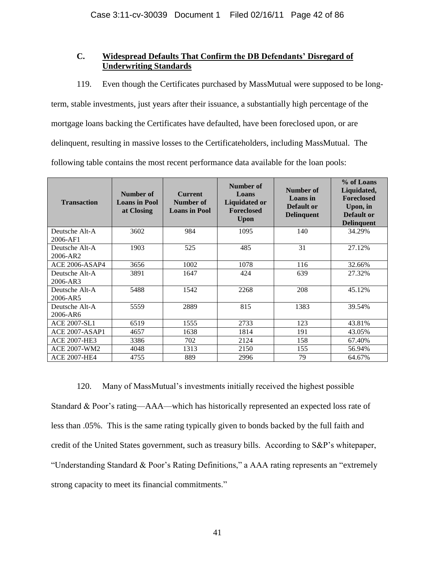## **C. Widespread Defaults That Confirm the DB Defendants' Disregard of Underwriting Standards**

119. Even though the Certificates purchased by MassMutual were supposed to be long-

term, stable investments, just years after their issuance, a substantially high percentage of the mortgage loans backing the Certificates have defaulted, have been foreclosed upon, or are delinquent, resulting in massive losses to the Certificateholders, including MassMutual. The following table contains the most recent performance data available for the loan pools:

| <b>Transaction</b>         | Number of<br><b>Loans</b> in Pool<br>at Closing | <b>Current</b><br>Number of<br><b>Loans in Pool</b> | Number of<br>Loans<br><b>Liquidated or</b><br><b>Foreclosed</b><br><b>Upon</b> | Number of<br>Loans in<br>Default or<br><b>Delinquent</b> | % of Loans<br>Liquidated,<br><b>Foreclosed</b><br>Upon, in<br>Default or<br><b>Delinquent</b> |
|----------------------------|-------------------------------------------------|-----------------------------------------------------|--------------------------------------------------------------------------------|----------------------------------------------------------|-----------------------------------------------------------------------------------------------|
| Deutsche Alt-A<br>2006-AF1 | 3602                                            | 984                                                 | 1095                                                                           | 140                                                      | 34.29%                                                                                        |
| Deutsche Alt-A<br>2006-AR2 | 1903                                            | 525                                                 | 485                                                                            | 31                                                       | 27.12%                                                                                        |
| <b>ACE 2006-ASAP4</b>      | 3656                                            | 1002                                                | 1078                                                                           | 116                                                      | 32.66%                                                                                        |
| Deutsche Alt-A<br>2006-AR3 | 3891                                            | 1647                                                | 424                                                                            | 639                                                      | 27.32%                                                                                        |
| Deutsche Alt-A<br>2006-AR5 | 5488                                            | 1542                                                | 2268                                                                           | 208                                                      | 45.12%                                                                                        |
| Deutsche Alt-A<br>2006-AR6 | 5559                                            | 2889                                                | 815                                                                            | 1383                                                     | 39.54%                                                                                        |
| <b>ACE 2007-SL1</b>        | 6519                                            | 1555                                                | 2733                                                                           | 123                                                      | 43.81%                                                                                        |
| ACE 2007-ASAP1             | 4657                                            | 1638                                                | 1814                                                                           | 191                                                      | 43.05%                                                                                        |
| <b>ACE 2007-HE3</b>        | 3386                                            | 702                                                 | 2124                                                                           | 158                                                      | 67.40%                                                                                        |
| <b>ACE 2007-WM2</b>        | 4048                                            | 1313                                                | 2150                                                                           | 155                                                      | 56.94%                                                                                        |
| <b>ACE 2007-HE4</b>        | 4755                                            | 889                                                 | 2996                                                                           | 79                                                       | 64.67%                                                                                        |

120. Many of MassMutual's investments initially received the highest possible Standard & Poor's rating—AAA—which has historically represented an expected loss rate of less than .05%. This is the same rating typically given to bonds backed by the full faith and credit of the United States government, such as treasury bills. According to S&P's whitepaper, "Understanding Standard & Poor's Rating Definitions," a AAA rating represents an "extremely strong capacity to meet its financial commitments."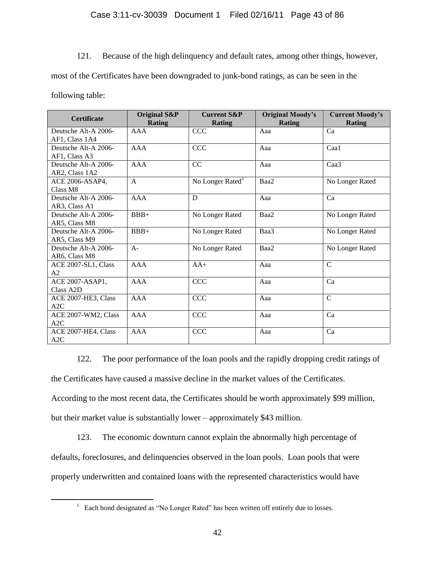121. Because of the high delinquency and default rates, among other things, however,

most of the Certificates have been downgraded to junk-bond ratings, as can be seen in the

following table:

 $\overline{a}$ 

| <b>Certificate</b>     | <b>Original S&amp;P</b><br><b>Rating</b> | <b>Current S&amp;P</b><br><b>Rating</b> | <b>Original Moody's</b><br><b>Rating</b> | <b>Current Moody's</b><br><b>Rating</b> |
|------------------------|------------------------------------------|-----------------------------------------|------------------------------------------|-----------------------------------------|
| Deutsche Alt-A 2006-   | AAA                                      | <b>CCC</b>                              | Aaa                                      | Ca                                      |
| AF1, Class 1A4         |                                          |                                         |                                          |                                         |
| Deutsche Alt-A 2006-   | AAA                                      | <b>CCC</b>                              | Aaa                                      | Caa1                                    |
| AF1, Class A3          |                                          |                                         |                                          |                                         |
| Deutsche Alt-A 2006-   | AAA                                      | CC                                      | Aaa                                      | Caa <sub>3</sub>                        |
| AR2, Class 1A2         |                                          |                                         |                                          |                                         |
| ACE 2006-ASAP4,        | $\mathbf{A}$                             | No Longer Rated <sup>1</sup>            | Baa2                                     | No Longer Rated                         |
| Class M8               |                                          |                                         |                                          |                                         |
| Deutsche Alt-A 2006-   | <b>AAA</b>                               | D                                       | Aaa                                      | Ca                                      |
| AR3, Class A1          |                                          |                                         |                                          |                                         |
| Deutsche Alt-A 2006-   | $BBB+$                                   | No Longer Rated                         | Baa2                                     | No Longer Rated                         |
| AR5, Class M8          |                                          |                                         |                                          |                                         |
| Deutsche Alt-A 2006-   | $BBB+$                                   | No Longer Rated                         | Baa3                                     | No Longer Rated                         |
| AR5, Class M9          |                                          |                                         |                                          |                                         |
| Deutsche Alt-A 2006-   | $A -$                                    | No Longer Rated                         | Baa2                                     | No Longer Rated                         |
| AR6, Class M8          |                                          |                                         |                                          |                                         |
| ACE 2007-SL1, Class    | AAA                                      | $AA+$                                   | Aaa                                      | $\overline{C}$                          |
| A2                     |                                          |                                         |                                          |                                         |
| ACE 2007-ASAP1.        | AAA                                      | <b>CCC</b>                              | Aaa                                      | Ca                                      |
| Class A <sub>2</sub> D |                                          |                                         |                                          |                                         |
| ACE 2007-HE3, Class    | <b>AAA</b>                               | CCC                                     | Aaa                                      | $\mathcal{C}$                           |
| A2C                    |                                          |                                         |                                          |                                         |
| ACE 2007-WM2, Class    | <b>AAA</b>                               | CCC                                     | Aaa                                      | Ca                                      |
| A2C                    |                                          |                                         |                                          |                                         |
| ACE 2007-HE4, Class    | <b>AAA</b>                               | <b>CCC</b>                              | Aaa                                      | Ca                                      |
| A2C                    |                                          |                                         |                                          |                                         |

122. The poor performance of the loan pools and the rapidly dropping credit ratings of the Certificates have caused a massive decline in the market values of the Certificates.

According to the most recent data, the Certificates should be worth approximately \$99 million,

but their market value is substantially lower – approximately \$43 million.

123. The economic downturn cannot explain the abnormally high percentage of defaults, foreclosures, and delinquencies observed in the loan pools. Loan pools that were properly underwritten and contained loans with the represented characteristics would have

 $1$  Each bond designated as "No Longer Rated" has been written off entirely due to losses.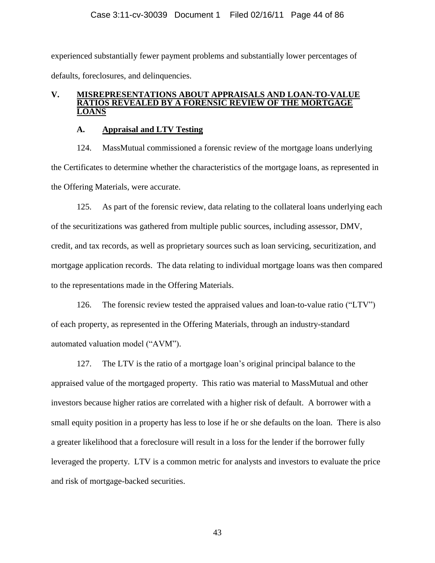experienced substantially fewer payment problems and substantially lower percentages of defaults, foreclosures, and delinquencies.

## **V. MISREPRESENTATIONS ABOUT APPRAISALS AND LOAN-TO-VALUE RATIOS REVEALED BY A FORENSIC REVIEW OF THE MORTGAGE LOANS**

## **A. Appraisal and LTV Testing**

124. MassMutual commissioned a forensic review of the mortgage loans underlying the Certificates to determine whether the characteristics of the mortgage loans, as represented in the Offering Materials, were accurate.

125. As part of the forensic review, data relating to the collateral loans underlying each of the securitizations was gathered from multiple public sources, including assessor, DMV, credit, and tax records, as well as proprietary sources such as loan servicing, securitization, and mortgage application records. The data relating to individual mortgage loans was then compared to the representations made in the Offering Materials.

126. The forensic review tested the appraised values and loan-to-value ratio ( $"LTV"$ ) of each property, as represented in the Offering Materials, through an industry-standard automated valuation model ("AVM").

127. The LTV is the ratio of a mortgage loan's original principal balance to the appraised value of the mortgaged property. This ratio was material to MassMutual and other investors because higher ratios are correlated with a higher risk of default. A borrower with a small equity position in a property has less to lose if he or she defaults on the loan. There is also a greater likelihood that a foreclosure will result in a loss for the lender if the borrower fully leveraged the property. LTV is a common metric for analysts and investors to evaluate the price and risk of mortgage-backed securities.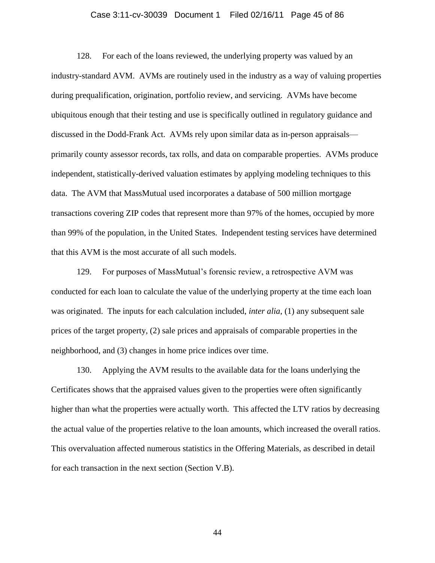#### Case 3:11-cv-30039 Document 1 Filed 02/16/11 Page 45 of 86

128. For each of the loans reviewed, the underlying property was valued by an industry-standard AVM. AVMs are routinely used in the industry as a way of valuing properties during prequalification, origination, portfolio review, and servicing. AVMs have become ubiquitous enough that their testing and use is specifically outlined in regulatory guidance and discussed in the Dodd-Frank Act. AVMs rely upon similar data as in-person appraisals primarily county assessor records, tax rolls, and data on comparable properties. AVMs produce independent, statistically-derived valuation estimates by applying modeling techniques to this data. The AVM that MassMutual used incorporates a database of 500 million mortgage transactions covering ZIP codes that represent more than 97% of the homes, occupied by more than 99% of the population, in the United States. Independent testing services have determined that this AVM is the most accurate of all such models.

129. For purposes of MassMutual's forensic review, a retrospective AVM was conducted for each loan to calculate the value of the underlying property at the time each loan was originated. The inputs for each calculation included, *inter alia*, (1) any subsequent sale prices of the target property, (2) sale prices and appraisals of comparable properties in the neighborhood, and (3) changes in home price indices over time.

130. Applying the AVM results to the available data for the loans underlying the Certificates shows that the appraised values given to the properties were often significantly higher than what the properties were actually worth. This affected the LTV ratios by decreasing the actual value of the properties relative to the loan amounts, which increased the overall ratios. This overvaluation affected numerous statistics in the Offering Materials, as described in detail for each transaction in the next section (Section V.B).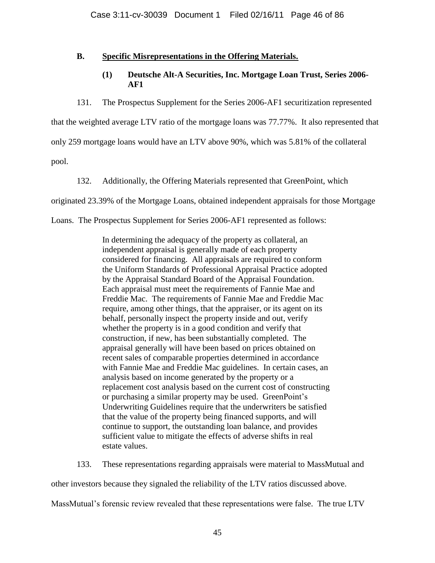## **B. Specific Misrepresentations in the Offering Materials.**

## **(1) Deutsche Alt-A Securities, Inc. Mortgage Loan Trust, Series 2006- AF1**

131. The Prospectus Supplement for the Series 2006-AF1 securitization represented

that the weighted average LTV ratio of the mortgage loans was 77.77%. It also represented that

only 259 mortgage loans would have an LTV above 90%, which was 5.81% of the collateral

pool.

132. Additionally, the Offering Materials represented that GreenPoint, which

originated 23.39% of the Mortgage Loans, obtained independent appraisals for those Mortgage

Loans. The Prospectus Supplement for Series 2006-AF1 represented as follows:

In determining the adequacy of the property as collateral, an independent appraisal is generally made of each property considered for financing. All appraisals are required to conform the Uniform Standards of Professional Appraisal Practice adopted by the Appraisal Standard Board of the Appraisal Foundation. Each appraisal must meet the requirements of Fannie Mae and Freddie Mac. The requirements of Fannie Mae and Freddie Mac require, among other things, that the appraiser, or its agent on its behalf, personally inspect the property inside and out, verify whether the property is in a good condition and verify that construction, if new, has been substantially completed. The appraisal generally will have been based on prices obtained on recent sales of comparable properties determined in accordance with Fannie Mae and Freddie Mac guidelines. In certain cases, an analysis based on income generated by the property or a replacement cost analysis based on the current cost of constructing or purchasing a similar property may be used. GreenPoint's Underwriting Guidelines require that the underwriters be satisfied that the value of the property being financed supports, and will continue to support, the outstanding loan balance, and provides sufficient value to mitigate the effects of adverse shifts in real estate values.

133. These representations regarding appraisals were material to MassMutual and

other investors because they signaled the reliability of the LTV ratios discussed above.

MassMutual's forensic review revealed that these representations were false. The true LTV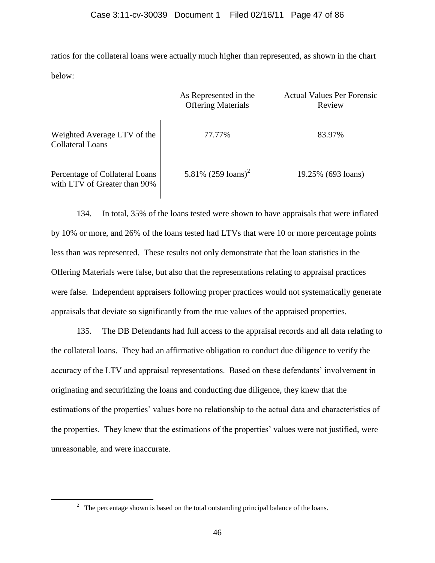ratios for the collateral loans were actually much higher than represented, as shown in the chart below:

|                                                                | As Represented in the<br><b>Offering Materials</b> | <b>Actual Values Per Forensic</b><br>Review |
|----------------------------------------------------------------|----------------------------------------------------|---------------------------------------------|
| Weighted Average LTV of the<br><b>Collateral Loans</b>         | 77.77%                                             | 83.97%                                      |
| Percentage of Collateral Loans<br>with LTV of Greater than 90% | 5.81% $(259 \text{ loans})^2$                      | 19.25% (693 loans)                          |

134. In total, 35% of the loans tested were shown to have appraisals that were inflated by 10% or more, and 26% of the loans tested had LTVs that were 10 or more percentage points less than was represented. These results not only demonstrate that the loan statistics in the Offering Materials were false, but also that the representations relating to appraisal practices were false. Independent appraisers following proper practices would not systematically generate appraisals that deviate so significantly from the true values of the appraised properties.

135. The DB Defendants had full access to the appraisal records and all data relating to the collateral loans. They had an affirmative obligation to conduct due diligence to verify the accuracy of the LTV and appraisal representations. Based on these defendants' involvement in originating and securitizing the loans and conducting due diligence, they knew that the estimations of the properties' values bore no relationship to the actual data and characteristics of the properties. They knew that the estimations of the properties' values were not justified, were unreasonable, and were inaccurate.

 $\overline{a}$ 

<sup>&</sup>lt;sup>2</sup> The percentage shown is based on the total outstanding principal balance of the loans.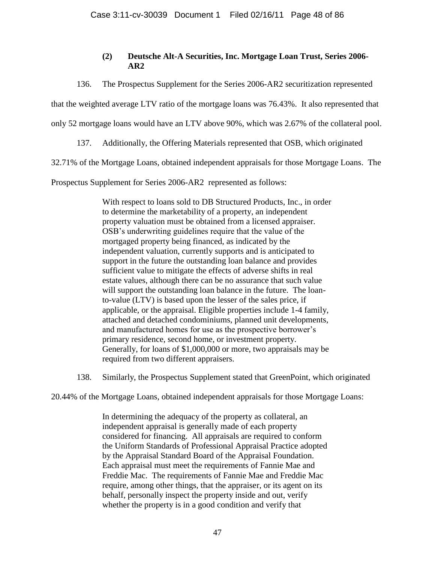## **(2) Deutsche Alt-A Securities, Inc. Mortgage Loan Trust, Series 2006- AR2**

136. The Prospectus Supplement for the Series 2006-AR2 securitization represented

that the weighted average LTV ratio of the mortgage loans was 76.43%. It also represented that

only 52 mortgage loans would have an LTV above 90%, which was 2.67% of the collateral pool.

137. Additionally, the Offering Materials represented that OSB, which originated

32.71% of the Mortgage Loans, obtained independent appraisals for those Mortgage Loans. The

Prospectus Supplement for Series 2006-AR2 represented as follows:

With respect to loans sold to DB Structured Products, Inc., in order to determine the marketability of a property, an independent property valuation must be obtained from a licensed appraiser. OSB's underwriting guidelines require that the value of the mortgaged property being financed, as indicated by the independent valuation, currently supports and is anticipated to support in the future the outstanding loan balance and provides sufficient value to mitigate the effects of adverse shifts in real estate values, although there can be no assurance that such value will support the outstanding loan balance in the future. The loanto-value (LTV) is based upon the lesser of the sales price, if applicable, or the appraisal. Eligible properties include 1-4 family, attached and detached condominiums, planned unit developments, and manufactured homes for use as the prospective borrower's primary residence, second home, or investment property. Generally, for loans of \$1,000,000 or more, two appraisals may be required from two different appraisers.

138. Similarly, the Prospectus Supplement stated that GreenPoint, which originated

20.44% of the Mortgage Loans, obtained independent appraisals for those Mortgage Loans:

In determining the adequacy of the property as collateral, an independent appraisal is generally made of each property considered for financing. All appraisals are required to conform the Uniform Standards of Professional Appraisal Practice adopted by the Appraisal Standard Board of the Appraisal Foundation. Each appraisal must meet the requirements of Fannie Mae and Freddie Mac. The requirements of Fannie Mae and Freddie Mac require, among other things, that the appraiser, or its agent on its behalf, personally inspect the property inside and out, verify whether the property is in a good condition and verify that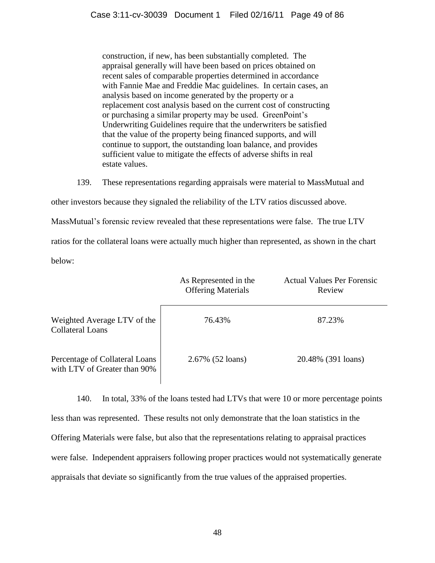construction, if new, has been substantially completed. The appraisal generally will have been based on prices obtained on recent sales of comparable properties determined in accordance with Fannie Mae and Freddie Mac guidelines. In certain cases, an analysis based on income generated by the property or a replacement cost analysis based on the current cost of constructing or purchasing a similar property may be used. GreenPoint's Underwriting Guidelines require that the underwriters be satisfied that the value of the property being financed supports, and will continue to support, the outstanding loan balance, and provides sufficient value to mitigate the effects of adverse shifts in real estate values.

139. These representations regarding appraisals were material to MassMutual and

other investors because they signaled the reliability of the LTV ratios discussed above.

MassMutual's forensic review revealed that these representations were false. The true LTV

ratios for the collateral loans were actually much higher than represented, as shown in the chart below:

|                                                                | As Represented in the<br><b>Offering Materials</b> | <b>Actual Values Per Forensic</b><br>Review |
|----------------------------------------------------------------|----------------------------------------------------|---------------------------------------------|
| Weighted Average LTV of the<br><b>Collateral Loans</b>         | 76.43%                                             | 87.23%                                      |
| Percentage of Collateral Loans<br>with LTV of Greater than 90% | 2.67% (52 loans)                                   | 20.48% (391 loans)                          |

140. In total, 33% of the loans tested had LTVs that were 10 or more percentage points less than was represented. These results not only demonstrate that the loan statistics in the Offering Materials were false, but also that the representations relating to appraisal practices were false. Independent appraisers following proper practices would not systematically generate appraisals that deviate so significantly from the true values of the appraised properties.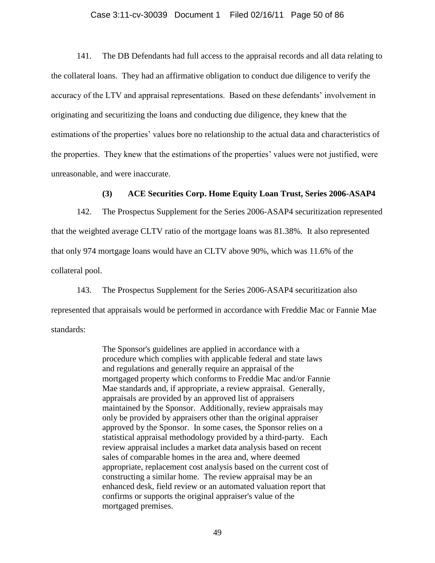#### Case 3:11-cv-30039 Document 1 Filed 02/16/11 Page 50 of 86

141. The DB Defendants had full access to the appraisal records and all data relating to the collateral loans. They had an affirmative obligation to conduct due diligence to verify the accuracy of the LTV and appraisal representations. Based on these defendants' involvement in originating and securitizing the loans and conducting due diligence, they knew that the estimations of the properties' values bore no relationship to the actual data and characteristics of the properties. They knew that the estimations of the properties' values were not justified, were unreasonable, and were inaccurate.

### **(3) ACE Securities Corp. Home Equity Loan Trust, Series 2006-ASAP4**

142. The Prospectus Supplement for the Series 2006-ASAP4 securitization represented that the weighted average CLTV ratio of the mortgage loans was 81.38%. It also represented that only 974 mortgage loans would have an CLTV above 90%, which was 11.6% of the collateral pool.

143. The Prospectus Supplement for the Series 2006-ASAP4 securitization also represented that appraisals would be performed in accordance with Freddie Mac or Fannie Mae standards:

> The Sponsor's guidelines are applied in accordance with a procedure which complies with applicable federal and state laws and regulations and generally require an appraisal of the mortgaged property which conforms to Freddie Mac and/or Fannie Mae standards and, if appropriate, a review appraisal. Generally, appraisals are provided by an approved list of appraisers maintained by the Sponsor. Additionally, review appraisals may only be provided by appraisers other than the original appraiser approved by the Sponsor. In some cases, the Sponsor relies on a statistical appraisal methodology provided by a third-party. Each review appraisal includes a market data analysis based on recent sales of comparable homes in the area and, where deemed appropriate, replacement cost analysis based on the current cost of constructing a similar home. The review appraisal may be an enhanced desk, field review or an automated valuation report that confirms or supports the original appraiser's value of the mortgaged premises.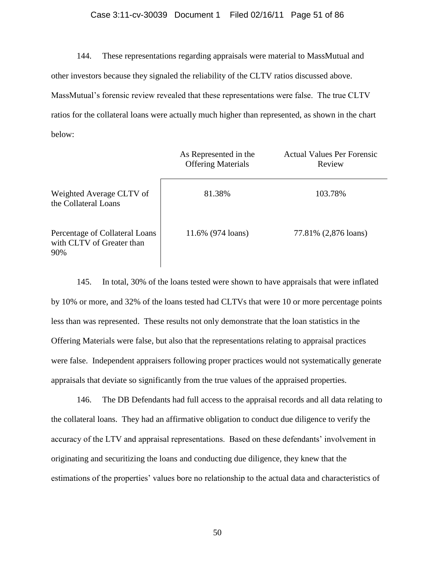### Case 3:11-cv-30039 Document 1 Filed 02/16/11 Page 51 of 86

144. These representations regarding appraisals were material to MassMutual and other investors because they signaled the reliability of the CLTV ratios discussed above. MassMutual's forensic review revealed that these representations were false. The true CLTV ratios for the collateral loans were actually much higher than represented, as shown in the chart below:

|                                                                    | As Represented in the<br><b>Offering Materials</b> | <b>Actual Values Per Forensic</b><br>Review |
|--------------------------------------------------------------------|----------------------------------------------------|---------------------------------------------|
| Weighted Average CLTV of<br>the Collateral Loans                   | 81.38%                                             | 103.78%                                     |
| Percentage of Collateral Loans<br>with CLTV of Greater than<br>90% | 11.6% (974 loans)                                  | 77.81% (2,876 loans)                        |

145. In total, 30% of the loans tested were shown to have appraisals that were inflated by 10% or more, and 32% of the loans tested had CLTVs that were 10 or more percentage points less than was represented. These results not only demonstrate that the loan statistics in the Offering Materials were false, but also that the representations relating to appraisal practices were false. Independent appraisers following proper practices would not systematically generate appraisals that deviate so significantly from the true values of the appraised properties.

146. The DB Defendants had full access to the appraisal records and all data relating to the collateral loans. They had an affirmative obligation to conduct due diligence to verify the accuracy of the LTV and appraisal representations. Based on these defendants' involvement in originating and securitizing the loans and conducting due diligence, they knew that the estimations of the properties' values bore no relationship to the actual data and characteristics of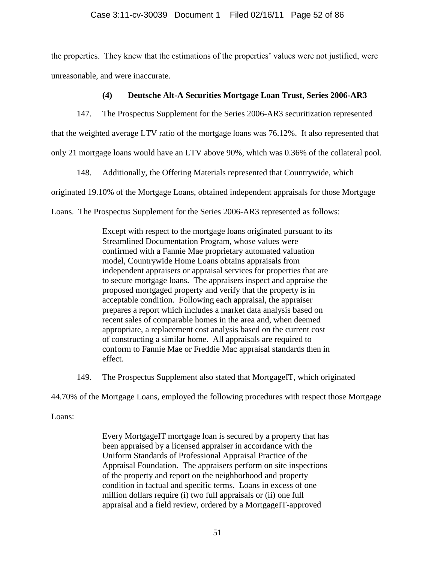## Case 3:11-cv-30039 Document 1 Filed 02/16/11 Page 52 of 86

the properties. They knew that the estimations of the properties' values were not justified, were unreasonable, and were inaccurate.

### **(4) Deutsche Alt-A Securities Mortgage Loan Trust, Series 2006-AR3**

147. The Prospectus Supplement for the Series 2006-AR3 securitization represented that the weighted average LTV ratio of the mortgage loans was 76.12%. It also represented that

only 21 mortgage loans would have an LTV above 90%, which was 0.36% of the collateral pool.

148. Additionally, the Offering Materials represented that Countrywide, which originated 19.10% of the Mortgage Loans, obtained independent appraisals for those Mortgage Loans. The Prospectus Supplement for the Series 2006-AR3 represented as follows:

> Except with respect to the mortgage loans originated pursuant to its Streamlined Documentation Program, whose values were confirmed with a Fannie Mae proprietary automated valuation model, Countrywide Home Loans obtains appraisals from independent appraisers or appraisal services for properties that are to secure mortgage loans. The appraisers inspect and appraise the proposed mortgaged property and verify that the property is in acceptable condition. Following each appraisal, the appraiser prepares a report which includes a market data analysis based on recent sales of comparable homes in the area and, when deemed appropriate, a replacement cost analysis based on the current cost of constructing a similar home. All appraisals are required to conform to Fannie Mae or Freddie Mac appraisal standards then in effect.

149. The Prospectus Supplement also stated that MortgageIT, which originated

44.70% of the Mortgage Loans, employed the following procedures with respect those Mortgage

## Loans:

Every MortgageIT mortgage loan is secured by a property that has been appraised by a licensed appraiser in accordance with the Uniform Standards of Professional Appraisal Practice of the Appraisal Foundation. The appraisers perform on site inspections of the property and report on the neighborhood and property condition in factual and specific terms. Loans in excess of one million dollars require (i) two full appraisals or (ii) one full appraisal and a field review, ordered by a MortgageIT-approved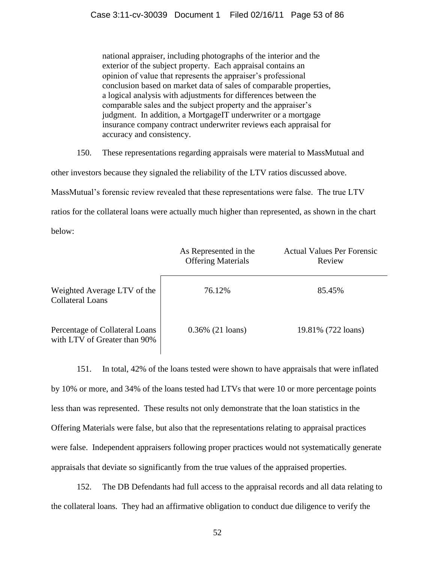national appraiser, including photographs of the interior and the exterior of the subject property. Each appraisal contains an opinion of value that represents the appraiser's professional conclusion based on market data of sales of comparable properties, a logical analysis with adjustments for differences between the comparable sales and the subject property and the appraiser's judgment. In addition, a MortgageIT underwriter or a mortgage insurance company contract underwriter reviews each appraisal for accuracy and consistency.

150. These representations regarding appraisals were material to MassMutual and

other investors because they signaled the reliability of the LTV ratios discussed above.

MassMutual's forensic review revealed that these representations were false. The true LTV

ratios for the collateral loans were actually much higher than represented, as shown in the chart

below:

|                                                                | As Represented in the<br><b>Offering Materials</b> | <b>Actual Values Per Forensic</b><br>Review |
|----------------------------------------------------------------|----------------------------------------------------|---------------------------------------------|
| Weighted Average LTV of the<br><b>Collateral Loans</b>         | 76.12%                                             | 85.45%                                      |
| Percentage of Collateral Loans<br>with LTV of Greater than 90% | $0.36\%$ (21 loans)                                | 19.81% (722 loans)                          |

151. In total, 42% of the loans tested were shown to have appraisals that were inflated by 10% or more, and 34% of the loans tested had LTVs that were 10 or more percentage points less than was represented. These results not only demonstrate that the loan statistics in the Offering Materials were false, but also that the representations relating to appraisal practices were false. Independent appraisers following proper practices would not systematically generate appraisals that deviate so significantly from the true values of the appraised properties.

152. The DB Defendants had full access to the appraisal records and all data relating to the collateral loans. They had an affirmative obligation to conduct due diligence to verify the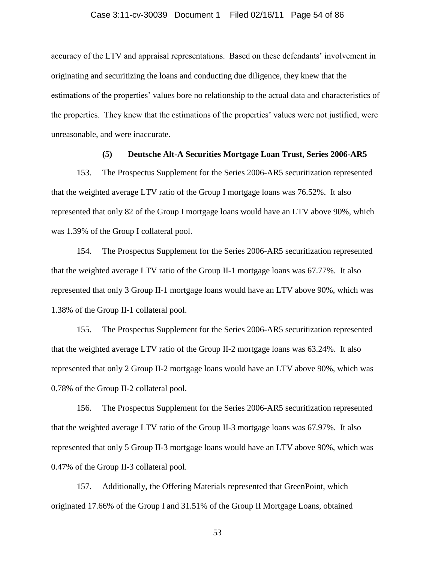#### Case 3:11-cv-30039 Document 1 Filed 02/16/11 Page 54 of 86

accuracy of the LTV and appraisal representations. Based on these defendants' involvement in originating and securitizing the loans and conducting due diligence, they knew that the estimations of the properties' values bore no relationship to the actual data and characteristics of the properties. They knew that the estimations of the properties' values were not justified, were unreasonable, and were inaccurate.

#### **(5) Deutsche Alt-A Securities Mortgage Loan Trust, Series 2006-AR5**

153. The Prospectus Supplement for the Series 2006-AR5 securitization represented that the weighted average LTV ratio of the Group I mortgage loans was 76.52%. It also represented that only 82 of the Group I mortgage loans would have an LTV above 90%, which was 1.39% of the Group I collateral pool.

154. The Prospectus Supplement for the Series 2006-AR5 securitization represented that the weighted average LTV ratio of the Group II-1 mortgage loans was 67.77%. It also represented that only 3 Group II-1 mortgage loans would have an LTV above 90%, which was 1.38% of the Group II-1 collateral pool.

155. The Prospectus Supplement for the Series 2006-AR5 securitization represented that the weighted average LTV ratio of the Group II-2 mortgage loans was 63.24%. It also represented that only 2 Group II-2 mortgage loans would have an LTV above 90%, which was 0.78% of the Group II-2 collateral pool.

156. The Prospectus Supplement for the Series 2006-AR5 securitization represented that the weighted average LTV ratio of the Group II-3 mortgage loans was 67.97%. It also represented that only 5 Group II-3 mortgage loans would have an LTV above 90%, which was 0.47% of the Group II-3 collateral pool.

157. Additionally, the Offering Materials represented that GreenPoint, which originated 17.66% of the Group I and 31.51% of the Group II Mortgage Loans, obtained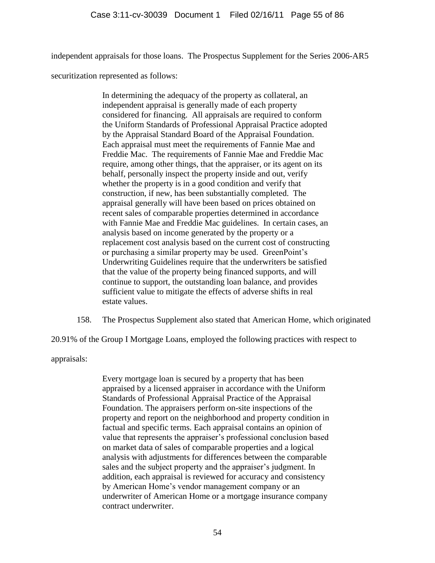independent appraisals for those loans. The Prospectus Supplement for the Series 2006-AR5

securitization represented as follows:

In determining the adequacy of the property as collateral, an independent appraisal is generally made of each property considered for financing. All appraisals are required to conform the Uniform Standards of Professional Appraisal Practice adopted by the Appraisal Standard Board of the Appraisal Foundation. Each appraisal must meet the requirements of Fannie Mae and Freddie Mac. The requirements of Fannie Mae and Freddie Mac require, among other things, that the appraiser, or its agent on its behalf, personally inspect the property inside and out, verify whether the property is in a good condition and verify that construction, if new, has been substantially completed. The appraisal generally will have been based on prices obtained on recent sales of comparable properties determined in accordance with Fannie Mae and Freddie Mac guidelines. In certain cases, an analysis based on income generated by the property or a replacement cost analysis based on the current cost of constructing or purchasing a similar property may be used. GreenPoint's Underwriting Guidelines require that the underwriters be satisfied that the value of the property being financed supports, and will continue to support, the outstanding loan balance, and provides sufficient value to mitigate the effects of adverse shifts in real estate values.

158. The Prospectus Supplement also stated that American Home, which originated

20.91% of the Group I Mortgage Loans, employed the following practices with respect to

appraisals:

Every mortgage loan is secured by a property that has been appraised by a licensed appraiser in accordance with the Uniform Standards of Professional Appraisal Practice of the Appraisal Foundation. The appraisers perform on-site inspections of the property and report on the neighborhood and property condition in factual and specific terms. Each appraisal contains an opinion of value that represents the appraiser's professional conclusion based on market data of sales of comparable properties and a logical analysis with adjustments for differences between the comparable sales and the subject property and the appraiser's judgment. In addition, each appraisal is reviewed for accuracy and consistency by American Home's vendor management company or an underwriter of American Home or a mortgage insurance company contract underwriter.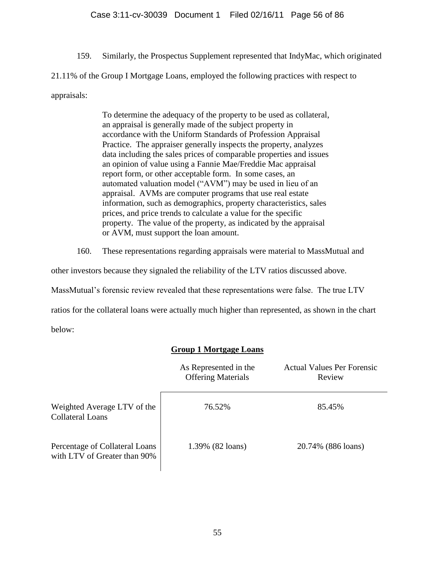159. Similarly, the Prospectus Supplement represented that IndyMac, which originated

21.11% of the Group I Mortgage Loans, employed the following practices with respect to

## appraisals:

To determine the adequacy of the property to be used as collateral, an appraisal is generally made of the subject property in accordance with the Uniform Standards of Profession Appraisal Practice. The appraiser generally inspects the property, analyzes data including the sales prices of comparable properties and issues an opinion of value using a Fannie Mae/Freddie Mac appraisal report form, or other acceptable form. In some cases, an automated valuation model ("AVM") may be used in lieu of an appraisal. AVMs are computer programs that use real estate information, such as demographics, property characteristics, sales prices, and price trends to calculate a value for the specific property. The value of the property, as indicated by the appraisal or AVM, must support the loan amount.

160. These representations regarding appraisals were material to MassMutual and

other investors because they signaled the reliability of the LTV ratios discussed above.

MassMutual's forensic review revealed that these representations were false. The true LTV

ratios for the collateral loans were actually much higher than represented, as shown in the chart

below:

# **Group 1 Mortgage Loans**

|                                                                | As Represented in the<br><b>Offering Materials</b> | <b>Actual Values Per Forensic</b><br>Review |
|----------------------------------------------------------------|----------------------------------------------------|---------------------------------------------|
| Weighted Average LTV of the<br><b>Collateral Loans</b>         | 76.52%                                             | 85.45%                                      |
| Percentage of Collateral Loans<br>with LTV of Greater than 90% | 1.39% (82 loans)                                   | 20.74% (886 loans)                          |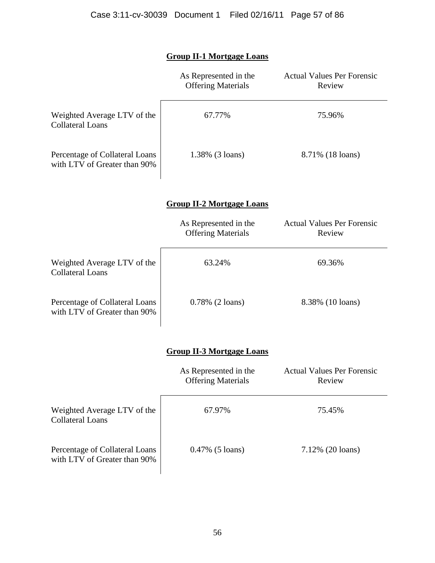# **Group II-1 Mortgage Loans**

|                                                                | As Represented in the<br><b>Offering Materials</b> | <b>Actual Values Per Forensic</b><br>Review |
|----------------------------------------------------------------|----------------------------------------------------|---------------------------------------------|
| Weighted Average LTV of the<br><b>Collateral Loans</b>         | 67.77%                                             | 75.96%                                      |
| Percentage of Collateral Loans<br>with LTV of Greater than 90% | 1.38% (3 loans)                                    | 8.71% (18 loans)                            |
|                                                                | <b>Group II-2 Mortgage Loans</b>                   |                                             |
|                                                                | As Represented in the<br><b>Offering Materials</b> | <b>Actual Values Per Forensic</b><br>Review |
| Weighted Average LTV of the<br><b>Collateral Loans</b>         | 63.24%                                             | 69.36%                                      |
| Percentage of Collateral Loans<br>with LTV of Greater than 90% | $0.78\%$ (2 loans)                                 | 8.38% (10 loans)                            |
|                                                                | <b>Group II-3 Mortgage Loans</b>                   |                                             |
|                                                                | As Represented in the<br><b>Offering Materials</b> | <b>Actual Values Per Forensic</b><br>Review |

| Weighted Average LTV of the<br><b>Collateral Loans</b>         | 67.97%             | 75.45%              |
|----------------------------------------------------------------|--------------------|---------------------|
| Percentage of Collateral Loans<br>with LTV of Greater than 90% | $0.47\%$ (5 loans) | $7.12\%$ (20 loans) |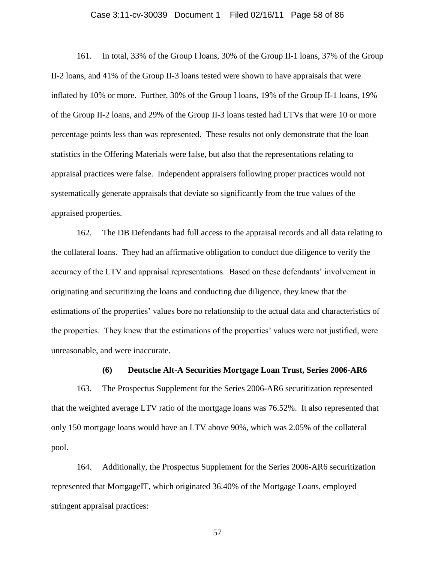#### Case 3:11-cv-30039 Document 1 Filed 02/16/11 Page 58 of 86

161. In total, 33% of the Group I loans, 30% of the Group II-1 loans, 37% of the Group II-2 loans, and 41% of the Group II-3 loans tested were shown to have appraisals that were inflated by 10% or more. Further, 30% of the Group I loans, 19% of the Group II-1 loans, 19% of the Group II-2 loans, and 29% of the Group II-3 loans tested had LTVs that were 10 or more percentage points less than was represented. These results not only demonstrate that the loan statistics in the Offering Materials were false, but also that the representations relating to appraisal practices were false. Independent appraisers following proper practices would not systematically generate appraisals that deviate so significantly from the true values of the appraised properties.

162. The DB Defendants had full access to the appraisal records and all data relating to the collateral loans. They had an affirmative obligation to conduct due diligence to verify the accuracy of the LTV and appraisal representations. Based on these defendants' involvement in originating and securitizing the loans and conducting due diligence, they knew that the estimations of the properties' values bore no relationship to the actual data and characteristics of the properties. They knew that the estimations of the properties' values were not justified, were unreasonable, and were inaccurate.

### **(6) Deutsche Alt-A Securities Mortgage Loan Trust, Series 2006-AR6**

163. The Prospectus Supplement for the Series 2006-AR6 securitization represented that the weighted average LTV ratio of the mortgage loans was 76.52%. It also represented that only 150 mortgage loans would have an LTV above 90%, which was 2.05% of the collateral pool.

164. Additionally, the Prospectus Supplement for the Series 2006-AR6 securitization represented that MortgageIT, which originated 36.40% of the Mortgage Loans, employed stringent appraisal practices: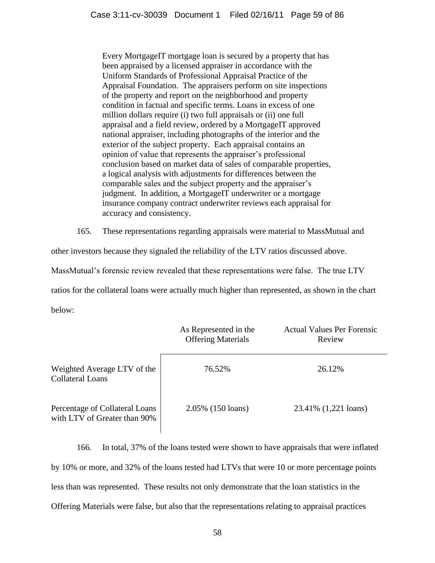Every MortgageIT mortgage loan is secured by a property that has been appraised by a licensed appraiser in accordance with the Uniform Standards of Professional Appraisal Practice of the Appraisal Foundation. The appraisers perform on site inspections of the property and report on the neighborhood and property condition in factual and specific terms. Loans in excess of one million dollars require (i) two full appraisals or (ii) one full appraisal and a field review, ordered by a MortgageIT approved national appraiser, including photographs of the interior and the exterior of the subject property. Each appraisal contains an opinion of value that represents the appraiser's professional conclusion based on market data of sales of comparable properties, a logical analysis with adjustments for differences between the comparable sales and the subject property and the appraiser's judgment. In addition, a MortgageIT underwriter or a mortgage insurance company contract underwriter reviews each appraisal for accuracy and consistency.

165. These representations regarding appraisals were material to MassMutual and

other investors because they signaled the reliability of the LTV ratios discussed above.

MassMutual's forensic review revealed that these representations were false. The true LTV

ratios for the collateral loans were actually much higher than represented, as shown in the chart

below:

|                                                                | As Represented in the<br><b>Offering Materials</b> | <b>Actual Values Per Forensic</b><br>Review |
|----------------------------------------------------------------|----------------------------------------------------|---------------------------------------------|
| Weighted Average LTV of the<br><b>Collateral Loans</b>         | 76.52%                                             | 26.12\%                                     |
| Percentage of Collateral Loans<br>with LTV of Greater than 90% | 2.05% (150 loans)                                  | 23.41% (1,221 loans)                        |

166. In total, 37% of the loans tested were shown to have appraisals that were inflated by 10% or more, and 32% of the loans tested had LTVs that were 10 or more percentage points less than was represented. These results not only demonstrate that the loan statistics in the Offering Materials were false, but also that the representations relating to appraisal practices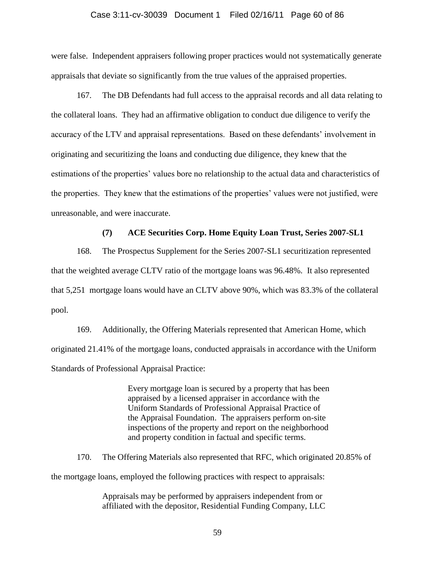#### Case 3:11-cv-30039 Document 1 Filed 02/16/11 Page 60 of 86

were false. Independent appraisers following proper practices would not systematically generate appraisals that deviate so significantly from the true values of the appraised properties.

167. The DB Defendants had full access to the appraisal records and all data relating to the collateral loans. They had an affirmative obligation to conduct due diligence to verify the accuracy of the LTV and appraisal representations. Based on these defendants' involvement in originating and securitizing the loans and conducting due diligence, they knew that the estimations of the properties' values bore no relationship to the actual data and characteristics of the properties. They knew that the estimations of the properties' values were not justified, were unreasonable, and were inaccurate.

### **(7) ACE Securities Corp. Home Equity Loan Trust, Series 2007-SL1**

168. The Prospectus Supplement for the Series 2007-SL1 securitization represented that the weighted average CLTV ratio of the mortgage loans was 96.48%. It also represented that 5,251 mortgage loans would have an CLTV above 90%, which was 83.3% of the collateral pool.

169. Additionally, the Offering Materials represented that American Home, which originated 21.41% of the mortgage loans, conducted appraisals in accordance with the Uniform Standards of Professional Appraisal Practice:

> Every mortgage loan is secured by a property that has been appraised by a licensed appraiser in accordance with the Uniform Standards of Professional Appraisal Practice of the Appraisal Foundation. The appraisers perform on-site inspections of the property and report on the neighborhood and property condition in factual and specific terms.

170. The Offering Materials also represented that RFC, which originated 20.85% of the mortgage loans, employed the following practices with respect to appraisals:

> Appraisals may be performed by appraisers independent from or affiliated with the depositor, Residential Funding Company, LLC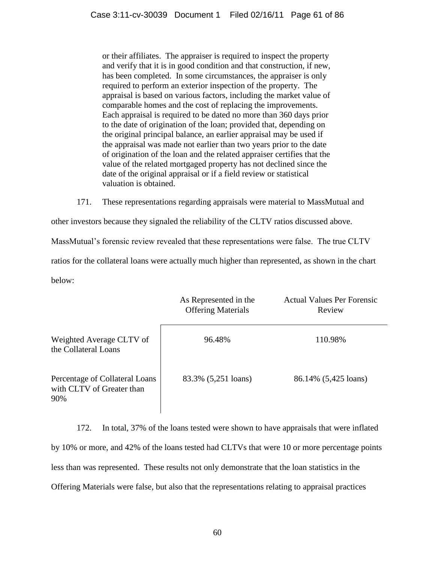or their affiliates. The appraiser is required to inspect the property and verify that it is in good condition and that construction, if new, has been completed. In some circumstances, the appraiser is only required to perform an exterior inspection of the property. The appraisal is based on various factors, including the market value of comparable homes and the cost of replacing the improvements. Each appraisal is required to be dated no more than 360 days prior to the date of origination of the loan; provided that, depending on the original principal balance, an earlier appraisal may be used if the appraisal was made not earlier than two years prior to the date of origination of the loan and the related appraiser certifies that the value of the related mortgaged property has not declined since the date of the original appraisal or if a field review or statistical valuation is obtained.

171. These representations regarding appraisals were material to MassMutual and

other investors because they signaled the reliability of the CLTV ratios discussed above.

MassMutual's forensic review revealed that these representations were false. The true CLTV

ratios for the collateral loans were actually much higher than represented, as shown in the chart

below:

|                                                                    | As Represented in the<br><b>Offering Materials</b> | <b>Actual Values Per Forensic</b><br>Review |
|--------------------------------------------------------------------|----------------------------------------------------|---------------------------------------------|
| Weighted Average CLTV of<br>the Collateral Loans                   | 96.48%                                             | 110.98%                                     |
| Percentage of Collateral Loans<br>with CLTV of Greater than<br>90% | 83.3% (5,251 loans)                                | 86.14% (5,425 loans)                        |

172. In total, 37% of the loans tested were shown to have appraisals that were inflated by 10% or more, and 42% of the loans tested had CLTVs that were 10 or more percentage points less than was represented. These results not only demonstrate that the loan statistics in the Offering Materials were false, but also that the representations relating to appraisal practices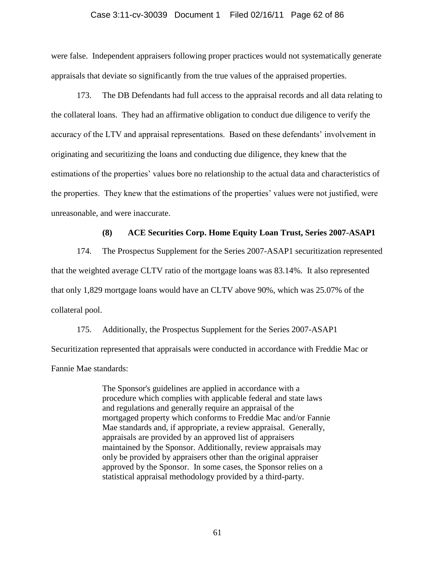### Case 3:11-cv-30039 Document 1 Filed 02/16/11 Page 62 of 86

were false. Independent appraisers following proper practices would not systematically generate appraisals that deviate so significantly from the true values of the appraised properties.

173. The DB Defendants had full access to the appraisal records and all data relating to the collateral loans. They had an affirmative obligation to conduct due diligence to verify the accuracy of the LTV and appraisal representations. Based on these defendants' involvement in originating and securitizing the loans and conducting due diligence, they knew that the estimations of the properties' values bore no relationship to the actual data and characteristics of the properties. They knew that the estimations of the properties' values were not justified, were unreasonable, and were inaccurate.

### **(8) ACE Securities Corp. Home Equity Loan Trust, Series 2007-ASAP1**

174. The Prospectus Supplement for the Series 2007-ASAP1 securitization represented that the weighted average CLTV ratio of the mortgage loans was 83.14%. It also represented that only 1,829 mortgage loans would have an CLTV above 90%, which was 25.07% of the collateral pool.

175. Additionally, the Prospectus Supplement for the Series 2007-ASAP1 Securitization represented that appraisals were conducted in accordance with Freddie Mac or Fannie Mae standards:

> The Sponsor's guidelines are applied in accordance with a procedure which complies with applicable federal and state laws and regulations and generally require an appraisal of the mortgaged property which conforms to Freddie Mac and/or Fannie Mae standards and, if appropriate, a review appraisal. Generally, appraisals are provided by an approved list of appraisers maintained by the Sponsor. Additionally, review appraisals may only be provided by appraisers other than the original appraiser approved by the Sponsor. In some cases, the Sponsor relies on a statistical appraisal methodology provided by a third-party.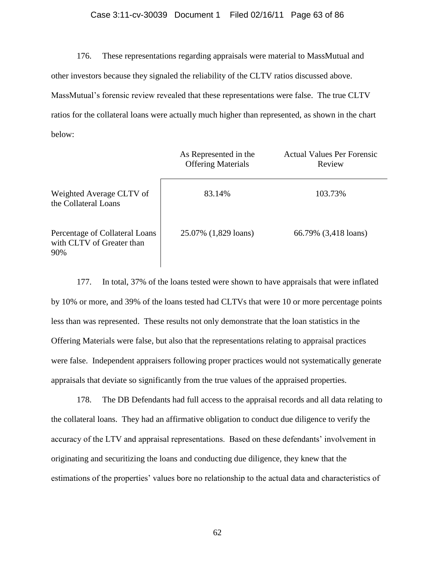### Case 3:11-cv-30039 Document 1 Filed 02/16/11 Page 63 of 86

176. These representations regarding appraisals were material to MassMutual and other investors because they signaled the reliability of the CLTV ratios discussed above. MassMutual's forensic review revealed that these representations were false. The true CLTV ratios for the collateral loans were actually much higher than represented, as shown in the chart below:

|                                                                    | As Represented in the<br><b>Offering Materials</b> | <b>Actual Values Per Forensic</b><br>Review |
|--------------------------------------------------------------------|----------------------------------------------------|---------------------------------------------|
| Weighted Average CLTV of<br>the Collateral Loans                   | 83.14%                                             | 103.73%                                     |
| Percentage of Collateral Loans<br>with CLTV of Greater than<br>90% | 25.07% (1,829 loans)                               | 66.79% (3,418 loans)                        |

177. In total, 37% of the loans tested were shown to have appraisals that were inflated by 10% or more, and 39% of the loans tested had CLTVs that were 10 or more percentage points less than was represented. These results not only demonstrate that the loan statistics in the Offering Materials were false, but also that the representations relating to appraisal practices were false. Independent appraisers following proper practices would not systematically generate appraisals that deviate so significantly from the true values of the appraised properties.

178. The DB Defendants had full access to the appraisal records and all data relating to the collateral loans. They had an affirmative obligation to conduct due diligence to verify the accuracy of the LTV and appraisal representations. Based on these defendants' involvement in originating and securitizing the loans and conducting due diligence, they knew that the estimations of the properties' values bore no relationship to the actual data and characteristics of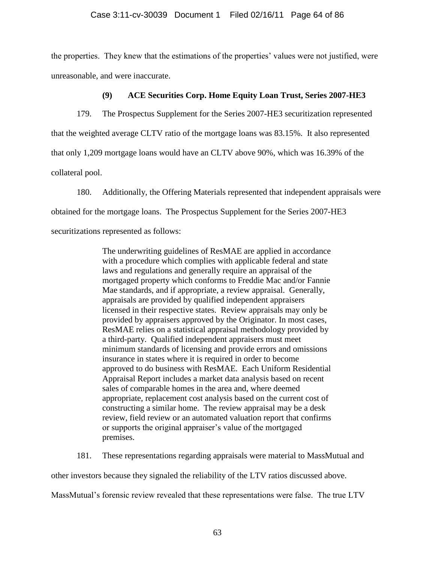the properties. They knew that the estimations of the properties' values were not justified, were unreasonable, and were inaccurate.

## **(9) ACE Securities Corp. Home Equity Loan Trust, Series 2007-HE3**

179. The Prospectus Supplement for the Series 2007-HE3 securitization represented that the weighted average CLTV ratio of the mortgage loans was 83.15%. It also represented that only 1,209 mortgage loans would have an CLTV above 90%, which was 16.39% of the collateral pool.

180. Additionally, the Offering Materials represented that independent appraisals were obtained for the mortgage loans. The Prospectus Supplement for the Series 2007-HE3 securitizations represented as follows:

> The underwriting guidelines of ResMAE are applied in accordance with a procedure which complies with applicable federal and state laws and regulations and generally require an appraisal of the mortgaged property which conforms to Freddie Mac and/or Fannie Mae standards, and if appropriate, a review appraisal. Generally, appraisals are provided by qualified independent appraisers licensed in their respective states. Review appraisals may only be provided by appraisers approved by the Originator. In most cases, ResMAE relies on a statistical appraisal methodology provided by a third-party. Qualified independent appraisers must meet minimum standards of licensing and provide errors and omissions insurance in states where it is required in order to become approved to do business with ResMAE. Each Uniform Residential Appraisal Report includes a market data analysis based on recent sales of comparable homes in the area and, where deemed appropriate, replacement cost analysis based on the current cost of constructing a similar home. The review appraisal may be a desk review, field review or an automated valuation report that confirms or supports the original appraiser's value of the mortgaged premises.

181. These representations regarding appraisals were material to MassMutual and

other investors because they signaled the reliability of the LTV ratios discussed above.

MassMutual's forensic review revealed that these representations were false. The true LTV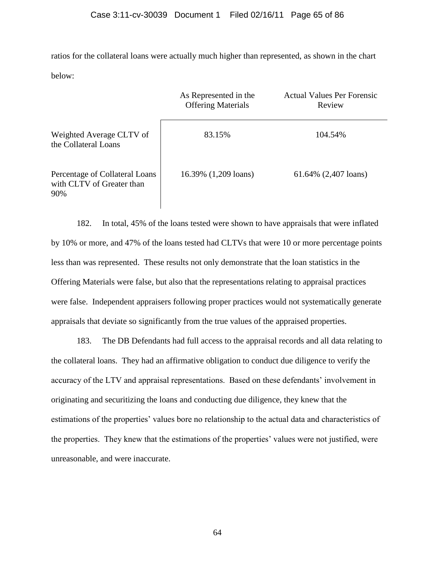ratios for the collateral loans were actually much higher than represented, as shown in the chart below:

|                                                                    | As Represented in the<br><b>Offering Materials</b> | <b>Actual Values Per Forensic</b><br>Review |
|--------------------------------------------------------------------|----------------------------------------------------|---------------------------------------------|
| Weighted Average CLTV of<br>the Collateral Loans                   | 83.15%                                             | 104.54%                                     |
| Percentage of Collateral Loans<br>with CLTV of Greater than<br>90% | 16.39% (1,209 loans)                               | 61.64% (2,407 loans)                        |

182. In total, 45% of the loans tested were shown to have appraisals that were inflated by 10% or more, and 47% of the loans tested had CLTVs that were 10 or more percentage points less than was represented. These results not only demonstrate that the loan statistics in the Offering Materials were false, but also that the representations relating to appraisal practices were false. Independent appraisers following proper practices would not systematically generate appraisals that deviate so significantly from the true values of the appraised properties.

183. The DB Defendants had full access to the appraisal records and all data relating to the collateral loans. They had an affirmative obligation to conduct due diligence to verify the accuracy of the LTV and appraisal representations. Based on these defendants' involvement in originating and securitizing the loans and conducting due diligence, they knew that the estimations of the properties' values bore no relationship to the actual data and characteristics of the properties. They knew that the estimations of the properties' values were not justified, were unreasonable, and were inaccurate.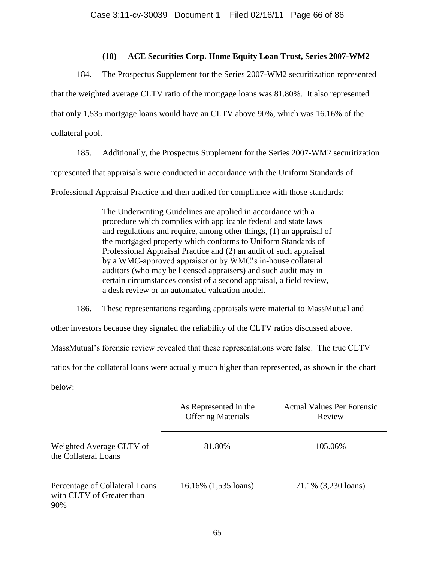## **(10) ACE Securities Corp. Home Equity Loan Trust, Series 2007-WM2**

184. The Prospectus Supplement for the Series 2007-WM2 securitization represented that the weighted average CLTV ratio of the mortgage loans was 81.80%. It also represented that only 1,535 mortgage loans would have an CLTV above 90%, which was 16.16% of the collateral pool.

185. Additionally, the Prospectus Supplement for the Series 2007-WM2 securitization represented that appraisals were conducted in accordance with the Uniform Standards of Professional Appraisal Practice and then audited for compliance with those standards:

> The Underwriting Guidelines are applied in accordance with a procedure which complies with applicable federal and state laws and regulations and require, among other things, (1) an appraisal of the mortgaged property which conforms to Uniform Standards of Professional Appraisal Practice and (2) an audit of such appraisal by a WMC-approved appraiser or by WMC's in-house collateral auditors (who may be licensed appraisers) and such audit may in certain circumstances consist of a second appraisal, a field review, a desk review or an automated valuation model.

186. These representations regarding appraisals were material to MassMutual and other investors because they signaled the reliability of the CLTV ratios discussed above. MassMutual's forensic review revealed that these representations were false. The true CLTV ratios for the collateral loans were actually much higher than represented, as shown in the chart below:

|                                                                    | As Represented in the<br><b>Offering Materials</b> | <b>Actual Values Per Forensic</b><br>Review |
|--------------------------------------------------------------------|----------------------------------------------------|---------------------------------------------|
| Weighted Average CLTV of<br>the Collateral Loans                   | 81.80%                                             | 105.06%                                     |
| Percentage of Collateral Loans<br>with CLTV of Greater than<br>90% | 16.16% (1,535 loans)                               | 71.1% (3,230 loans)                         |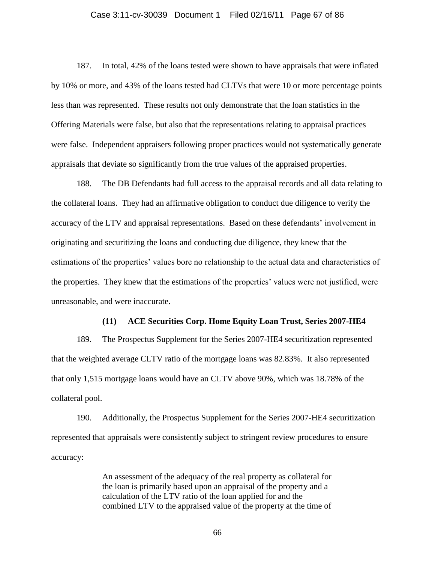#### Case 3:11-cv-30039 Document 1 Filed 02/16/11 Page 67 of 86

187. In total, 42% of the loans tested were shown to have appraisals that were inflated by 10% or more, and 43% of the loans tested had CLTVs that were 10 or more percentage points less than was represented. These results not only demonstrate that the loan statistics in the Offering Materials were false, but also that the representations relating to appraisal practices were false. Independent appraisers following proper practices would not systematically generate appraisals that deviate so significantly from the true values of the appraised properties.

188. The DB Defendants had full access to the appraisal records and all data relating to the collateral loans. They had an affirmative obligation to conduct due diligence to verify the accuracy of the LTV and appraisal representations. Based on these defendants' involvement in originating and securitizing the loans and conducting due diligence, they knew that the estimations of the properties' values bore no relationship to the actual data and characteristics of the properties. They knew that the estimations of the properties' values were not justified, were unreasonable, and were inaccurate.

### **(11) ACE Securities Corp. Home Equity Loan Trust, Series 2007-HE4**

189. The Prospectus Supplement for the Series 2007-HE4 securitization represented that the weighted average CLTV ratio of the mortgage loans was 82.83%. It also represented that only 1,515 mortgage loans would have an CLTV above 90%, which was 18.78% of the collateral pool.

190. Additionally, the Prospectus Supplement for the Series 2007-HE4 securitization represented that appraisals were consistently subject to stringent review procedures to ensure accuracy:

> An assessment of the adequacy of the real property as collateral for the loan is primarily based upon an appraisal of the property and a calculation of the LTV ratio of the loan applied for and the combined LTV to the appraised value of the property at the time of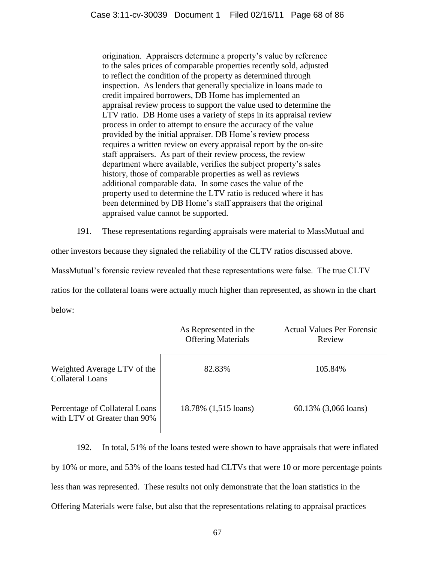origination. Appraisers determine a property's value by reference to the sales prices of comparable properties recently sold, adjusted to reflect the condition of the property as determined through inspection. As lenders that generally specialize in loans made to credit impaired borrowers, DB Home has implemented an appraisal review process to support the value used to determine the LTV ratio. DB Home uses a variety of steps in its appraisal review process in order to attempt to ensure the accuracy of the value provided by the initial appraiser. DB Home's review process requires a written review on every appraisal report by the on-site staff appraisers. As part of their review process, the review department where available, verifies the subject property's sales history, those of comparable properties as well as reviews additional comparable data. In some cases the value of the property used to determine the LTV ratio is reduced where it has been determined by DB Home's staff appraisers that the original appraised value cannot be supported.

191. These representations regarding appraisals were material to MassMutual and

other investors because they signaled the reliability of the CLTV ratios discussed above.

MassMutual's forensic review revealed that these representations were false. The true CLTV

ratios for the collateral loans were actually much higher than represented, as shown in the chart

below:

|                                                                | As Represented in the<br><b>Offering Materials</b> | <b>Actual Values Per Forensic</b><br>Review |
|----------------------------------------------------------------|----------------------------------------------------|---------------------------------------------|
| Weighted Average LTV of the<br><b>Collateral Loans</b>         | 82.83%                                             | 105.84%                                     |
| Percentage of Collateral Loans<br>with LTV of Greater than 90% | 18.78% (1,515 loans)                               | 60.13% (3,066 loans)                        |

192. In total, 51% of the loans tested were shown to have appraisals that were inflated by 10% or more, and 53% of the loans tested had CLTVs that were 10 or more percentage points less than was represented. These results not only demonstrate that the loan statistics in the Offering Materials were false, but also that the representations relating to appraisal practices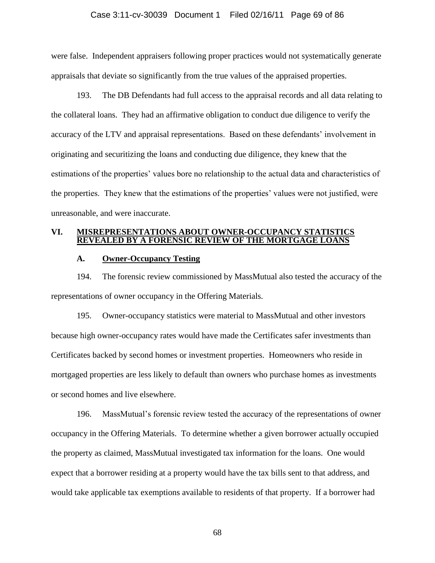### Case 3:11-cv-30039 Document 1 Filed 02/16/11 Page 69 of 86

were false. Independent appraisers following proper practices would not systematically generate appraisals that deviate so significantly from the true values of the appraised properties.

193. The DB Defendants had full access to the appraisal records and all data relating to the collateral loans. They had an affirmative obligation to conduct due diligence to verify the accuracy of the LTV and appraisal representations. Based on these defendants' involvement in originating and securitizing the loans and conducting due diligence, they knew that the estimations of the properties' values bore no relationship to the actual data and characteristics of the properties. They knew that the estimations of the properties' values were not justified, were unreasonable, and were inaccurate.

### **VI. MISREPRESENTATIONS ABOUT OWNER-OCCUPANCY STATISTICS REVEALED BY A FORENSIC REVIEW OF THE MORTGAGE LOANS**

### **A. Owner-Occupancy Testing**

194. The forensic review commissioned by MassMutual also tested the accuracy of the representations of owner occupancy in the Offering Materials.

195. Owner-occupancy statistics were material to MassMutual and other investors because high owner-occupancy rates would have made the Certificates safer investments than Certificates backed by second homes or investment properties. Homeowners who reside in mortgaged properties are less likely to default than owners who purchase homes as investments or second homes and live elsewhere.

196. MassMutual's forensic review tested the accuracy of the representations of owner occupancy in the Offering Materials. To determine whether a given borrower actually occupied the property as claimed, MassMutual investigated tax information for the loans. One would expect that a borrower residing at a property would have the tax bills sent to that address, and would take applicable tax exemptions available to residents of that property. If a borrower had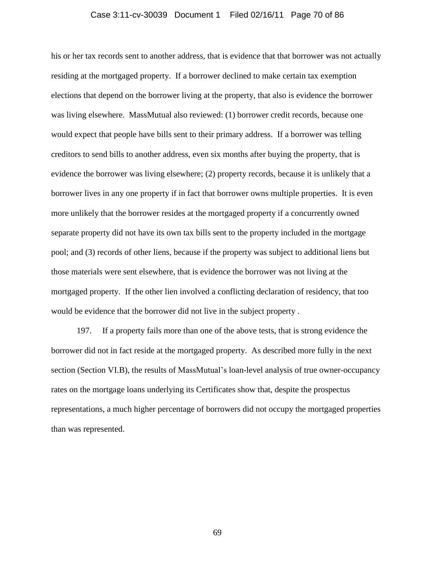#### Case 3:11-cv-30039 Document 1 Filed 02/16/11 Page 70 of 86

his or her tax records sent to another address, that is evidence that that borrower was not actually residing at the mortgaged property. If a borrower declined to make certain tax exemption elections that depend on the borrower living at the property, that also is evidence the borrower was living elsewhere. MassMutual also reviewed: (1) borrower credit records, because one would expect that people have bills sent to their primary address. If a borrower was telling creditors to send bills to another address, even six months after buying the property, that is evidence the borrower was living elsewhere; (2) property records, because it is unlikely that a borrower lives in any one property if in fact that borrower owns multiple properties. It is even more unlikely that the borrower resides at the mortgaged property if a concurrently owned separate property did not have its own tax bills sent to the property included in the mortgage pool; and (3) records of other liens, because if the property was subject to additional liens but those materials were sent elsewhere, that is evidence the borrower was not living at the mortgaged property. If the other lien involved a conflicting declaration of residency, that too would be evidence that the borrower did not live in the subject property .

197. If a property fails more than one of the above tests, that is strong evidence the borrower did not in fact reside at the mortgaged property. As described more fully in the next section (Section VI.B), the results of MassMutual's loan-level analysis of true owner-occupancy rates on the mortgage loans underlying its Certificates show that, despite the prospectus representations, a much higher percentage of borrowers did not occupy the mortgaged properties than was represented.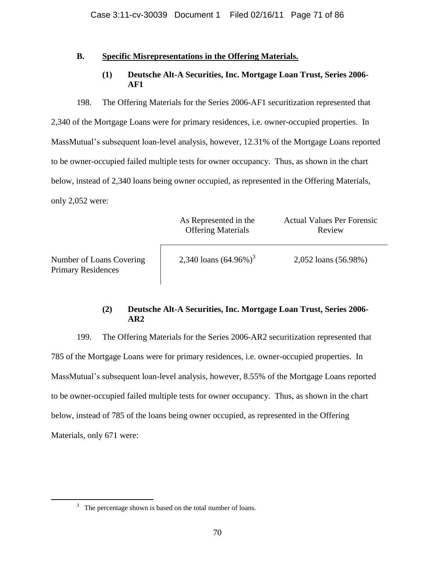## **B. Specific Misrepresentations in the Offering Materials.**

**(1) Deutsche Alt-A Securities, Inc. Mortgage Loan Trust, Series 2006- AF1**

198. The Offering Materials for the Series 2006-AF1 securitization represented that 2,340 of the Mortgage Loans were for primary residences, i.e. owner-occupied properties. In MassMutual's subsequent loan-level analysis, however, 12.31% of the Mortgage Loans reported to be owner-occupied failed multiple tests for owner occupancy. Thus, as shown in the chart below, instead of 2,340 loans being owner occupied, as represented in the Offering Materials, only 2,052 were:

|                                                       | As Represented in the<br><b>Offering Materials</b> | <b>Actual Values Per Forensic</b><br>Review |
|-------------------------------------------------------|----------------------------------------------------|---------------------------------------------|
| Number of Loans Covering<br><b>Primary Residences</b> | 2,340 loans $(64.96\%)^3$                          | 2,052 loans (56.98%)                        |

## **(2) Deutsche Alt-A Securities, Inc. Mortgage Loan Trust, Series 2006- AR2**

199. The Offering Materials for the Series 2006-AR2 securitization represented that 785 of the Mortgage Loans were for primary residences, i.e. owner-occupied properties. In MassMutual's subsequent loan-level analysis, however, 8.55% of the Mortgage Loans reported to be owner-occupied failed multiple tests for owner occupancy. Thus, as shown in the chart below, instead of 785 of the loans being owner occupied, as represented in the Offering Materials, only 671 were:

 $\overline{a}$ 

 $3$  The percentage shown is based on the total number of loans.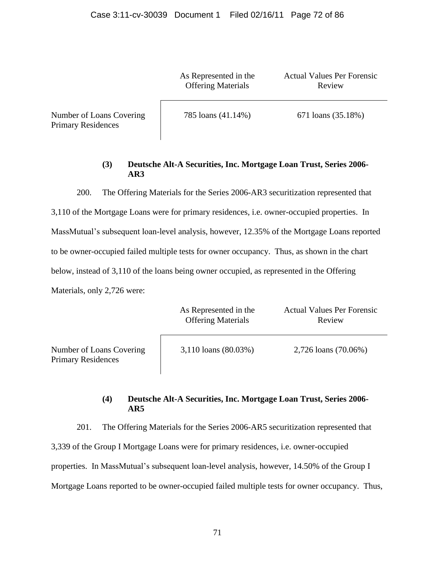As Represented in the Offering Materials

Actual Values Per Forensic Review

Number of Loans Covering Primary Residences

785 loans (41.14%) 671 loans (35.18%)

## **(3) Deutsche Alt-A Securities, Inc. Mortgage Loan Trust, Series 2006- AR3**

200. The Offering Materials for the Series 2006-AR3 securitization represented that

3,110 of the Mortgage Loans were for primary residences, i.e. owner-occupied properties. In MassMutual's subsequent loan-level analysis, however, 12.35% of the Mortgage Loans reported to be owner-occupied failed multiple tests for owner occupancy. Thus, as shown in the chart below, instead of 3,110 of the loans being owner occupied, as represented in the Offering Materials, only 2,726 were:

|                                                       | As Represented in the<br><b>Offering Materials</b> | <b>Actual Values Per Forensic</b><br>Review |
|-------------------------------------------------------|----------------------------------------------------|---------------------------------------------|
| Number of Loans Covering<br><b>Primary Residences</b> | 3,110 loans (80.03%)                               | 2,726 loans (70.06%)                        |

## **(4) Deutsche Alt-A Securities, Inc. Mortgage Loan Trust, Series 2006- AR5**

201. The Offering Materials for the Series 2006-AR5 securitization represented that 3,339 of the Group I Mortgage Loans were for primary residences, i.e. owner-occupied properties. In MassMutual's subsequent loan-level analysis, however, 14.50% of the Group I Mortgage Loans reported to be owner-occupied failed multiple tests for owner occupancy. Thus,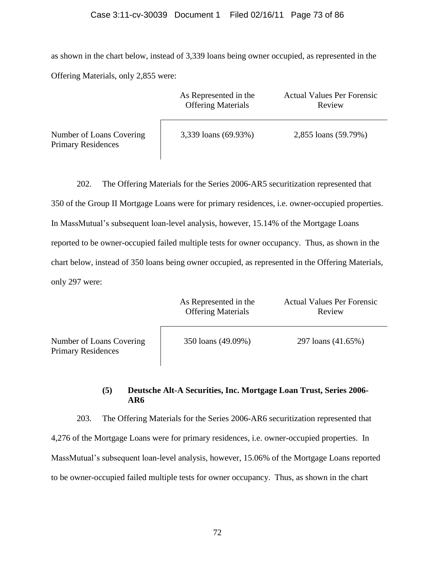as shown in the chart below, instead of 3,339 loans being owner occupied, as represented in the Offering Materials, only 2,855 were:

|                                                       | As Represented in the<br><b>Offering Materials</b> | <b>Actual Values Per Forensic</b><br>Review |
|-------------------------------------------------------|----------------------------------------------------|---------------------------------------------|
| Number of Loans Covering<br><b>Primary Residences</b> | 3,339 loans (69.93%)                               | 2,855 loans (59.79%)                        |

 $\overline{\phantom{a}}$ 

202. The Offering Materials for the Series 2006-AR5 securitization represented that 350 of the Group II Mortgage Loans were for primary residences, i.e. owner-occupied properties. In MassMutual's subsequent loan-level analysis, however, 15.14% of the Mortgage Loans reported to be owner-occupied failed multiple tests for owner occupancy. Thus, as shown in the chart below, instead of 350 loans being owner occupied, as represented in the Offering Materials, only 297 were:

|                                                       | As Represented in the<br><b>Offering Materials</b> | <b>Actual Values Per Forensic</b><br>Review |
|-------------------------------------------------------|----------------------------------------------------|---------------------------------------------|
| Number of Loans Covering<br><b>Primary Residences</b> | 350 loans (49.09%)                                 | 297 loans (41.65%)                          |

## **(5) Deutsche Alt-A Securities, Inc. Mortgage Loan Trust, Series 2006- AR6**

203. The Offering Materials for the Series 2006-AR6 securitization represented that 4,276 of the Mortgage Loans were for primary residences, i.e. owner-occupied properties. In MassMutual's subsequent loan-level analysis, however, 15.06% of the Mortgage Loans reported to be owner-occupied failed multiple tests for owner occupancy. Thus, as shown in the chart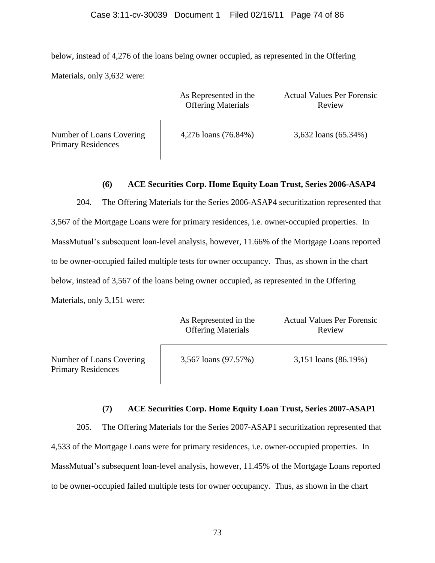below, instead of 4,276 of the loans being owner occupied, as represented in the Offering Materials, only 3,632 were:

|                                                       | As Represented in the<br><b>Offering Materials</b> | <b>Actual Values Per Forensic</b><br>Review |
|-------------------------------------------------------|----------------------------------------------------|---------------------------------------------|
| Number of Loans Covering<br><b>Primary Residences</b> | 4,276 loans (76.84%)                               | 3,632 loans (65.34%)                        |

## **(6) ACE Securities Corp. Home Equity Loan Trust, Series 2006-ASAP4**

204. The Offering Materials for the Series 2006-ASAP4 securitization represented that 3,567 of the Mortgage Loans were for primary residences, i.e. owner-occupied properties. In MassMutual's subsequent loan-level analysis, however, 11.66% of the Mortgage Loans reported to be owner-occupied failed multiple tests for owner occupancy. Thus, as shown in the chart below, instead of 3,567 of the loans being owner occupied, as represented in the Offering Materials, only 3,151 were:

|                                                       | As Represented in the<br><b>Offering Materials</b> | <b>Actual Values Per Forensic</b><br>Review |
|-------------------------------------------------------|----------------------------------------------------|---------------------------------------------|
| Number of Loans Covering<br><b>Primary Residences</b> | 3,567 loans (97.57%)                               | 3,151 loans (86.19%)                        |

#### **(7) ACE Securities Corp. Home Equity Loan Trust, Series 2007-ASAP1**

205. The Offering Materials for the Series 2007-ASAP1 securitization represented that 4,533 of the Mortgage Loans were for primary residences, i.e. owner-occupied properties. In MassMutual's subsequent loan-level analysis, however, 11.45% of the Mortgage Loans reported to be owner-occupied failed multiple tests for owner occupancy. Thus, as shown in the chart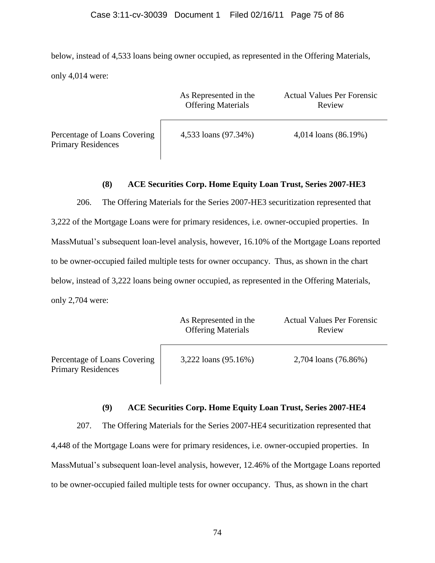below, instead of 4,533 loans being owner occupied, as represented in the Offering Materials, only 4,014 were:

|                                                           | As Represented in the<br><b>Offering Materials</b> | <b>Actual Values Per Forensic</b><br>Review |
|-----------------------------------------------------------|----------------------------------------------------|---------------------------------------------|
| Percentage of Loans Covering<br><b>Primary Residences</b> | 4,533 loans (97.34%)                               | 4,014 loans (86.19%)                        |

## **(8) ACE Securities Corp. Home Equity Loan Trust, Series 2007-HE3**

206. The Offering Materials for the Series 2007-HE3 securitization represented that 3,222 of the Mortgage Loans were for primary residences, i.e. owner-occupied properties. In MassMutual's subsequent loan-level analysis, however, 16.10% of the Mortgage Loans reported to be owner-occupied failed multiple tests for owner occupancy. Thus, as shown in the chart below, instead of 3,222 loans being owner occupied, as represented in the Offering Materials, only 2,704 were:

|                                                           | As Represented in the<br><b>Offering Materials</b> | <b>Actual Values Per Forensic</b><br>Review |
|-----------------------------------------------------------|----------------------------------------------------|---------------------------------------------|
| Percentage of Loans Covering<br><b>Primary Residences</b> | 3,222 loans (95.16%)                               | 2,704 loans (76.86%)                        |

# **(9) ACE Securities Corp. Home Equity Loan Trust, Series 2007-HE4**

207. The Offering Materials for the Series 2007-HE4 securitization represented that 4,448 of the Mortgage Loans were for primary residences, i.e. owner-occupied properties. In MassMutual's subsequent loan-level analysis, however, 12.46% of the Mortgage Loans reported to be owner-occupied failed multiple tests for owner occupancy. Thus, as shown in the chart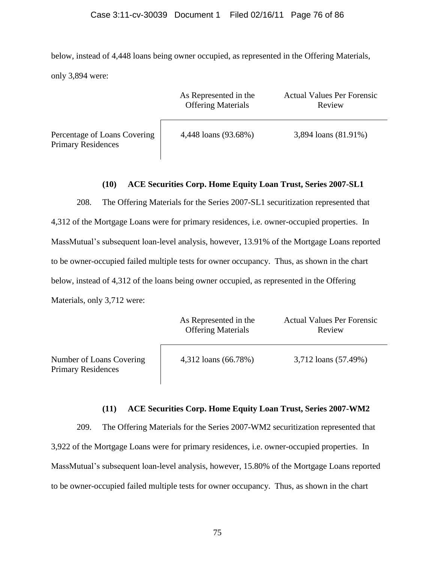below, instead of 4,448 loans being owner occupied, as represented in the Offering Materials, only 3,894 were:

|                                                           | As Represented in the<br><b>Offering Materials</b> | <b>Actual Values Per Forensic</b><br>Review |
|-----------------------------------------------------------|----------------------------------------------------|---------------------------------------------|
| Percentage of Loans Covering<br><b>Primary Residences</b> | 4,448 loans (93.68%)                               | 3,894 loans (81.91%)                        |

## **(10) ACE Securities Corp. Home Equity Loan Trust, Series 2007-SL1**

208. The Offering Materials for the Series 2007-SL1 securitization represented that 4,312 of the Mortgage Loans were for primary residences, i.e. owner-occupied properties. In MassMutual's subsequent loan-level analysis, however, 13.91% of the Mortgage Loans reported to be owner-occupied failed multiple tests for owner occupancy. Thus, as shown in the chart below, instead of 4,312 of the loans being owner occupied, as represented in the Offering Materials, only 3,712 were:

|                                                       | As Represented in the<br><b>Offering Materials</b> | <b>Actual Values Per Forensic</b><br>Review |
|-------------------------------------------------------|----------------------------------------------------|---------------------------------------------|
| Number of Loans Covering<br><b>Primary Residences</b> | 4,312 loans (66.78%)                               | 3,712 loans (57.49%)                        |

## **(11) ACE Securities Corp. Home Equity Loan Trust, Series 2007-WM2**

209. The Offering Materials for the Series 2007-WM2 securitization represented that 3,922 of the Mortgage Loans were for primary residences, i.e. owner-occupied properties. In MassMutual's subsequent loan-level analysis, however, 15.80% of the Mortgage Loans reported to be owner-occupied failed multiple tests for owner occupancy. Thus, as shown in the chart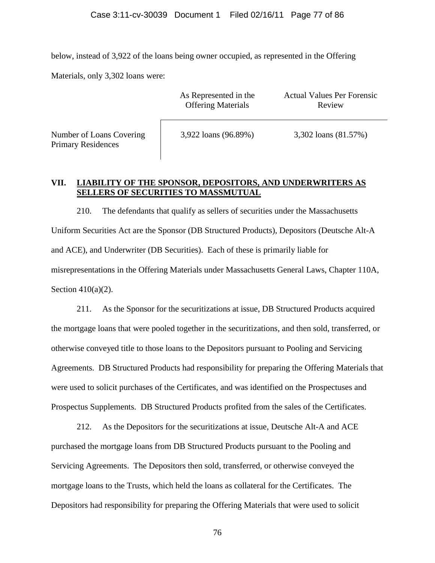below, instead of 3,922 of the loans being owner occupied, as represented in the Offering

Materials, only 3,302 loans were:

Primary Residences

|                                                | As Represented in the<br><b>Offering Materials</b> | <b>Actual Values Per Forensic</b><br>Review |
|------------------------------------------------|----------------------------------------------------|---------------------------------------------|
| Number of Loans Covering<br>Drimary Decidences | 3,922 loans (96.89%)                               | 3,302 loans (81.57%)                        |

# **VII. LIABILITY OF THE SPONSOR, DEPOSITORS, AND UNDERWRITERS AS SELLERS OF SECURITIES TO MASSMUTUAL**

210. The defendants that qualify as sellers of securities under the Massachusetts Uniform Securities Act are the Sponsor (DB Structured Products), Depositors (Deutsche Alt-A and ACE), and Underwriter (DB Securities). Each of these is primarily liable for misrepresentations in the Offering Materials under Massachusetts General Laws, Chapter 110A, Section  $410(a)(2)$ .

211. As the Sponsor for the securitizations at issue, DB Structured Products acquired the mortgage loans that were pooled together in the securitizations, and then sold, transferred, or otherwise conveyed title to those loans to the Depositors pursuant to Pooling and Servicing Agreements. DB Structured Products had responsibility for preparing the Offering Materials that were used to solicit purchases of the Certificates, and was identified on the Prospectuses and Prospectus Supplements. DB Structured Products profited from the sales of the Certificates.

212. As the Depositors for the securitizations at issue, Deutsche Alt-A and ACE purchased the mortgage loans from DB Structured Products pursuant to the Pooling and Servicing Agreements. The Depositors then sold, transferred, or otherwise conveyed the mortgage loans to the Trusts, which held the loans as collateral for the Certificates. The Depositors had responsibility for preparing the Offering Materials that were used to solicit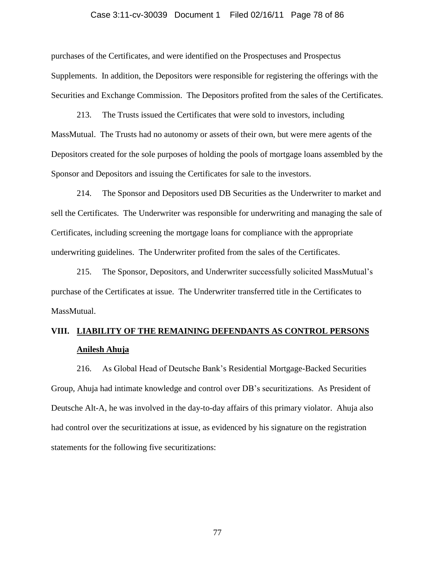#### Case 3:11-cv-30039 Document 1 Filed 02/16/11 Page 78 of 86

purchases of the Certificates, and were identified on the Prospectuses and Prospectus Supplements. In addition, the Depositors were responsible for registering the offerings with the Securities and Exchange Commission. The Depositors profited from the sales of the Certificates.

213. The Trusts issued the Certificates that were sold to investors, including MassMutual. The Trusts had no autonomy or assets of their own, but were mere agents of the Depositors created for the sole purposes of holding the pools of mortgage loans assembled by the Sponsor and Depositors and issuing the Certificates for sale to the investors.

214. The Sponsor and Depositors used DB Securities as the Underwriter to market and sell the Certificates. The Underwriter was responsible for underwriting and managing the sale of Certificates, including screening the mortgage loans for compliance with the appropriate underwriting guidelines. The Underwriter profited from the sales of the Certificates.

215. The Sponsor, Depositors, and Underwriter successfully solicited MassMutual's purchase of the Certificates at issue. The Underwriter transferred title in the Certificates to MassMutual.

# **VIII. LIABILITY OF THE REMAINING DEFENDANTS AS CONTROL PERSONS Anilesh Ahuja**

216. As Global Head of Deutsche Bank's Residential Mortgage-Backed Securities Group, Ahuja had intimate knowledge and control over DB's securitizations. As President of Deutsche Alt-A, he was involved in the day-to-day affairs of this primary violator. Ahuja also had control over the securitizations at issue, as evidenced by his signature on the registration statements for the following five securitizations: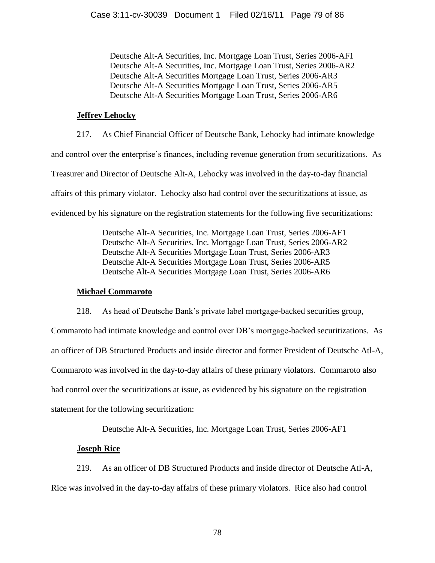Deutsche Alt-A Securities, Inc. Mortgage Loan Trust, Series 2006-AF1 Deutsche Alt-A Securities, Inc. Mortgage Loan Trust, Series 2006-AR2 Deutsche Alt-A Securities Mortgage Loan Trust, Series 2006-AR3 Deutsche Alt-A Securities Mortgage Loan Trust, Series 2006-AR5 Deutsche Alt-A Securities Mortgage Loan Trust, Series 2006-AR6

#### **Jeffrey Lehocky**

217. As Chief Financial Officer of Deutsche Bank, Lehocky had intimate knowledge and control over the enterprise's finances, including revenue generation from securitizations. As Treasurer and Director of Deutsche Alt-A, Lehocky was involved in the day-to-day financial affairs of this primary violator. Lehocky also had control over the securitizations at issue, as evidenced by his signature on the registration statements for the following five securitizations:

> Deutsche Alt-A Securities, Inc. Mortgage Loan Trust, Series 2006-AF1 Deutsche Alt-A Securities, Inc. Mortgage Loan Trust, Series 2006-AR2 Deutsche Alt-A Securities Mortgage Loan Trust, Series 2006-AR3 Deutsche Alt-A Securities Mortgage Loan Trust, Series 2006-AR5 Deutsche Alt-A Securities Mortgage Loan Trust, Series 2006-AR6

## **Michael Commaroto**

218. As head of Deutsche Bank's private label mortgage-backed securities group, Commaroto had intimate knowledge and control over DB's mortgage-backed securitizations. As an officer of DB Structured Products and inside director and former President of Deutsche Atl-A, Commaroto was involved in the day-to-day affairs of these primary violators. Commaroto also had control over the securitizations at issue, as evidenced by his signature on the registration statement for the following securitization:

Deutsche Alt-A Securities, Inc. Mortgage Loan Trust, Series 2006-AF1

## **Joseph Rice**

219. As an officer of DB Structured Products and inside director of Deutsche Atl-A, Rice was involved in the day-to-day affairs of these primary violators. Rice also had control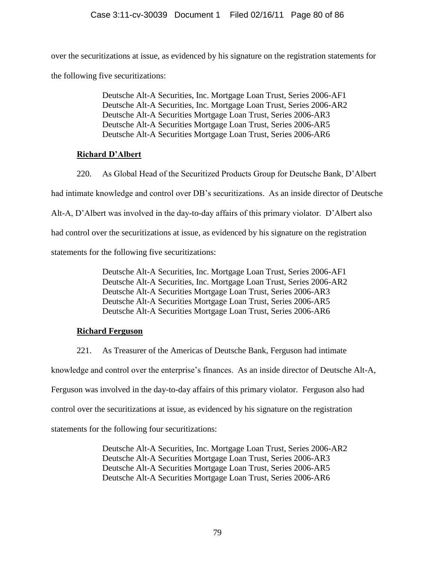over the securitizations at issue, as evidenced by his signature on the registration statements for the following five securitizations:

> Deutsche Alt-A Securities, Inc. Mortgage Loan Trust, Series 2006-AF1 Deutsche Alt-A Securities, Inc. Mortgage Loan Trust, Series 2006-AR2 Deutsche Alt-A Securities Mortgage Loan Trust, Series 2006-AR3 Deutsche Alt-A Securities Mortgage Loan Trust, Series 2006-AR5 Deutsche Alt-A Securities Mortgage Loan Trust, Series 2006-AR6

## **Richard D'Albert**

220. As Global Head of the Securitized Products Group for Deutsche Bank, D'Albert had intimate knowledge and control over DB's securitizations. As an inside director of Deutsche Alt-A, D'Albert was involved in the day-to-day affairs of this primary violator. D'Albert also had control over the securitizations at issue, as evidenced by his signature on the registration statements for the following five securitizations:

> Deutsche Alt-A Securities, Inc. Mortgage Loan Trust, Series 2006-AF1 Deutsche Alt-A Securities, Inc. Mortgage Loan Trust, Series 2006-AR2 Deutsche Alt-A Securities Mortgage Loan Trust, Series 2006-AR3 Deutsche Alt-A Securities Mortgage Loan Trust, Series 2006-AR5 Deutsche Alt-A Securities Mortgage Loan Trust, Series 2006-AR6

## **Richard Ferguson**

221. As Treasurer of the Americas of Deutsche Bank, Ferguson had intimate

knowledge and control over the enterprise's finances. As an inside director of Deutsche Alt-A,

Ferguson was involved in the day-to-day affairs of this primary violator. Ferguson also had

control over the securitizations at issue, as evidenced by his signature on the registration

statements for the following four securitizations:

Deutsche Alt-A Securities, Inc. Mortgage Loan Trust, Series 2006-AR2 Deutsche Alt-A Securities Mortgage Loan Trust, Series 2006-AR3 Deutsche Alt-A Securities Mortgage Loan Trust, Series 2006-AR5 Deutsche Alt-A Securities Mortgage Loan Trust, Series 2006-AR6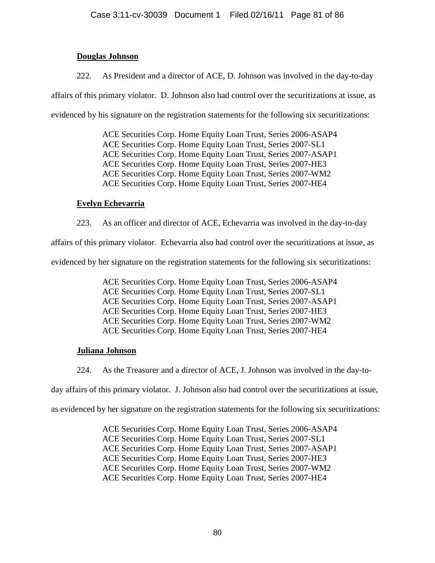## **Douglas Johnson**

222. As President and a director of ACE, D. Johnson was involved in the day-to-day

affairs of this primary violator. D. Johnson also had control over the securitizations at issue, as evidenced by his signature on the registration statements for the following six securitizations:

> ACE Securities Corp. Home Equity Loan Trust, Series 2006-ASAP4 ACE Securities Corp. Home Equity Loan Trust, Series 2007-SL1 ACE Securities Corp. Home Equity Loan Trust, Series 2007-ASAP1 ACE Securities Corp. Home Equity Loan Trust, Series 2007-HE3 ACE Securities Corp. Home Equity Loan Trust, Series 2007-WM2 ACE Securities Corp. Home Equity Loan Trust, Series 2007-HE4

#### **Evelyn Echevarria**

223. As an officer and director of ACE, Echevarria was involved in the day-to-day

affairs of this primary violator. Echevarria also had control over the securitizations at issue, as

evidenced by her signature on the registration statements for the following six securitizations:

ACE Securities Corp. Home Equity Loan Trust, Series 2006-ASAP4 ACE Securities Corp. Home Equity Loan Trust, Series 2007-SL1 ACE Securities Corp. Home Equity Loan Trust, Series 2007-ASAP1 ACE Securities Corp. Home Equity Loan Trust, Series 2007-HE3 ACE Securities Corp. Home Equity Loan Trust, Series 2007-WM2 ACE Securities Corp. Home Equity Loan Trust, Series 2007-HE4

## **Juliana Johnson**

224. As the Treasurer and a director of ACE, J. Johnson was involved in the day-to-

day affairs of this primary violator. J. Johnson also had control over the securitizations at issue,

as evidenced by her signature on the registration statements for the following six securitizations:

ACE Securities Corp. Home Equity Loan Trust, Series 2006-ASAP4 ACE Securities Corp. Home Equity Loan Trust, Series 2007-SL1 ACE Securities Corp. Home Equity Loan Trust, Series 2007-ASAP1 ACE Securities Corp. Home Equity Loan Trust, Series 2007-HE3 ACE Securities Corp. Home Equity Loan Trust, Series 2007-WM2 ACE Securities Corp. Home Equity Loan Trust, Series 2007-HE4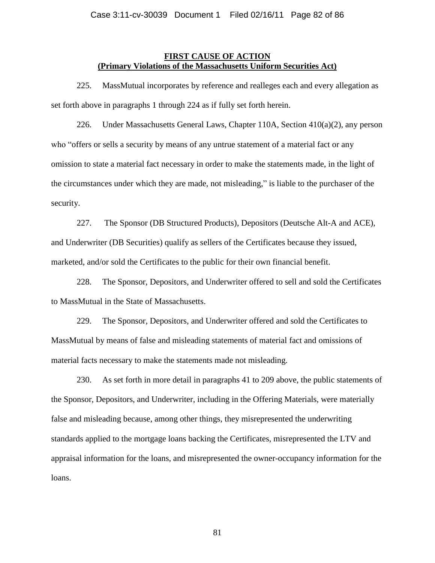#### **FIRST CAUSE OF ACTION (Primary Violations of the Massachusetts Uniform Securities Act)**

225. MassMutual incorporates by reference and realleges each and every allegation as set forth above in paragraphs 1 through 224 as if fully set forth herein.

226. Under Massachusetts General Laws, Chapter 110A, Section 410(a)(2), any person who "offers or sells a security by means of any untrue statement of a material fact or any omission to state a material fact necessary in order to make the statements made, in the light of the circumstances under which they are made, not misleading," is liable to the purchaser of the security.

227. The Sponsor (DB Structured Products), Depositors (Deutsche Alt-A and ACE), and Underwriter (DB Securities) qualify as sellers of the Certificates because they issued, marketed, and/or sold the Certificates to the public for their own financial benefit.

228. The Sponsor, Depositors, and Underwriter offered to sell and sold the Certificates to MassMutual in the State of Massachusetts.

229. The Sponsor, Depositors, and Underwriter offered and sold the Certificates to MassMutual by means of false and misleading statements of material fact and omissions of material facts necessary to make the statements made not misleading.

230. As set forth in more detail in paragraphs 41 to 209 above, the public statements of the Sponsor, Depositors, and Underwriter, including in the Offering Materials, were materially false and misleading because, among other things, they misrepresented the underwriting standards applied to the mortgage loans backing the Certificates, misrepresented the LTV and appraisal information for the loans, and misrepresented the owner-occupancy information for the loans.

81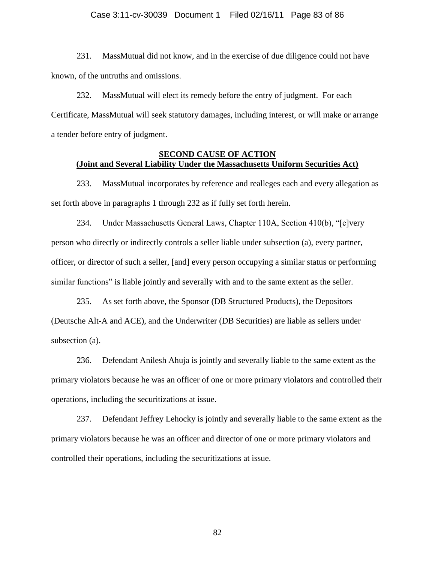#### Case 3:11-cv-30039 Document 1 Filed 02/16/11 Page 83 of 86

231. MassMutual did not know, and in the exercise of due diligence could not have known, of the untruths and omissions.

232. MassMutual will elect its remedy before the entry of judgment. For each Certificate, MassMutual will seek statutory damages, including interest, or will make or arrange a tender before entry of judgment.

#### **SECOND CAUSE OF ACTION (Joint and Several Liability Under the Massachusetts Uniform Securities Act)**

233. MassMutual incorporates by reference and realleges each and every allegation as set forth above in paragraphs 1 through 232 as if fully set forth herein.

234. Under Massachusetts General Laws, Chapter 110A, Section 410(b), "[e]very person who directly or indirectly controls a seller liable under subsection (a), every partner, officer, or director of such a seller, [and] every person occupying a similar status or performing similar functions" is liable jointly and severally with and to the same extent as the seller.

235. As set forth above, the Sponsor (DB Structured Products), the Depositors (Deutsche Alt-A and ACE), and the Underwriter (DB Securities) are liable as sellers under subsection (a).

236. Defendant Anilesh Ahuja is jointly and severally liable to the same extent as the primary violators because he was an officer of one or more primary violators and controlled their operations, including the securitizations at issue.

237. Defendant Jeffrey Lehocky is jointly and severally liable to the same extent as the primary violators because he was an officer and director of one or more primary violators and controlled their operations, including the securitizations at issue.

82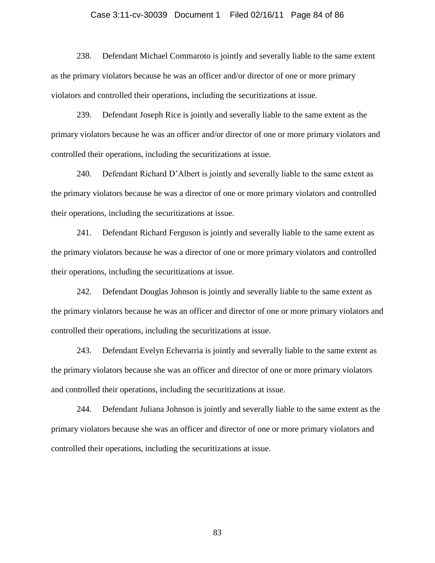#### Case 3:11-cv-30039 Document 1 Filed 02/16/11 Page 84 of 86

238. Defendant Michael Commaroto is jointly and severally liable to the same extent as the primary violators because he was an officer and/or director of one or more primary violators and controlled their operations, including the securitizations at issue.

239. Defendant Joseph Rice is jointly and severally liable to the same extent as the primary violators because he was an officer and/or director of one or more primary violators and controlled their operations, including the securitizations at issue.

240. Defendant Richard D'Albert is jointly and severally liable to the same extent as the primary violators because he was a director of one or more primary violators and controlled their operations, including the securitizations at issue.

241. Defendant Richard Ferguson is jointly and severally liable to the same extent as the primary violators because he was a director of one or more primary violators and controlled their operations, including the securitizations at issue.

242. Defendant Douglas Johnson is jointly and severally liable to the same extent as the primary violators because he was an officer and director of one or more primary violators and controlled their operations, including the securitizations at issue.

243. Defendant Evelyn Echevarria is jointly and severally liable to the same extent as the primary violators because she was an officer and director of one or more primary violators and controlled their operations, including the securitizations at issue.

244. Defendant Juliana Johnson is jointly and severally liable to the same extent as the primary violators because she was an officer and director of one or more primary violators and controlled their operations, including the securitizations at issue.

83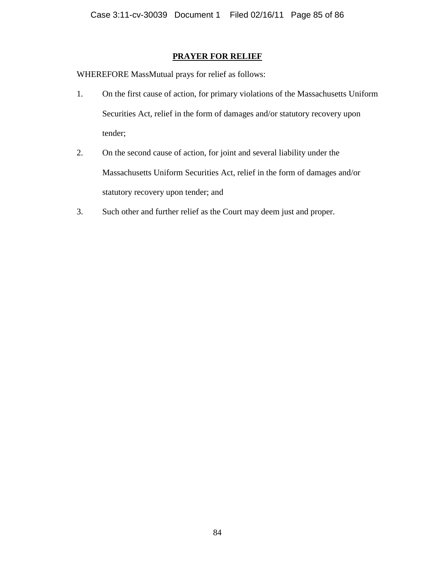#### **PRAYER FOR RELIEF**

WHEREFORE MassMutual prays for relief as follows:

- 1. On the first cause of action, for primary violations of the Massachusetts Uniform Securities Act, relief in the form of damages and/or statutory recovery upon tender;
- 2. On the second cause of action, for joint and several liability under the Massachusetts Uniform Securities Act, relief in the form of damages and/or statutory recovery upon tender; and
- 3. Such other and further relief as the Court may deem just and proper.